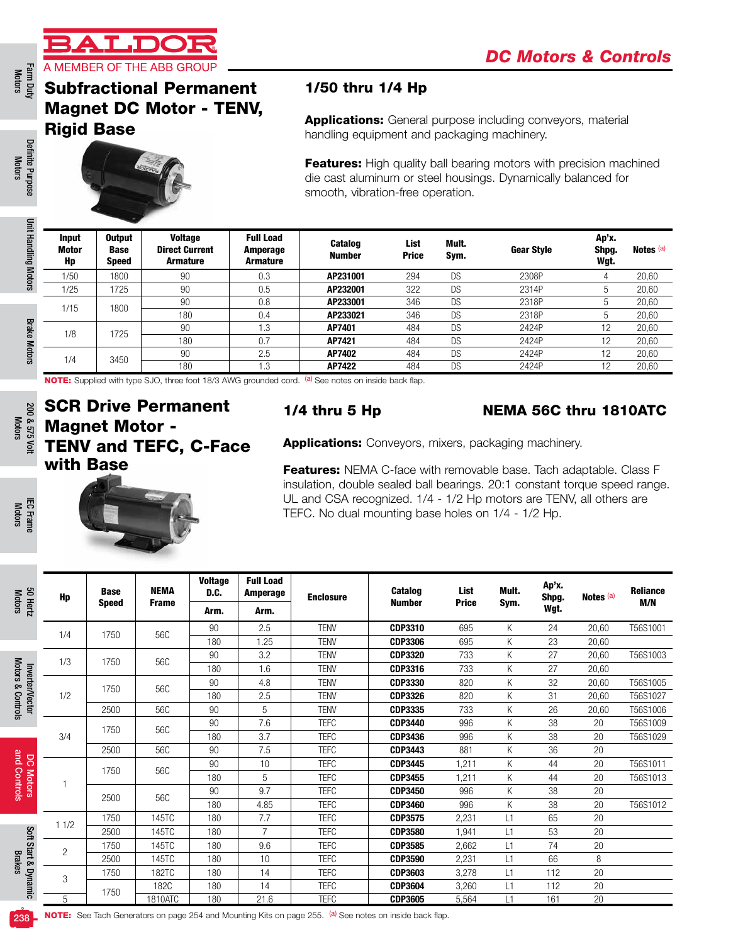

# Farm Duty<br>Motors

# Subfractional Permanent Magnet DC Motor - TENV, Rigid Base



### 1/50 thru 1/4 Hp

| <b>Input</b><br>Motor<br>Hp | <b>Output</b><br><b>Base</b><br><b>Speed</b> | <b>Voltage</b><br><b>Direct Current</b><br><b>Armature</b> | <b>Full Load</b><br>Amperage<br><b>Armature</b> | <b>Catalog</b><br><b>Number</b> | List<br><b>Price</b> | Mult.<br>Sym. | <b>Gear Style</b> | Ap'x.<br>Shpg.<br>Wgt. | Notes <sup>(a)</sup> |
|-----------------------------|----------------------------------------------|------------------------------------------------------------|-------------------------------------------------|---------------------------------|----------------------|---------------|-------------------|------------------------|----------------------|
| 1/50                        | 1800                                         | 90                                                         | 0.3                                             | AP231001                        | 294                  | DS            | 2308P             |                        | 20,60                |
| 1/25                        | 1725                                         | 90                                                         | 0.5                                             | AP232001                        | 322                  | DS            | 2314P             |                        | 20,60                |
| 1/15                        | 1800                                         | 90                                                         | 0.8                                             | AP233001                        | 346                  | DS            | 2318P             | b.                     | 20,60                |
|                             |                                              | 180                                                        | 0.4                                             | AP233021                        | 346                  | <b>DS</b>     | 2318P             | b.                     | 20,60                |
| 1/8                         | 1725                                         | 90                                                         | 1.3                                             | AP7401                          | 484                  | DS            | 2424P             | 12                     | 20,60                |
|                             |                                              | 180                                                        | v.                                              | AP7421                          | 484                  | DS            | 2424P             | 12                     | 20,60                |
| 1/4                         | 3450                                         | 90                                                         | 2.5                                             | AP7402                          | 484                  | <b>DS</b>     | 2424P             | 12                     | 20,60                |
|                             |                                              | 180                                                        | 1.3                                             | AP7422                          | 484                  | DS            | 2424P             | 12                     | 20,60                |

# SCR Drive Permanent Magnet Motor - TENV and TEFC, C-Face with Base

#### 1/4 thru 5 Hp NEMA 56C thru 1810ATC

|                             | <b>Subfractional Permanent</b>               |                                                            |                        |                                                 | 1/50 thru 1/4 Hp                                                                                                                                                                                                        |                                  |                |          |                |                        |                                                                                                                                                |  |  |  |
|-----------------------------|----------------------------------------------|------------------------------------------------------------|------------------------|-------------------------------------------------|-------------------------------------------------------------------------------------------------------------------------------------------------------------------------------------------------------------------------|----------------------------------|----------------|----------|----------------|------------------------|------------------------------------------------------------------------------------------------------------------------------------------------|--|--|--|
|                             | <b>Rigid Base</b>                            | <b>Magnet DC Motor - TENV,</b>                             |                        |                                                 | <b>Applications:</b> General purpose including conveyors, material<br>handling equipment and packaging machinery.                                                                                                       |                                  |                |          |                |                        |                                                                                                                                                |  |  |  |
|                             |                                              |                                                            |                        |                                                 | <b>Features:</b> High quality ball bearing motors with precision machined<br>die cast aluminum or steel housings. Dynamically balanced for<br>smooth, vibration-free operation.                                         |                                  |                |          |                |                        |                                                                                                                                                |  |  |  |
| <b>Input</b><br>Motor<br>Hp | <b>Output</b><br><b>Base</b><br><b>Speed</b> | <b>Voltage</b><br><b>Direct Current</b><br><b>Armature</b> |                        | <b>Full Load</b><br>Amperage<br><b>Armature</b> | <b>Catalog</b><br><b>Number</b>                                                                                                                                                                                         | List<br><b>Price</b>             | Mult.<br>Sym.  |          | Gear Style     | Ap'x.<br>Shpg.<br>Wgt. | Notes <sup>(a)</sup>                                                                                                                           |  |  |  |
| 1/50                        | 1800                                         | 90                                                         |                        | 0.3                                             | AP231001                                                                                                                                                                                                                | 294                              | <b>DS</b>      |          | 2308P          | 4                      | 20,60                                                                                                                                          |  |  |  |
| 1/25                        | 1725                                         | 90                                                         |                        | 0.5                                             | AP232001                                                                                                                                                                                                                | 322                              | DS             |          | 2314P          | 5                      | 20,60                                                                                                                                          |  |  |  |
| 1/15                        | 1800                                         | 90                                                         |                        | 0.8                                             | AP233001                                                                                                                                                                                                                | 346                              | <b>DS</b>      |          | 2318P          | 5                      | 20,60                                                                                                                                          |  |  |  |
|                             |                                              | 180<br>90                                                  |                        | 0.4<br>1.3                                      | AP233021<br>AP7401                                                                                                                                                                                                      | 346<br>484                       | DS<br>DS       |          | 2318P<br>2424P | 5<br>12                | 20,60<br>20,60                                                                                                                                 |  |  |  |
| 1/8                         | 1725                                         | 180                                                        |                        | 0.7                                             | AP7421                                                                                                                                                                                                                  | 484                              | DS             |          | 2424P          | 12                     | 20,60                                                                                                                                          |  |  |  |
|                             |                                              | 90                                                         |                        | 2.5                                             | AP7402                                                                                                                                                                                                                  | 484                              | <b>DS</b>      |          | 2424P          | 12                     | 20,60                                                                                                                                          |  |  |  |
| 1/4                         | 3450                                         | 180                                                        |                        | 1.3                                             | AP7422                                                                                                                                                                                                                  | 484                              | <b>DS</b>      |          | 2424P          | 12                     | 20,60                                                                                                                                          |  |  |  |
| with Base                   | <b>TENV and TEFC, C-Face</b>                 |                                                            |                        |                                                 | Features: NEMA C-face with removable base. Tach adaptable. Class F<br>insulation, double sealed ball bearings. 20:1 constant torque speed range.<br>UL and CSA recognized. 1/4 - 1/2 Hp motors are TENV, all others are |                                  |                |          |                |                        |                                                                                                                                                |  |  |  |
|                             | Base                                         | <b>NEMA</b>                                                | <b>Voltage</b><br>D.C. | <b>Full Load</b><br>Amperage                    | TEFC. No dual mounting base holes on 1/4 - 1/2 Hp.                                                                                                                                                                      | <b>Catalog</b>                   | List           | Mult.    | Ap'x.          |                        |                                                                                                                                                |  |  |  |
| Hp                          | Speed                                        | Frame                                                      | Arm.                   | Arm.                                            | <b>Enclosure</b>                                                                                                                                                                                                        | <b>Number</b>                    | Price          | Sym.     | Shpg.<br>Wgt.  | Notes (a)              |                                                                                                                                                |  |  |  |
|                             |                                              |                                                            | 90                     | 2.5                                             | <b>TENV</b>                                                                                                                                                                                                             | <b>CDP3310</b>                   | 695            | Κ        | 24             | 20,60                  |                                                                                                                                                |  |  |  |
| 1/4                         | 1750                                         | 56C                                                        | 180                    | 1.25                                            | <b>TENV</b>                                                                                                                                                                                                             | <b>CDP3306</b>                   | 695            | Κ        | 23             | 20,60                  |                                                                                                                                                |  |  |  |
| 1/3                         | 1750                                         | 56C                                                        | 90                     | 3.2                                             | <b>TENV</b>                                                                                                                                                                                                             | <b>CDP3320</b>                   | 733            | Κ        | 27             | 20,60                  |                                                                                                                                                |  |  |  |
|                             |                                              |                                                            | 180                    | 1.6                                             | <b>TENV</b>                                                                                                                                                                                                             | CDP3316                          | 733            | Κ        | 27             | 20,60                  |                                                                                                                                                |  |  |  |
|                             | 1750                                         | 56C                                                        | 90                     | 4.8                                             | <b>TENV</b>                                                                                                                                                                                                             | <b>CDP3330</b>                   | 820            | Κ        | 32             | 20,60                  |                                                                                                                                                |  |  |  |
| 1/2                         |                                              |                                                            | 180                    | 2.5                                             | <b>TENV</b>                                                                                                                                                                                                             | <b>CDP3326</b>                   | 820            | Κ        | 31             | 20,60                  |                                                                                                                                                |  |  |  |
|                             | 2500                                         | 56C                                                        | 90<br>90               | 5<br>7.6                                        | <b>TENV</b><br><b>TEFC</b>                                                                                                                                                                                              | <b>CDP3335</b><br><b>CDP3440</b> | 733<br>996     | Κ<br>Κ   | 26<br>38       | 20,60<br>20            |                                                                                                                                                |  |  |  |
| 3/4                         | 1750                                         | 56C                                                        | 180                    | 3.7                                             | <b>TEFC</b>                                                                                                                                                                                                             | <b>CDP3436</b>                   | 996            | Κ        | 38             | 20                     |                                                                                                                                                |  |  |  |
|                             | 2500                                         | 56C                                                        | 90                     | 7.5                                             | <b>TEFC</b>                                                                                                                                                                                                             | <b>CDP3443</b>                   | 881            | Κ        | 36             | 20                     |                                                                                                                                                |  |  |  |
|                             |                                              |                                                            | 90                     | 10                                              | <b>TEFC</b>                                                                                                                                                                                                             | <b>CDP3445</b>                   | 1,211          | Κ        | 44             | 20                     |                                                                                                                                                |  |  |  |
|                             | 1750                                         | 56C                                                        | 180                    | 5                                               | <b>TEFC</b>                                                                                                                                                                                                             | <b>CDP3455</b>                   | 1,211          | Κ        | 44             | 20                     |                                                                                                                                                |  |  |  |
| 1                           | 2500                                         | 56C                                                        | $90\,$                 | 9.7                                             | <b>TEFC</b>                                                                                                                                                                                                             | <b>CDP3450</b>                   | 996            | Κ        | 38             | 20                     |                                                                                                                                                |  |  |  |
|                             |                                              |                                                            | 180                    | 4.85                                            | <b>TEFC</b>                                                                                                                                                                                                             | CDP3460                          | 996            | Κ        | 38             | 20                     |                                                                                                                                                |  |  |  |
| 11/2                        | 1750                                         | 145TC                                                      | 180                    | 7.7                                             | <b>TEFC</b>                                                                                                                                                                                                             | <b>CDP3575</b>                   | 2,231          | L1       | 65             | 20                     |                                                                                                                                                |  |  |  |
|                             | 2500                                         | 145TC                                                      | 180                    | $\overline{7}$                                  | <b>TEFC</b>                                                                                                                                                                                                             | <b>CDP3580</b>                   | 1,941          | L1       | 53             | 20                     |                                                                                                                                                |  |  |  |
| $\overline{c}$              | 1750                                         | 145TC                                                      | 180                    | 9.6                                             | <b>TEFC</b>                                                                                                                                                                                                             | CDP3585                          | 2,662          | L1       | 74             | 20                     |                                                                                                                                                |  |  |  |
|                             | 2500                                         | 145TC                                                      | 180                    | 10                                              | <b>TEFC</b>                                                                                                                                                                                                             | <b>CDP3590</b>                   | 2,231          | L1       | 66             | 8                      |                                                                                                                                                |  |  |  |
| 3                           | 1750<br>1750                                 | 182TC<br>182C                                              | 180<br>180             | 14<br>14                                        | <b>TEFC</b><br><b>TEFC</b>                                                                                                                                                                                              | CDP3603<br><b>CDP3604</b>        | 3,278<br>3,260 | L1<br>L1 | 112<br>112     | 20<br>20               | <b>Reliance</b><br>M/N<br>T56S1001<br>T56S1003<br>T56S1005<br>T56S1027<br>T56S1006<br>T56S1009<br>T56S1029<br>T56S1011<br>T56S1013<br>T56S1012 |  |  |  |

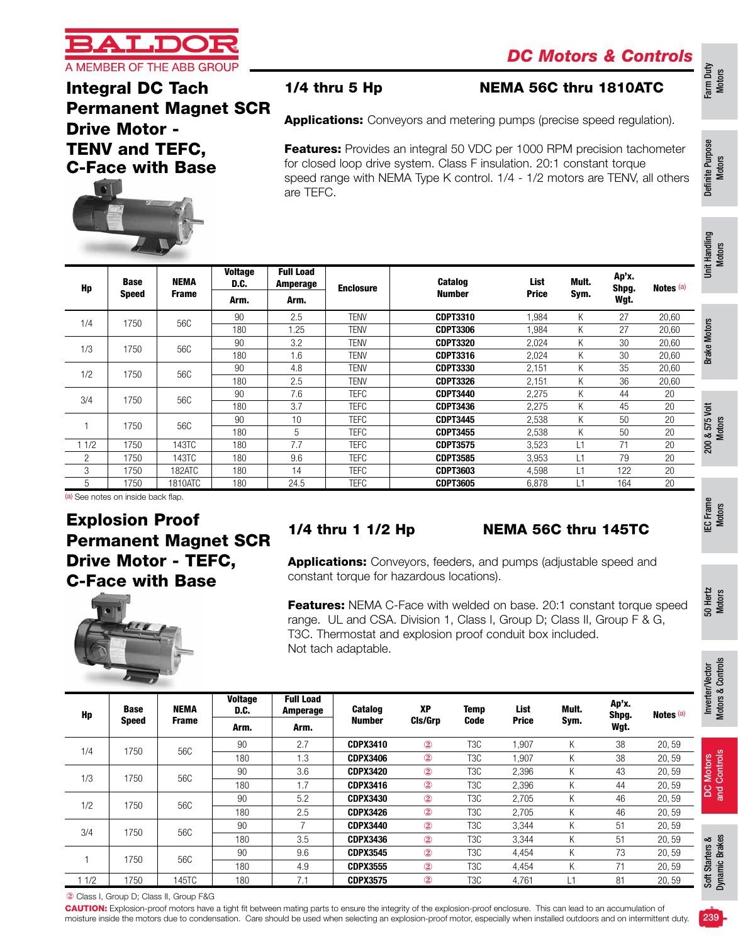

### Integral DC Tach Permanent Magnet SCR Drive Motor - TENV and TEFC, C-Face with Base

NEMA Frame **Voltage** D.C.

Arm. Arm.



Hp Base Speed

#### 1/4 thru 5 Hp NEMA 56C thru 1810ATC

Applications: Conveyors and metering pumps (precise speed regulation).

Features: Provides an integral 50 VDC per 1000 RPM precision tachometer for closed loop drive system. Class F insulation. 20:1 constant torque speed range with NEMA Type K control. 1/4 - 1/2 motors are TENV, all others are TEFC.

> List Price

Mult. Sym.

Ap'x. Shpg. Wgt.

Notes (a)

Number

180 1.25 TENV CDPT3306 1,984 K 27 20,60

180 1.6 TENV CDPT3316 2,024 K 30 20,60

180 2.5 TENV CDPT3326 2,151 K 36 20,60

180 | 3.7 | TEFC | **CDPT3436** 2,275 K 45 20

Farm Duty Motors

50 Hertz Motors

8

# Soft Starters &

Dynamic Brakes

CAUTION: Explosion-proof motors have a tight fit between mating parts to ensure the integrity of the explosion-proof enclosure. This can lead to an accumulation of moisture inside the motors due to condensation. Care should be used when selecting an explosion-proof motor, especially when installed outdoors and on intermittent duty.



Full Load

(a) See notes on inside back flap.

## Explosion Proof Permanent Magnet SCR Drive Motor - TEFC, C-Face with Base



Amperage Fnclosure Catalog

1/4 1750 56C <del>90 2.5 TENY</del> **CDPT3310** 1,984 K 27 20,60

1/3 1750 56C <u>90 3.2 TENY</u> **CDPT3320** 2,024 K 30 20,60

1/2 1750 56C <del>90 4.8 TENY **CDPT3330** 2,151 K 35 20,60</del><br>1/2 1750 56C <del>100 4.8 TENY **CDPT5330** 2,151 K 35 20,60</del>

3/4 <sup>1750</sup> 56C <sup>90</sup> 7.6 TEFC CDPT3440 2,275 <sup>K</sup> <sup>44</sup> <sup>20</sup>

1 | 1750 | 56C |  $\frac{90}{100}$  | 10 | TEFC | CDPT3445 2,538 K 50 20

3 1750 182ATC 180 14 TEFC CDPT3603 4,598 L1 122 20 5 1750 1810ATC 180 24.5 TEFC CDPT3605 6,878 L1 164 20

### 1/4 thru 1 1/2 Hp NEMA 56C thru 145TC

Applications: Conveyors, feeders, and pumps (adjustable speed and constant torque for hazardous locations).

**Features:** NEMA C-Face with welded on base. 20:1 constant torque speed range. UL and CSA. Division 1, Class I, Group D; Class II, Group F & G, T3C. Thermostat and explosion proof conduit box included. Not tach adaptable.

| Hp   | <b>Base</b>  | <b>NEMA</b>  | <b>Voltage</b><br>D.C. | <b>Full Load</b><br><b>Amperage</b> | <b>Catalog</b>  | <b>XP</b>      | <b>Temp</b>      | List         | Mult. | Ap'x.<br>Shpg. | Notes (a) |
|------|--------------|--------------|------------------------|-------------------------------------|-----------------|----------------|------------------|--------------|-------|----------------|-----------|
|      | <b>Speed</b> | <b>Frame</b> | Arm.                   | Arm.                                | Number          | CIs/Grp        | <b>Code</b>      | <b>Price</b> | Sym.  | Wgt.           |           |
| 1/4  | 1750         | 56C          | 90                     | 2.7                                 | <b>CDPX3410</b> | $\circled{2}$  | T3C              | 1.907        | Κ     | 38             | 20,59     |
|      |              |              | 180                    | 1.3                                 | <b>CDPX3406</b> | $\circled{2}$  | T3C              | 1,907        | K.    | 38             | 20,59     |
|      |              | 56C          | 90                     | 3.6                                 | <b>CDPX3420</b> | $\circled{2}$  | T <sub>3</sub> C | 2.396        | K     | 43             | 20,59     |
| 1/3  | 1750         |              | 180                    | 1.7                                 | <b>CDPX3416</b> | $^{\circledR}$ | T3C              | 2.396        | K.    | 44             | 20,59     |
| 1/2  | 1750         | 56C          | 90                     | 5.2                                 | <b>CDPX3430</b> | $^{\circledR}$ | T3C              | 2,705        | K.    | 46             | 20,59     |
|      |              |              | 180                    | 2.5                                 | <b>CDPX3426</b> | $\circled{2}$  | T3C              | 2.705        | Κ     | 46             | 20,59     |
| 3/4  | 1750         | 56C          | 90                     | $\overline{7}$                      | <b>CDPX3440</b> | $^{\circledR}$ | T3C              | 3.344        | K.    | 51             | 20,59     |
|      |              |              | 180                    | 3.5                                 | <b>CDPX3436</b> | $\circled{2}$  | T3C              | 3,344        | Κ     | 51             | 20,59     |
|      | 1750         | 56C          | 90                     | 9.6                                 | <b>CDPX3545</b> | $\circled{2}$  | T <sub>3</sub> C | 4.454        | K.    | 73             | 20,59     |
|      |              |              | 180                    | 4.9                                 | <b>CDPX3555</b> | $\circled{2}$  | T3C              | 4.454        | Κ     | 71             | 20,59     |
| 11/2 | 1750         | 145TC        | 180                    | 7.1                                 | <b>CDPX3575</b> | $\circled{2}$  | T3C              | 4,761        | L1    | 81             | 20,59     |

② Class I, Group D; Class II, Group F&G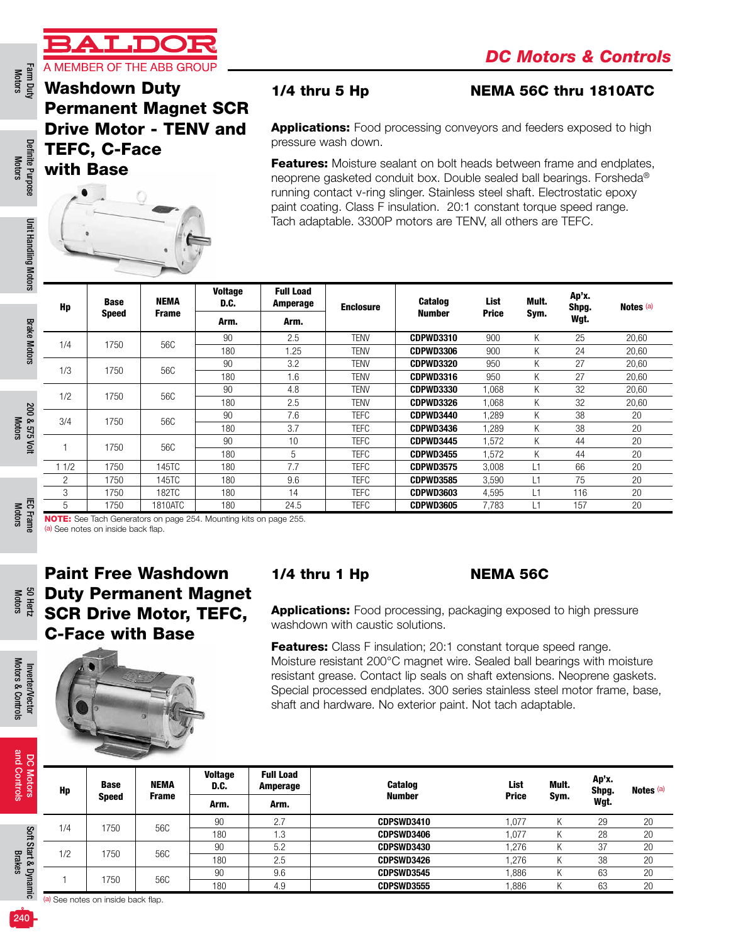

Farm Duty<br>Motors

# Washdown Duty



#### 1/4 thru 5 Hp NEMA 56C thru 1810ATC

| Hp   | <b>Base</b><br><b>Speed</b> | NEMA<br><b>Frame</b> | <b>Voltage</b><br>D.C. | <b>Full Load</b><br>Amperage | <b>Enclosure</b> | <b>Catalog</b><br><b>Number</b> | List<br><b>Price</b> | Mult.<br>Sym. | Ap'x.<br>Shpg. | Notes <sup>(a)</sup> |
|------|-----------------------------|----------------------|------------------------|------------------------------|------------------|---------------------------------|----------------------|---------------|----------------|----------------------|
|      |                             |                      | Arm.                   | Arm.                         |                  |                                 |                      |               | Wgt.           |                      |
| 1/4  | 1750                        | 56C                  | 90                     | 2.5                          | <b>TENV</b>      | <b>CDPWD3310</b>                | 900                  | K             | 25             | 20,60                |
|      |                             |                      | 180                    | 1.25                         | <b>TENV</b>      | CDPWD3306                       | 900                  | K             | 24             | 20,60                |
| 1/3  | 1750                        | 56C                  | 90                     | 3.2                          | <b>TENV</b>      | CDPWD3320                       | 950                  | K             | 27             | 20,60                |
|      |                             |                      | 180                    | 1.6                          | <b>TENV</b>      | <b>CDPWD3316</b>                | 950                  | K             | 27             | 20,60                |
| 1/2  | 1750                        | 56C                  | 90                     | 4.8                          | TENV             | <b>CDPWD3330</b>                | 1,068                | Κ             | 32             | 20,60                |
|      |                             |                      | 180                    | 2.5                          | TENV             | CDPWD3326                       | 068                  | Κ             | 32             | 20,60                |
| 3/4  | 1750                        | 56C                  | 90                     | 7.6                          | <b>TEFC</b>      | CDPWD3440                       | ,289                 | Κ             | 38             | 20                   |
|      |                             |                      | 180                    | 3.7                          | <b>TEFC</b>      | CDPWD3436                       | .289                 | Κ             | 38             | 20                   |
|      | 1750                        | 56C                  | 90                     | 10                           | <b>TEFC</b>      | CDPWD3445                       | .572                 | Κ             | 44             | 20                   |
|      |                             |                      | 180                    | 5                            | <b>TEFC</b>      | <b>CDPWD3455</b>                | .572                 | Κ             | 44             | 20                   |
| 11/2 | 1750                        | 145TC                | 180                    | 7.7                          | <b>TEFC</b>      | <b>CDPWD3575</b>                | 3.008                | L1            | 66             | 20                   |
| 2    | 1750                        | 145TC                | 180                    | 9.6                          | <b>TEFC</b>      | <b>CDPWD3585</b>                | 3,590                | L1            | 75             | 20                   |
| 3    | 1750                        | <b>182TC</b>         | 180                    | 14                           | <b>TEFC</b>      | <b>CDPWD3603</b>                | 4,595                | L1            | 116            | 20                   |
| 5    | 1750                        | 1810ATC              | 180                    | 24.5                         | <b>TEFC</b>      | <b>CDPWD3605</b>                | 7.783                | L1            | 157            | 20                   |

# Paint Free Washdown Duty Permanent Magnet SCR Drive Motor, TEFC, C-Face with Base

|              | <b>Washdown Duty</b> | <b>Permanent Magnet SCR</b>                                                                                            |                        | $1/4$ thru 5 Hp<br>NEMA 56C thru 1810ATC |                                                                                                                                                                                                                                                                                                                                                                                                                                                                                                                 |                                 |                 |                |                       |                      |  |  |  |
|--------------|----------------------|------------------------------------------------------------------------------------------------------------------------|------------------------|------------------------------------------|-----------------------------------------------------------------------------------------------------------------------------------------------------------------------------------------------------------------------------------------------------------------------------------------------------------------------------------------------------------------------------------------------------------------------------------------------------------------------------------------------------------------|---------------------------------|-----------------|----------------|-----------------------|----------------------|--|--|--|
|              | <b>TEFC, C-Face</b>  | <b>Drive Motor - TENV and</b>                                                                                          |                        |                                          | <b>Applications:</b> Food processing conveyors and feeders exposed to high<br>pressure wash down.                                                                                                                                                                                                                                                                                                                                                                                                               |                                 |                 |                |                       |                      |  |  |  |
|              | with Base            |                                                                                                                        |                        |                                          | Features: Moisture sealant on bolt heads between frame and endplates,<br>neoprene gasketed conduit box. Double sealed ball bearings. Forsheda®<br>running contact v-ring slinger. Stainless steel shaft. Electrostatic epoxy<br>paint coating. Class F insulation. 20:1 constant torque speed range.<br>Tach adaptable. 3300P motors are TENV, all others are TEFC.                                                                                                                                             |                                 |                 |                |                       |                      |  |  |  |
| Hp           | <b>Base</b>          | <b>NEMA</b>                                                                                                            | <b>Voltage</b><br>D.C. | <b>Full Load</b><br>Amperage             | <b>Enclosure</b>                                                                                                                                                                                                                                                                                                                                                                                                                                                                                                | <b>Catalog</b>                  | List            | Mult.          | Ap'x.<br>Shpg.        | Notes <sup>(a)</sup> |  |  |  |
|              | <b>Speed</b>         | <b>Frame</b>                                                                                                           | Arm.                   | Arm.                                     |                                                                                                                                                                                                                                                                                                                                                                                                                                                                                                                 | <b>Number</b>                   | <b>Price</b>    | Sym.           | Wgt.                  |                      |  |  |  |
|              |                      |                                                                                                                        | 90                     | 2.5                                      | <b>TENV</b>                                                                                                                                                                                                                                                                                                                                                                                                                                                                                                     | <b>CDPWD3310</b>                | 900             | Κ              | 25                    | 20,60                |  |  |  |
| 1/4          | 1750                 | 56C                                                                                                                    | 180                    | 1.25                                     | <b>TENV</b>                                                                                                                                                                                                                                                                                                                                                                                                                                                                                                     | <b>CDPWD3306</b>                | 900             | Κ              | 24                    | 20,60                |  |  |  |
|              |                      |                                                                                                                        | 90                     | 3.2                                      | <b>TENV</b>                                                                                                                                                                                                                                                                                                                                                                                                                                                                                                     | <b>CDPWD3320</b>                | 950             | Κ              | 27                    | 20,60                |  |  |  |
| 1/3          | 1750                 | 56C                                                                                                                    | 180                    | 1.6                                      | <b>TENV</b>                                                                                                                                                                                                                                                                                                                                                                                                                                                                                                     | <b>CDPWD3316</b>                | 950             | Κ              | 27                    | 20,60                |  |  |  |
|              |                      |                                                                                                                        | 90                     | 4.8                                      | <b>TENV</b>                                                                                                                                                                                                                                                                                                                                                                                                                                                                                                     | <b>CDPWD3330</b>                | 1,068           | Κ              | $\overline{32}$       | 20,60                |  |  |  |
| 1/2          | 1750                 | 56C                                                                                                                    | 180                    | 2.5                                      | <b>TENV</b>                                                                                                                                                                                                                                                                                                                                                                                                                                                                                                     | <b>CDPWD3326</b>                | 1,068           | Κ              | 32                    | 20,60                |  |  |  |
|              |                      |                                                                                                                        | 90                     | 7.6                                      | <b>TEFC</b>                                                                                                                                                                                                                                                                                                                                                                                                                                                                                                     | <b>CDPWD3440</b>                | 1,289           | Κ              | 38                    | 20                   |  |  |  |
| 3/4          | 1750                 | 56C                                                                                                                    | 180                    | 3.7                                      | <b>TEFC</b>                                                                                                                                                                                                                                                                                                                                                                                                                                                                                                     | CDPWD3436                       | 1,289           | Κ              | 38                    | 20                   |  |  |  |
|              |                      |                                                                                                                        | 90                     | 10                                       | <b>TEFC</b>                                                                                                                                                                                                                                                                                                                                                                                                                                                                                                     | CDPWD3445                       | 1,572           | Κ              | 44                    | 20                   |  |  |  |
| $\mathbf{1}$ | 1750                 | 56C                                                                                                                    | 180                    | 5                                        | <b>TEFC</b>                                                                                                                                                                                                                                                                                                                                                                                                                                                                                                     | <b>CDPWD3455</b>                | 1,572           | Κ              | 44                    | 20                   |  |  |  |
| 11/2         | 1750                 | 145TC                                                                                                                  | 180                    | 7.7                                      | <b>TEFC</b>                                                                                                                                                                                                                                                                                                                                                                                                                                                                                                     | <b>CDPWD3575</b>                | 3,008           | L1             | 66                    | 20                   |  |  |  |
| 2            | 1750                 | 145TC                                                                                                                  | 180                    | 9.6                                      | <b>TEFC</b>                                                                                                                                                                                                                                                                                                                                                                                                                                                                                                     | <b>CDPWD3585</b>                | 3,590           | L1             | 75                    | 20                   |  |  |  |
| 3            | 1750                 | 182TC                                                                                                                  | 180                    | 14                                       | <b>TEFC</b>                                                                                                                                                                                                                                                                                                                                                                                                                                                                                                     | <b>CDPWD3603</b>                | 4,595           | L1             | 116                   | 20                   |  |  |  |
| 5            | 1750                 | 1810ATC                                                                                                                | 180                    | 24.5                                     | <b>TEFC</b>                                                                                                                                                                                                                                                                                                                                                                                                                                                                                                     | <b>CDPWD3605</b>                | 7,783           | L1             | 157                   | 20                   |  |  |  |
|              |                      |                                                                                                                        |                        |                                          |                                                                                                                                                                                                                                                                                                                                                                                                                                                                                                                 |                                 | <b>NEMA 56C</b> |                |                       |                      |  |  |  |
|              |                      | <b>Paint Free Washdown</b><br><b>Duty Permanent Magnet</b><br><b>SCR Drive Motor, TEFC,</b><br><b>C-Face with Base</b> |                        |                                          | $1/4$ thru 1 Hp<br><b>Applications:</b> Food processing, packaging exposed to high pressure<br>washdown with caustic solutions.<br><b>Features:</b> Class F insulation; 20:1 constant torque speed range.<br>Moisture resistant 200°C magnet wire. Sealed ball bearings with moisture<br>resistant grease. Contact lip seals on shaft extensions. Neoprene gaskets.<br>Special processed endplates. 300 series stainless steel motor frame, base,<br>shaft and hardware. No exterior paint. Not tach adaptable. |                                 |                 |                |                       |                      |  |  |  |
|              | <b>Base</b>          | NEMA                                                                                                                   | <b>Voltage</b><br>D.C. | <b>Full Load</b><br><b>Amperage</b>      |                                                                                                                                                                                                                                                                                                                                                                                                                                                                                                                 | Catalog                         |                 | List           | Ap'x.<br>Mult.        | Notes (a)            |  |  |  |
| Hp           | <b>Speed</b>         | <b>Frame</b>                                                                                                           | Arm.                   | Arm.                                     |                                                                                                                                                                                                                                                                                                                                                                                                                                                                                                                 | <b>Number</b>                   |                 | <b>Price</b>   | Shpg.<br>Sym.<br>Wgt. |                      |  |  |  |
|              |                      |                                                                                                                        |                        |                                          |                                                                                                                                                                                                                                                                                                                                                                                                                                                                                                                 |                                 |                 |                |                       |                      |  |  |  |
| 1/4          | 1750                 | 56C                                                                                                                    | 90                     | 2.7                                      |                                                                                                                                                                                                                                                                                                                                                                                                                                                                                                                 | CDPSWD3410                      |                 | 1,077          | Κ<br>29               |                      |  |  |  |
|              |                      |                                                                                                                        | 180                    | 1.3                                      |                                                                                                                                                                                                                                                                                                                                                                                                                                                                                                                 | CDPSWD3406                      |                 | 1,077          | Κ<br>28               |                      |  |  |  |
| 1/2          | 1750                 | 56C                                                                                                                    | 90                     | 5.2                                      |                                                                                                                                                                                                                                                                                                                                                                                                                                                                                                                 | CDPSWD3430                      |                 | 1,276          | 37<br>Κ               | 20<br>20<br>20       |  |  |  |
|              |                      |                                                                                                                        | 180                    | 2.5                                      |                                                                                                                                                                                                                                                                                                                                                                                                                                                                                                                 | CDPSWD3426                      |                 | 1,276          | Κ<br>38               | 20                   |  |  |  |
| 1            | 1750                 | 56C                                                                                                                    | 90<br>180              | 9.6<br>4.9                               |                                                                                                                                                                                                                                                                                                                                                                                                                                                                                                                 | CDPSWD3545<br><b>CDPSWD3555</b> |                 | 1,886<br>1,886 | Κ<br>63<br>Κ<br>63    | 20<br>20             |  |  |  |



Brakes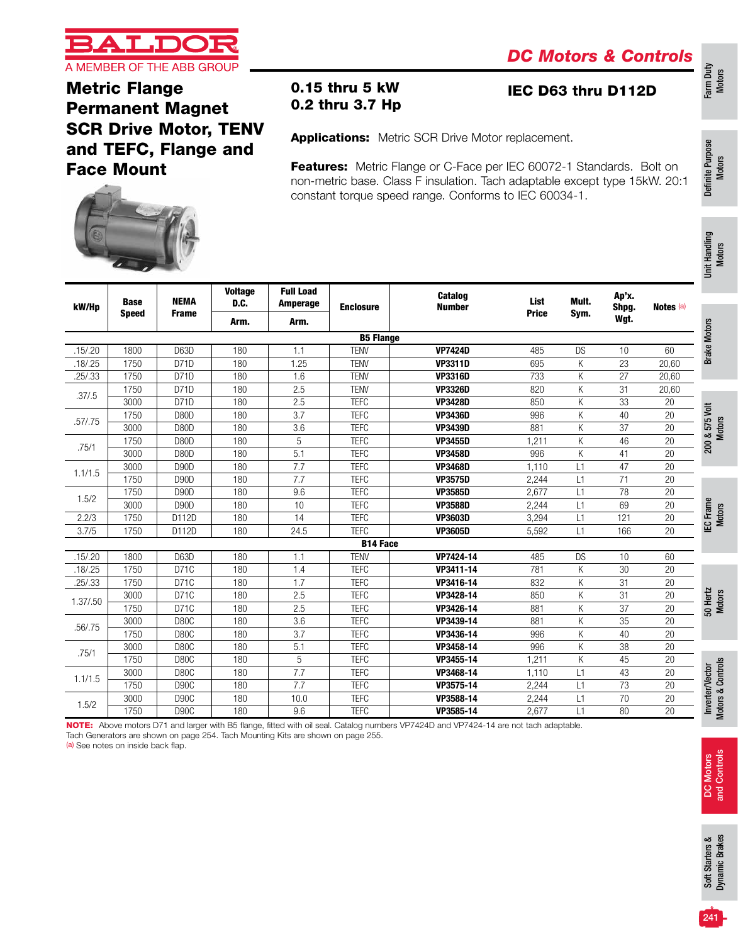

Farm Duty Motors

Definite Purpose Definite Purpose<br>Motors

Unit Handling Unit Handling<br>Motors

### Metric Flange Permanent Magnet SCR Drive Motor, TENV and TEFC, Flange and Face Mount

 $V = W$ 

Full Load

0.15 thru 5 kW IEC D63 thru D112D

Applications: Metric SCR Drive Motor replacement.

0.2 thru 3.7 Hp

Features: Metric Flange or C-Face per IEC 60072-1 Standards. Bolt on non-metric base. Class F insulation. Tach adaptable except type 15kW. 20:1 constant torque speed range. Conforms to IEC 60034-1.



| <b>Price</b><br>Sym.<br><b>Frame</b><br><b>Speed</b><br>Wgt.<br>Arm.<br>Arm.<br><b>Brake Motors</b><br><b>B5 Flange</b><br>D63D<br><b>TENV</b><br><b>VP7424D</b><br>.15/0.20<br>1800<br>180<br>1.1<br>485<br><b>DS</b><br>10<br>60<br><b>TENV</b><br>K<br>23<br>.18/0.25<br>1750<br>D71D<br>180<br>1.25<br><b>VP3311D</b><br>695<br>20,60<br>Κ<br>27<br>1750<br>180<br>1.6<br><b>TENV</b><br>733<br>.25/.33<br>D71D<br><b>VP3316D</b><br>20,60<br>Κ<br>31<br>1750<br>D71D<br>180<br>2.5<br><b>TENV</b><br><b>VP3326D</b><br>820<br>20,60<br>.37/.5<br><b>TEFC</b><br>Κ<br>33<br>3000<br>D71D<br>180<br>2.5<br>850<br><b>VP3428D</b><br>20<br>200 & 575 Volt<br>1750<br>180<br>3.7<br><b>TEFC</b><br>996<br>K<br>40<br>20<br>D80D<br><b>VP3436D</b><br>.57/.75<br>K<br>37<br>3000<br>180<br>3.6<br><b>TEFC</b><br>881<br>D80D<br><b>VP3439D</b><br>20<br>Κ<br>46<br>180<br>5<br><b>TEFC</b><br>20<br>1750<br>D80D<br><b>VP3455D</b><br>1,211<br>.75/1<br>5.1<br>Κ<br><b>TEFC</b><br>996<br>41<br>20<br>3000<br>D80D<br>180<br><b>VP3458D</b><br>7.7<br><b>TEFC</b><br>47<br>20<br>3000<br>180<br>1.110<br>L1<br>D90D<br><b>VP3468D</b><br>1.1/1.5<br>7.7<br>71<br><b>TEFC</b><br>1750<br>D90D<br>180<br>2,244<br>L1<br>20<br><b>VP3575D</b><br>78<br>1750<br>180<br>9.6<br><b>TEFC</b><br>2,677<br>L1<br>20<br>D90D<br><b>VP3585D</b><br>1.5/2<br>IEC Frame<br>Motors<br>180<br>10<br><b>TEFC</b><br>2,244<br>L1<br>69<br>3000<br>D <sub>90</sub> D<br><b>VP3588D</b><br>20<br><b>TEFC</b><br>2.2/3<br>1750<br>180<br>14<br>3,294<br>L1<br>121<br>20<br>D112D<br><b>VP3603D</b><br><b>TEFC</b><br>166<br>3.7/5<br>1750<br>D112D<br>180<br>24.5<br>5,592<br>L1<br>20<br><b>VP3605D</b><br><b>B14 Face</b><br>.15/0.20<br>1800<br>D63D<br>180<br><b>TENV</b><br>VP7424-14<br>485<br><b>DS</b><br>60<br>1.1<br>10<br>.18 / .25<br>D71C<br>180<br><b>TEFC</b><br>781<br>К<br>30<br>20<br>1750<br>1.4<br>VP3411-14<br>.25/.33<br>1.7<br><b>TEFC</b><br>832<br>K<br>31<br>20<br>1750<br>D71C<br>180<br>VP3416-14<br>50 Hertz<br>Motors<br>К<br>31<br>3000<br>D71C<br>180<br>2.5<br><b>TEFC</b><br>850<br>VP3428-14<br>20<br>1.37/.50<br>2.5<br>К<br>37<br>1750<br>D71C<br>180<br><b>TEFC</b><br>VP3426-14<br>881<br>20<br>180<br>3.6<br><b>TEFC</b><br>VP3439-14<br>K<br>35<br>20<br>3000<br>D80C<br>881<br>.56/.75<br>3.7<br><b>TEFC</b><br>K<br>20<br>1750<br>D80C<br>180<br>VP3436-14<br>996<br>40<br>К<br>38<br>D80C<br>180<br>5.1<br><b>TEFC</b><br>996<br>20<br>3000<br>VP3458-14<br>.75/1<br>5<br>K<br>45<br>1750<br>D80C<br>180<br><b>TEFC</b><br>VP3455-14<br>1,211<br>20<br>Inverter/Vector<br>Motors & Controls<br>D80C<br>7.7<br><b>TEFC</b><br>VP3468-14<br>L1<br>43<br>20<br>3000<br>180<br>1,110<br>1.1/1.5<br>7.7<br>73<br>1750<br><b>TEFC</b><br>D90C<br>180<br>VP3575-14<br>2,244<br>L1<br>20<br>70<br>3000<br><b>D90C</b><br>180<br>10.0<br><b>TEFC</b><br>VP3588-14<br>L1<br>20<br>2,244<br>1.5/2<br>20<br>1750<br>D90C<br>180<br>9.6<br><b>TEFC</b><br>VP3585-14<br>L1<br>80<br>2,677 | kW/Hp | <b>Base</b> | <b>NEMA</b> | vonage<br>D.C. | <b>Full Load</b><br><b>Amperage</b> | <b>Enclosure</b> | Catalog<br><b>Number</b> | List | Mult. | Ap'x.<br>Shpg. | Notes <sup>(a)</sup> |  |
|-----------------------------------------------------------------------------------------------------------------------------------------------------------------------------------------------------------------------------------------------------------------------------------------------------------------------------------------------------------------------------------------------------------------------------------------------------------------------------------------------------------------------------------------------------------------------------------------------------------------------------------------------------------------------------------------------------------------------------------------------------------------------------------------------------------------------------------------------------------------------------------------------------------------------------------------------------------------------------------------------------------------------------------------------------------------------------------------------------------------------------------------------------------------------------------------------------------------------------------------------------------------------------------------------------------------------------------------------------------------------------------------------------------------------------------------------------------------------------------------------------------------------------------------------------------------------------------------------------------------------------------------------------------------------------------------------------------------------------------------------------------------------------------------------------------------------------------------------------------------------------------------------------------------------------------------------------------------------------------------------------------------------------------------------------------------------------------------------------------------------------------------------------------------------------------------------------------------------------------------------------------------------------------------------------------------------------------------------------------------------------------------------------------------------------------------------------------------------------------------------------------------------------------------------------------------------------------------------------------------------------------------------------------------------------------------------------------------------------------------------------------------------------------------------------------------------------------------------------------------------------------------------------------------------------------------------------------------------------------------------------|-------|-------------|-------------|----------------|-------------------------------------|------------------|--------------------------|------|-------|----------------|----------------------|--|
|                                                                                                                                                                                                                                                                                                                                                                                                                                                                                                                                                                                                                                                                                                                                                                                                                                                                                                                                                                                                                                                                                                                                                                                                                                                                                                                                                                                                                                                                                                                                                                                                                                                                                                                                                                                                                                                                                                                                                                                                                                                                                                                                                                                                                                                                                                                                                                                                                                                                                                                                                                                                                                                                                                                                                                                                                                                                                                                                                                                                     |       |             |             |                |                                     |                  |                          |      |       |                |                      |  |
|                                                                                                                                                                                                                                                                                                                                                                                                                                                                                                                                                                                                                                                                                                                                                                                                                                                                                                                                                                                                                                                                                                                                                                                                                                                                                                                                                                                                                                                                                                                                                                                                                                                                                                                                                                                                                                                                                                                                                                                                                                                                                                                                                                                                                                                                                                                                                                                                                                                                                                                                                                                                                                                                                                                                                                                                                                                                                                                                                                                                     |       |             |             |                |                                     |                  |                          |      |       |                |                      |  |
|                                                                                                                                                                                                                                                                                                                                                                                                                                                                                                                                                                                                                                                                                                                                                                                                                                                                                                                                                                                                                                                                                                                                                                                                                                                                                                                                                                                                                                                                                                                                                                                                                                                                                                                                                                                                                                                                                                                                                                                                                                                                                                                                                                                                                                                                                                                                                                                                                                                                                                                                                                                                                                                                                                                                                                                                                                                                                                                                                                                                     |       |             |             |                |                                     |                  |                          |      |       |                |                      |  |
|                                                                                                                                                                                                                                                                                                                                                                                                                                                                                                                                                                                                                                                                                                                                                                                                                                                                                                                                                                                                                                                                                                                                                                                                                                                                                                                                                                                                                                                                                                                                                                                                                                                                                                                                                                                                                                                                                                                                                                                                                                                                                                                                                                                                                                                                                                                                                                                                                                                                                                                                                                                                                                                                                                                                                                                                                                                                                                                                                                                                     |       |             |             |                |                                     |                  |                          |      |       |                |                      |  |
|                                                                                                                                                                                                                                                                                                                                                                                                                                                                                                                                                                                                                                                                                                                                                                                                                                                                                                                                                                                                                                                                                                                                                                                                                                                                                                                                                                                                                                                                                                                                                                                                                                                                                                                                                                                                                                                                                                                                                                                                                                                                                                                                                                                                                                                                                                                                                                                                                                                                                                                                                                                                                                                                                                                                                                                                                                                                                                                                                                                                     |       |             |             |                |                                     |                  |                          |      |       |                |                      |  |
|                                                                                                                                                                                                                                                                                                                                                                                                                                                                                                                                                                                                                                                                                                                                                                                                                                                                                                                                                                                                                                                                                                                                                                                                                                                                                                                                                                                                                                                                                                                                                                                                                                                                                                                                                                                                                                                                                                                                                                                                                                                                                                                                                                                                                                                                                                                                                                                                                                                                                                                                                                                                                                                                                                                                                                                                                                                                                                                                                                                                     |       |             |             |                |                                     |                  |                          |      |       |                |                      |  |
|                                                                                                                                                                                                                                                                                                                                                                                                                                                                                                                                                                                                                                                                                                                                                                                                                                                                                                                                                                                                                                                                                                                                                                                                                                                                                                                                                                                                                                                                                                                                                                                                                                                                                                                                                                                                                                                                                                                                                                                                                                                                                                                                                                                                                                                                                                                                                                                                                                                                                                                                                                                                                                                                                                                                                                                                                                                                                                                                                                                                     |       |             |             |                |                                     |                  |                          |      |       |                |                      |  |
|                                                                                                                                                                                                                                                                                                                                                                                                                                                                                                                                                                                                                                                                                                                                                                                                                                                                                                                                                                                                                                                                                                                                                                                                                                                                                                                                                                                                                                                                                                                                                                                                                                                                                                                                                                                                                                                                                                                                                                                                                                                                                                                                                                                                                                                                                                                                                                                                                                                                                                                                                                                                                                                                                                                                                                                                                                                                                                                                                                                                     |       |             |             |                |                                     |                  |                          |      |       |                |                      |  |
|                                                                                                                                                                                                                                                                                                                                                                                                                                                                                                                                                                                                                                                                                                                                                                                                                                                                                                                                                                                                                                                                                                                                                                                                                                                                                                                                                                                                                                                                                                                                                                                                                                                                                                                                                                                                                                                                                                                                                                                                                                                                                                                                                                                                                                                                                                                                                                                                                                                                                                                                                                                                                                                                                                                                                                                                                                                                                                                                                                                                     |       |             |             |                |                                     |                  |                          |      |       |                |                      |  |
|                                                                                                                                                                                                                                                                                                                                                                                                                                                                                                                                                                                                                                                                                                                                                                                                                                                                                                                                                                                                                                                                                                                                                                                                                                                                                                                                                                                                                                                                                                                                                                                                                                                                                                                                                                                                                                                                                                                                                                                                                                                                                                                                                                                                                                                                                                                                                                                                                                                                                                                                                                                                                                                                                                                                                                                                                                                                                                                                                                                                     |       |             |             |                |                                     |                  |                          |      |       |                |                      |  |
|                                                                                                                                                                                                                                                                                                                                                                                                                                                                                                                                                                                                                                                                                                                                                                                                                                                                                                                                                                                                                                                                                                                                                                                                                                                                                                                                                                                                                                                                                                                                                                                                                                                                                                                                                                                                                                                                                                                                                                                                                                                                                                                                                                                                                                                                                                                                                                                                                                                                                                                                                                                                                                                                                                                                                                                                                                                                                                                                                                                                     |       |             |             |                |                                     |                  |                          |      |       |                |                      |  |
|                                                                                                                                                                                                                                                                                                                                                                                                                                                                                                                                                                                                                                                                                                                                                                                                                                                                                                                                                                                                                                                                                                                                                                                                                                                                                                                                                                                                                                                                                                                                                                                                                                                                                                                                                                                                                                                                                                                                                                                                                                                                                                                                                                                                                                                                                                                                                                                                                                                                                                                                                                                                                                                                                                                                                                                                                                                                                                                                                                                                     |       |             |             |                |                                     |                  |                          |      |       |                |                      |  |
|                                                                                                                                                                                                                                                                                                                                                                                                                                                                                                                                                                                                                                                                                                                                                                                                                                                                                                                                                                                                                                                                                                                                                                                                                                                                                                                                                                                                                                                                                                                                                                                                                                                                                                                                                                                                                                                                                                                                                                                                                                                                                                                                                                                                                                                                                                                                                                                                                                                                                                                                                                                                                                                                                                                                                                                                                                                                                                                                                                                                     |       |             |             |                |                                     |                  |                          |      |       |                |                      |  |
|                                                                                                                                                                                                                                                                                                                                                                                                                                                                                                                                                                                                                                                                                                                                                                                                                                                                                                                                                                                                                                                                                                                                                                                                                                                                                                                                                                                                                                                                                                                                                                                                                                                                                                                                                                                                                                                                                                                                                                                                                                                                                                                                                                                                                                                                                                                                                                                                                                                                                                                                                                                                                                                                                                                                                                                                                                                                                                                                                                                                     |       |             |             |                |                                     |                  |                          |      |       |                |                      |  |
|                                                                                                                                                                                                                                                                                                                                                                                                                                                                                                                                                                                                                                                                                                                                                                                                                                                                                                                                                                                                                                                                                                                                                                                                                                                                                                                                                                                                                                                                                                                                                                                                                                                                                                                                                                                                                                                                                                                                                                                                                                                                                                                                                                                                                                                                                                                                                                                                                                                                                                                                                                                                                                                                                                                                                                                                                                                                                                                                                                                                     |       |             |             |                |                                     |                  |                          |      |       |                |                      |  |
|                                                                                                                                                                                                                                                                                                                                                                                                                                                                                                                                                                                                                                                                                                                                                                                                                                                                                                                                                                                                                                                                                                                                                                                                                                                                                                                                                                                                                                                                                                                                                                                                                                                                                                                                                                                                                                                                                                                                                                                                                                                                                                                                                                                                                                                                                                                                                                                                                                                                                                                                                                                                                                                                                                                                                                                                                                                                                                                                                                                                     |       |             |             |                |                                     |                  |                          |      |       |                |                      |  |
|                                                                                                                                                                                                                                                                                                                                                                                                                                                                                                                                                                                                                                                                                                                                                                                                                                                                                                                                                                                                                                                                                                                                                                                                                                                                                                                                                                                                                                                                                                                                                                                                                                                                                                                                                                                                                                                                                                                                                                                                                                                                                                                                                                                                                                                                                                                                                                                                                                                                                                                                                                                                                                                                                                                                                                                                                                                                                                                                                                                                     |       |             |             |                |                                     |                  |                          |      |       |                |                      |  |
|                                                                                                                                                                                                                                                                                                                                                                                                                                                                                                                                                                                                                                                                                                                                                                                                                                                                                                                                                                                                                                                                                                                                                                                                                                                                                                                                                                                                                                                                                                                                                                                                                                                                                                                                                                                                                                                                                                                                                                                                                                                                                                                                                                                                                                                                                                                                                                                                                                                                                                                                                                                                                                                                                                                                                                                                                                                                                                                                                                                                     |       |             |             |                |                                     |                  |                          |      |       |                |                      |  |
|                                                                                                                                                                                                                                                                                                                                                                                                                                                                                                                                                                                                                                                                                                                                                                                                                                                                                                                                                                                                                                                                                                                                                                                                                                                                                                                                                                                                                                                                                                                                                                                                                                                                                                                                                                                                                                                                                                                                                                                                                                                                                                                                                                                                                                                                                                                                                                                                                                                                                                                                                                                                                                                                                                                                                                                                                                                                                                                                                                                                     |       |             |             |                |                                     |                  |                          |      |       |                |                      |  |
|                                                                                                                                                                                                                                                                                                                                                                                                                                                                                                                                                                                                                                                                                                                                                                                                                                                                                                                                                                                                                                                                                                                                                                                                                                                                                                                                                                                                                                                                                                                                                                                                                                                                                                                                                                                                                                                                                                                                                                                                                                                                                                                                                                                                                                                                                                                                                                                                                                                                                                                                                                                                                                                                                                                                                                                                                                                                                                                                                                                                     |       |             |             |                |                                     |                  |                          |      |       |                |                      |  |
|                                                                                                                                                                                                                                                                                                                                                                                                                                                                                                                                                                                                                                                                                                                                                                                                                                                                                                                                                                                                                                                                                                                                                                                                                                                                                                                                                                                                                                                                                                                                                                                                                                                                                                                                                                                                                                                                                                                                                                                                                                                                                                                                                                                                                                                                                                                                                                                                                                                                                                                                                                                                                                                                                                                                                                                                                                                                                                                                                                                                     |       |             |             |                |                                     |                  |                          |      |       |                |                      |  |
|                                                                                                                                                                                                                                                                                                                                                                                                                                                                                                                                                                                                                                                                                                                                                                                                                                                                                                                                                                                                                                                                                                                                                                                                                                                                                                                                                                                                                                                                                                                                                                                                                                                                                                                                                                                                                                                                                                                                                                                                                                                                                                                                                                                                                                                                                                                                                                                                                                                                                                                                                                                                                                                                                                                                                                                                                                                                                                                                                                                                     |       |             |             |                |                                     |                  |                          |      |       |                |                      |  |
|                                                                                                                                                                                                                                                                                                                                                                                                                                                                                                                                                                                                                                                                                                                                                                                                                                                                                                                                                                                                                                                                                                                                                                                                                                                                                                                                                                                                                                                                                                                                                                                                                                                                                                                                                                                                                                                                                                                                                                                                                                                                                                                                                                                                                                                                                                                                                                                                                                                                                                                                                                                                                                                                                                                                                                                                                                                                                                                                                                                                     |       |             |             |                |                                     |                  |                          |      |       |                |                      |  |
|                                                                                                                                                                                                                                                                                                                                                                                                                                                                                                                                                                                                                                                                                                                                                                                                                                                                                                                                                                                                                                                                                                                                                                                                                                                                                                                                                                                                                                                                                                                                                                                                                                                                                                                                                                                                                                                                                                                                                                                                                                                                                                                                                                                                                                                                                                                                                                                                                                                                                                                                                                                                                                                                                                                                                                                                                                                                                                                                                                                                     |       |             |             |                |                                     |                  |                          |      |       |                |                      |  |
|                                                                                                                                                                                                                                                                                                                                                                                                                                                                                                                                                                                                                                                                                                                                                                                                                                                                                                                                                                                                                                                                                                                                                                                                                                                                                                                                                                                                                                                                                                                                                                                                                                                                                                                                                                                                                                                                                                                                                                                                                                                                                                                                                                                                                                                                                                                                                                                                                                                                                                                                                                                                                                                                                                                                                                                                                                                                                                                                                                                                     |       |             |             |                |                                     |                  |                          |      |       |                |                      |  |
|                                                                                                                                                                                                                                                                                                                                                                                                                                                                                                                                                                                                                                                                                                                                                                                                                                                                                                                                                                                                                                                                                                                                                                                                                                                                                                                                                                                                                                                                                                                                                                                                                                                                                                                                                                                                                                                                                                                                                                                                                                                                                                                                                                                                                                                                                                                                                                                                                                                                                                                                                                                                                                                                                                                                                                                                                                                                                                                                                                                                     |       |             |             |                |                                     |                  |                          |      |       |                |                      |  |
|                                                                                                                                                                                                                                                                                                                                                                                                                                                                                                                                                                                                                                                                                                                                                                                                                                                                                                                                                                                                                                                                                                                                                                                                                                                                                                                                                                                                                                                                                                                                                                                                                                                                                                                                                                                                                                                                                                                                                                                                                                                                                                                                                                                                                                                                                                                                                                                                                                                                                                                                                                                                                                                                                                                                                                                                                                                                                                                                                                                                     |       |             |             |                |                                     |                  |                          |      |       |                |                      |  |
|                                                                                                                                                                                                                                                                                                                                                                                                                                                                                                                                                                                                                                                                                                                                                                                                                                                                                                                                                                                                                                                                                                                                                                                                                                                                                                                                                                                                                                                                                                                                                                                                                                                                                                                                                                                                                                                                                                                                                                                                                                                                                                                                                                                                                                                                                                                                                                                                                                                                                                                                                                                                                                                                                                                                                                                                                                                                                                                                                                                                     |       |             |             |                |                                     |                  |                          |      |       |                |                      |  |
|                                                                                                                                                                                                                                                                                                                                                                                                                                                                                                                                                                                                                                                                                                                                                                                                                                                                                                                                                                                                                                                                                                                                                                                                                                                                                                                                                                                                                                                                                                                                                                                                                                                                                                                                                                                                                                                                                                                                                                                                                                                                                                                                                                                                                                                                                                                                                                                                                                                                                                                                                                                                                                                                                                                                                                                                                                                                                                                                                                                                     |       |             |             |                |                                     |                  |                          |      |       |                |                      |  |
|                                                                                                                                                                                                                                                                                                                                                                                                                                                                                                                                                                                                                                                                                                                                                                                                                                                                                                                                                                                                                                                                                                                                                                                                                                                                                                                                                                                                                                                                                                                                                                                                                                                                                                                                                                                                                                                                                                                                                                                                                                                                                                                                                                                                                                                                                                                                                                                                                                                                                                                                                                                                                                                                                                                                                                                                                                                                                                                                                                                                     |       |             |             |                |                                     |                  |                          |      |       |                |                      |  |
|                                                                                                                                                                                                                                                                                                                                                                                                                                                                                                                                                                                                                                                                                                                                                                                                                                                                                                                                                                                                                                                                                                                                                                                                                                                                                                                                                                                                                                                                                                                                                                                                                                                                                                                                                                                                                                                                                                                                                                                                                                                                                                                                                                                                                                                                                                                                                                                                                                                                                                                                                                                                                                                                                                                                                                                                                                                                                                                                                                                                     |       |             |             |                |                                     |                  |                          |      |       |                |                      |  |

NOTE: Above motors D71 and larger with B5 flange, fitted with oil seal. Catalog numbers VP7424D and VP7424-14 are not tach adaptable. Tach Generators are shown on page 254. Tach Mounting Kits are shown on page 255.

(a) See notes on inside back flap.

and Controls and Controls DC Motors Motors ဥ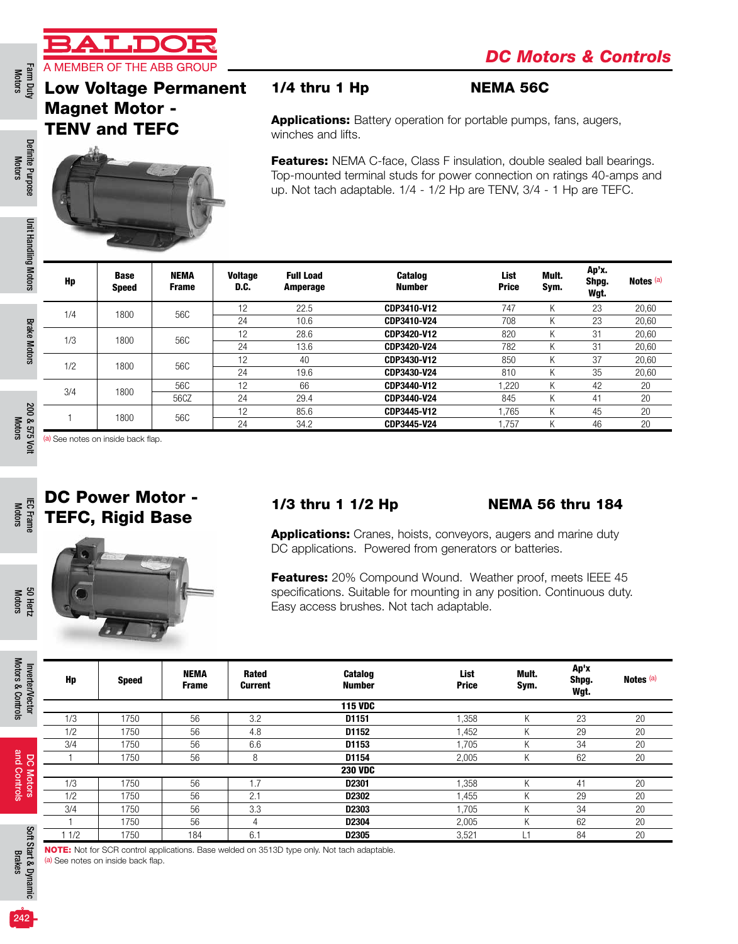

Farm Duty<br>Motors

## Low Voltage Permanent Magnet Motor - TENV and TEFC



### 1/4 thru 1 Hp NEMA 56C

Applications: Battery operation for portable pumps, fans, augers, winches and lifts.

Features: NEMA C-face, Class F insulation, double sealed ball bearings. Top-mounted terminal studs for power connection on ratings 40-amps and up. Not tach adaptable. 1/4 - 1/2 Hp are TENV, 3/4 - 1 Hp are TEFC.

| Hp  | <b>Base</b><br><b>Speed</b> | <b>NEMA</b><br><b>Frame</b> | <b>Voltage</b><br>D.C. | <b>Full Load</b><br>Amperage | <b>Catalog</b><br><b>Number</b> | List<br><b>Price</b> | Mult.<br>Sym. | Ap'x.<br>Shpg.<br>Wgt. | Notes (a) |
|-----|-----------------------------|-----------------------------|------------------------|------------------------------|---------------------------------|----------------------|---------------|------------------------|-----------|
| 1/4 | 1800                        | 56C                         | 12                     | 22.5                         | CDP3410-V12                     | 747                  | K             | 23                     | 20,60     |
|     |                             |                             | 24                     | 10.6                         | CDP3410-V24                     | 708                  | K             | 23                     | 20,60     |
| 1/3 | 1800                        | 56C                         | 12                     | 28.6                         | CDP3420-V12                     | 820                  | K             | 31                     | 20,60     |
|     |                             |                             | 24                     | 13.6                         | CDP3420-V24                     | 782                  | K             | 31                     | 20,60     |
| 1/2 | 1800                        | 56C                         | 12                     | 40                           | CDP3430-V12                     | 850                  | K             | 37                     | 20,60     |
|     |                             |                             | 24                     | 19.6                         | CDP3430-V24                     | 810                  | Κ             | 35                     | 20,60     |
| 3/4 | 1800                        | 56C                         | 12                     | 66                           | CDP3440-V12                     | ,220                 | K             | 42                     | 20        |
|     |                             | 56CZ                        | 24                     | 29.4                         | CDP3440-V24                     | 845                  | K             | 41                     | 20        |
|     |                             | 56C                         | 12                     | 85.6                         | CDP3445-V12                     | .765                 | K             | 45                     | 20        |
|     | 1800                        |                             | 24                     | 34.2                         | CDP3445-V24                     | .757                 | K             | 46                     | 20        |

(a) See notes on inside back flap.



#### 1/3 thru 1 1/2 Hp NEMA 56 thru 184

**Applications:** Cranes, hoists, conveyors, augers and marine duty DC applications. Powered from generators or batteries.

Features: 20% Compound Wound. Weather proof, meets IEEE 45 specifications. Suitable for mounting in any position. Continuous duty. Easy access brushes. Not tach adaptable.

| Hp  | <b>Speed</b> | <b>NEMA</b><br><b>Frame</b> | Rated<br>Current | <b>Catalog</b><br><b>Number</b> | List<br><b>Price</b> | Mult.<br>Sym. | Ap'x<br>Shpg.<br>Wgt. | Notes <sup>(a)</sup> |
|-----|--------------|-----------------------------|------------------|---------------------------------|----------------------|---------------|-----------------------|----------------------|
|     |              |                             |                  | <b>115 VDC</b>                  |                      |               |                       |                      |
| 1/3 | 1750         | 56                          | 3.2              | D1151                           | 1,358                | K             | 23                    | 20                   |
| 1/2 | 1750         | 56                          | 4.8              | D1152                           | 1,452                | Κ             | 29                    | 20                   |
| 3/4 | 1750         | 56                          | 6.6              | D1153                           | 1,705                | Κ             | 34                    | 20                   |
|     | 1750         | 56                          | 8                | D1154                           | 2,005                | K             | 62                    | 20                   |
|     |              |                             |                  | <b>230 VDC</b>                  |                      |               |                       |                      |
| 1/3 | 1750         | 56                          | .7               | D <sub>2301</sub>               | 1,358                | K             | 41                    | 20                   |
| 1/2 | 1750         | 56                          | 2.1              | D2302                           | 1,455                | Κ             | 29                    | 20                   |
| 3/4 | 1750         | 56                          | 3.3              | D2303                           | 1,705                | K             | 34                    | 20                   |
|     | 1750         | 56                          | 4                | D2304                           | 2,005                | Κ             | 62                    | 20                   |
| 1/2 | 1750         | 184                         | 6.1              | D2305                           | 3,521                | .1            | 84                    | 20                   |

NOTE: Not for SCR control applications. Base welded on 3513D type only. Not tach adaptable. (a) See notes on inside back flap.

Motors 50 Hertz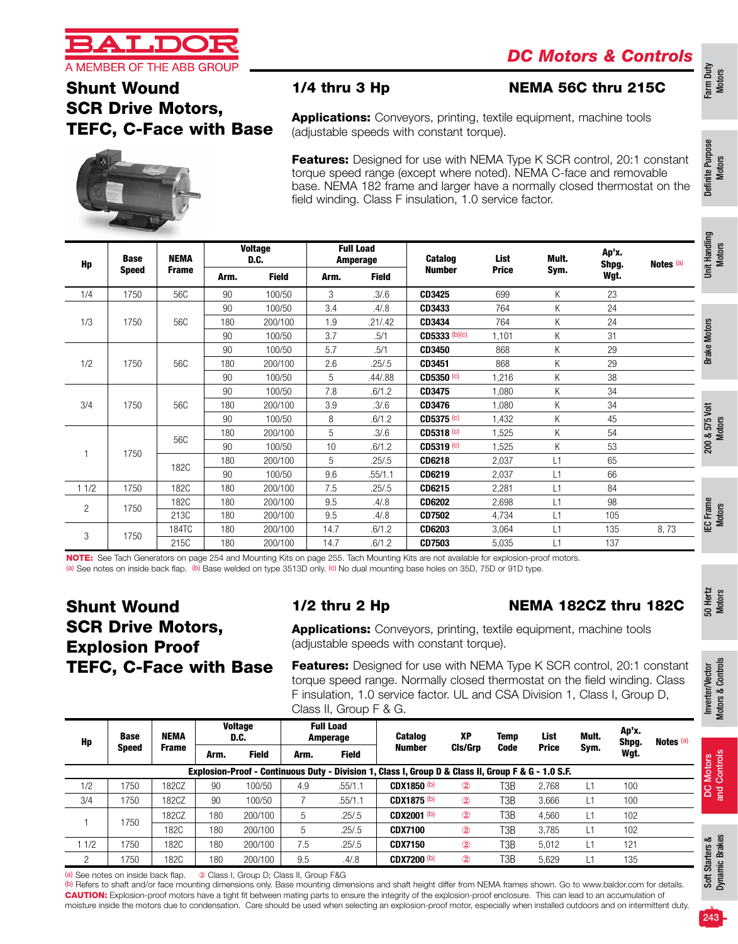

# Shunt Wound SCR Drive Motors, TEFC, C-Face with Base

#### 1/4 thru 3 Hp NEMA 56C thru 215C

Applications: Conveyors, printing, textile equipment, machine tools (adjustable speeds with constant torque).

**Features:** Designed for use with NEMA Type K SCR control, 20:1 constant torque speed range (except where noted). NEMA C-face and removable base. NEMA 182 frame and larger have a normally closed thermostat on the field winding. Class F insulation, 1.0 service factor.

| Hp             | <b>Base</b><br><b>Speed</b> | <b>NEMA</b>  |      | <b>Voltage</b><br>D.C. |      | <b>Full Load</b><br><b>Amperage</b> | <b>Catalog</b>        | List         | Mult. | Ap'x.<br>Shpg. | Notes (a) |
|----------------|-----------------------------|--------------|------|------------------------|------|-------------------------------------|-----------------------|--------------|-------|----------------|-----------|
|                |                             | <b>Frame</b> | Arm. | <b>Field</b>           | Arm. | <b>Field</b>                        | <b>Number</b>         | <b>Price</b> | Sym.  | Wgt.           |           |
| 1/4            | 1750                        | 56C          | 90   | 100/50                 | 3    | .3/6                                | CD3425                | 699          | K     | 23             |           |
|                |                             |              | 90   | 100/50                 | 3.4  | .4/0.8                              | CD3433                | 764          | K     | 24             |           |
| 1/3            | 1750                        | 56C          | 180  | 200/100                | 1.9  | .21/.42                             | CD3434                | 764          | K     | 24             |           |
|                |                             |              | 90   | 100/50                 | 3.7  | .5/1                                | CD5333 (b)(c)         | 1,101        | Κ     | 31             |           |
|                |                             |              | 90   | 100/50                 | 5.7  | .5/1                                | CD3450                | 868          | K     | 29             |           |
| 1/2            | 1750                        | 56C          | 180  | 200/100                | 2.6  | .25/0.5                             | CD3451                | 868          | K     | 29             |           |
|                |                             |              | 90   | 100/50                 | 5    | .44/.88                             | CD5350 (c)            | 1,216        | K     | 38             |           |
|                |                             |              | 90   | 100/50                 | 7.8  | .6/1.2                              | CD3475                | 1,080        | K     | 34             |           |
| 3/4            | 1750                        | 56C          | 180  | 200/100                | 3.9  | .3/6.                               | CD3476                | 1,080        | K     | 34             |           |
|                |                             |              | 90   | 100/50                 | 8    | .6/1.2                              | $CD5375$ (c)          | 1,432        | K     | 45             |           |
|                |                             |              | 180  | 200/100                | 5    | .3/6.                               | CD5318 <sup>(c)</sup> | 1,525        | Κ     | 54             |           |
|                |                             | 56C          | 90   | 100/50                 | 10   | .6/1.2                              | CD5319 <sub>(c)</sub> | 1,525        | K     | 53             |           |
|                | 1750                        |              | 180  | 200/100                | 5    | .25/.5                              | CD6218                | 2,037        | L1    | 65             |           |
|                |                             | 182C         | 90   | 100/50                 | 9.6  | .55/1.1                             | CD6219                | 2,037        | L1    | 66             |           |
| 11/2           | 1750                        | 182C         | 180  | 200/100                | 7.5  | .25/.5                              | CD6215                | 2,281        | L1    | 84             |           |
|                |                             | 182C         | 180  | 200/100                | 9.5  | .4/0.8                              | <b>CD6202</b>         | 2,698        | L1    | 98             |           |
| $\overline{2}$ | 1750                        | 213C         | 180  | 200/100                | 9.5  | .4/0.8                              | <b>CD7502</b>         | 4,734        | L1    | 105            |           |
|                |                             | 184TC        | 180  | 200/100                | 14.7 | .6/1.2                              | <b>CD6203</b>         | 3,064        | L1    | 135            | 8,73      |
| 3              | 1750                        | 215C         | 180  | 200/100                | 14.7 | .6/1.2                              | CD7503                | 5,035        | L1    | 137            |           |

NOTE: See Tach Generators on page 254 and Mounting Kits on page 255. Tach Mounting Kits are not available for explosion-proof motors.

(a) See notes on inside back flap. (b) Base welded on type 3513D only. (c) No dual mounting base holes on 35D, 75D or 91D type.

## Shunt Wound SCR Drive Motors, Explosion Proof TEFC, C-Face with Base

#### 1/2 thru 2 Hp NEMA 182CZ thru 182C

Applications: Conveyors, printing, textile equipment, machine tools (adjustable speeds with constant torque).

Features: Designed for use with NEMA Type K SCR control, 20:1 constant torque speed range. Normally closed thermostat on the field winding. Class F insulation, 1.0 service factor. UL and CSA Division 1, Class I, Group D, Class II, Group F & G.

| Hp  | <b>Base</b><br><b>Speed</b>                                                                                                                                                                                                                                                                                                                                                                                                                                                                                     | NEMA         |      | <b>Voltage</b><br>D.C. |      | <b>Full Load</b><br><b>Amperage</b> | <b>Catalog</b>     | XP             | <b>Temp</b> | List         | Mult. | Ap'x.<br>Shpg. | Notes (a) |                  |  |
|-----|-----------------------------------------------------------------------------------------------------------------------------------------------------------------------------------------------------------------------------------------------------------------------------------------------------------------------------------------------------------------------------------------------------------------------------------------------------------------------------------------------------------------|--------------|------|------------------------|------|-------------------------------------|--------------------|----------------|-------------|--------------|-------|----------------|-----------|------------------|--|
|     |                                                                                                                                                                                                                                                                                                                                                                                                                                                                                                                 | <b>Frame</b> | Arm. | <b>Field</b>           | Arm. | <b>Field</b>                        | Number             | Cls/Grp        | Code        | <b>Price</b> | Sym.  | Wgt.           |           |                  |  |
|     | Motors<br>Controls<br>Explosion-Proof - Continuous Duty - Division 1, Class I, Group D & Class II, Group F & G - 1.0 S.F.                                                                                                                                                                                                                                                                                                                                                                                       |              |      |                        |      |                                     |                    |                |             |              |       |                |           |                  |  |
| 1/2 | 1750                                                                                                                                                                                                                                                                                                                                                                                                                                                                                                            | 182CZ        | 90   | 100/50                 | 4.9  | .55/1.1                             | CDX1850 (b)        | $^\circledR$   | T3B         | 2.768        |       | 100            |           | ျှ<br>and        |  |
| 3/4 | 1750                                                                                                                                                                                                                                                                                                                                                                                                                                                                                                            | 182CZ        | 90   | 100/50                 |      | .55/1.1                             | CDX1875 (b)        | $\circledR$    | T3B         | 3,666        |       | 100            |           |                  |  |
|     |                                                                                                                                                                                                                                                                                                                                                                                                                                                                                                                 | 182CZ        | 180  | 200/100                | b.   | .25/0.5                             | <b>CDX2001 (b)</b> | $\circled{2}$  | T3B         | 4,560        |       | 102            |           |                  |  |
|     | 1750                                                                                                                                                                                                                                                                                                                                                                                                                                                                                                            | 182C         | 180  | 200/100                | 5.   | .25/.5                              | <b>CDX7100</b>     | $^{\circledR}$ | T3B         | 3.785        | L1    | 102            |           |                  |  |
| 1/2 | 1750                                                                                                                                                                                                                                                                                                                                                                                                                                                                                                            | 182C         | 180  | 200/100                | 7.5  | .25/0.5                             | <b>CDX7150</b>     | $\circled{2}$  | T3B         | 5,012        |       | 121            |           | ters &<br>Brakes |  |
| 2   | 1750                                                                                                                                                                                                                                                                                                                                                                                                                                                                                                            | 182C         | 180  | 200/100                | 9.5  | .4/0.8                              | <b>CDX7200 (b)</b> | $\circled{2}$  | T3B         | 5,629        |       | 135            |           |                  |  |
|     | Soft Star<br>Dynamic<br>2 Class I, Group D; Class II, Group F&G<br>(a) See notes on inside back flap.<br>(b) Refers to shaft and/or face mounting dimensions only. Base mounting dimensions and shaft height differ from NEMA frames shown. Go to www.baldor.com for details.<br>A REPORTED THE REPORT OF THE REPORT OF THE REPORT OF THE REPORT OF THE REPORT OF THE REPORT OF THE REPORT OF THE REPORT OF THE REPORT OF THE REPORT OF THE REPORT OF THE REPORT OF THE REPORT OF THE REPORT OF THE REPORT OF T |              |      |                        |      |                                     |                    |                |             |              |       |                |           |                  |  |

CAUTION: Explosion-proof motors have a tight fit between mating parts to ensure the integrity of the explosion-proof enclosure. This can lead to an accumulation of moisture inside the motors due to condensation. Care should be used when selecting an explosion-proof motor, especially when installed outdoors and on intermittent duty. (b) Refers to shaft and/or face mounting dimensions only. Base mounting dimensions and shaft height differ from NEMA frames shown. Go to www.baldor.com for details.

Definite Purpose Definite Purpose<br>Motors

Farm Duty Motors

Motors

Motors

Motors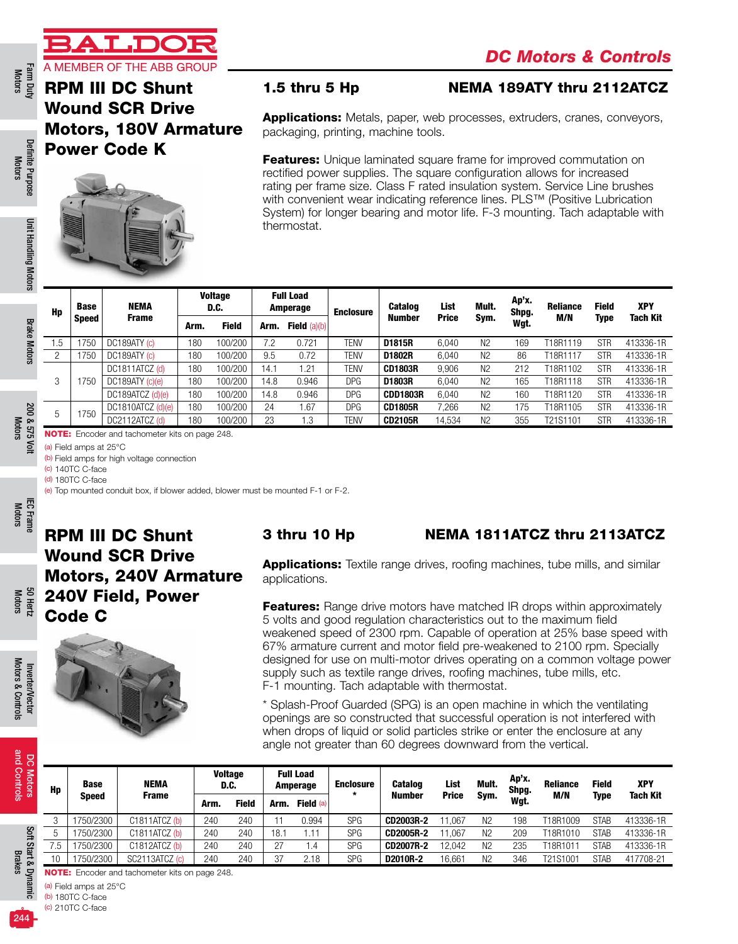

Farm Duty Definite Punt Handling Motors Brake Motors 200 & 575 Volt IEC Frame IEC Frame Sol Hertz Inverter/Vector<br>Motors Motors Motors Motors Brake Motors Motors Motors Motors Motors Motors Motors and Controls Brakes Brake Farm Duty<br>Motors

Definite Purpose Motors

Definite Purpose

Unit Handling Motors

Unit Handling Motors

Brake Motors

**Brake Motors** 

200 & 575 Volt Motors

ěμ

200 & 575

IEC Frame Motors

Motors 50 Hertz

Motors & Controls

Motors & Controls

and Controls

and Controls Motors RPM III DC Shunt Wound SCR Drive Motors, 180V Armature Power Code K



#### 1.5 thru 5 Hp NEMA 189ATY thru 2112ATCZ

**Applications:** Metals, paper, web processes, extruders, cranes, conveyors, packaging, printing, machine tools.

**Features:** Unique laminated square frame for improved commutation on rectified power supplies. The square configuration allows for increased rating per frame size. Class F rated insulation system. Service Line brushes with convenient wear indicating reference lines. PLS™ (Positive Lubrication System) for longer bearing and motor life. F-3 mounting. Tach adaptable with thermostat.

| Hp  | Base                                                  | NEMA                 |      | <b>Voltage</b><br>D.C. |      | <b>Full Load</b><br>Amperage | <b>Enclosure</b> | <b>Catalog</b>  | List         | Mult.          | Ap'x.<br>Shpg. | <b>Reliance</b> | <b>Field</b> | <b>XPY</b>      |
|-----|-------------------------------------------------------|----------------------|------|------------------------|------|------------------------------|------------------|-----------------|--------------|----------------|----------------|-----------------|--------------|-----------------|
|     | <b>Speed</b>                                          | <b>Frame</b>         | Arm. | <b>Field</b>           | Arm. | Field $(a)(b)$               |                  | Number          | <b>Price</b> | Sym.           | Wgt.           | M/N             | Type         | <b>Tach Kit</b> |
| 1.5 | 750                                                   | DC189ATY (c)         | 180  | 100/200                | 7.2  | 0.721                        | TENV             | D1815R          | 6,040        | N <sub>2</sub> | 169            | T18R1119        | <b>STR</b>   | 413336-1R       |
| 2   | 1750                                                  | DC189ATY (c)         | 180  | 100/200                | 9.5  | 0.72                         | TENV             | D1802R          | 6.040        | N <sub>2</sub> | 86             | T18R1117        | <b>STR</b>   | 413336-1R       |
|     |                                                       | DC1811ATCZ (d)       | 180  | 100/200                | 14.1 | 1.21                         | TENV             | <b>CD1803R</b>  | 9.906        | N <sub>2</sub> | 212            | T18R1102        | <b>STR</b>   | 413336-1R       |
| 3   | 750                                                   | $DC189$ ATY $(c)(e)$ | 180  | 100/200                | 14.8 | 0.946                        | <b>DPG</b>       | D1803R          | 6.040        | N <sub>2</sub> | 165            | T18R1118        | <b>STR</b>   | 413336-1R       |
|     |                                                       | DC189ATCZ (d)(e)     | 180  | 100/200                | 14.8 | 0.946                        | <b>DPG</b>       | <b>CDD1803R</b> | 6.040        | N <sub>2</sub> | 160            | T18R1120        | <b>STR</b>   | 413336-1R       |
|     | 1750                                                  | $DC1810ATCZ$ (d)(e)  | 180  | 100/200                | 24   | 1.67                         | <b>DPG</b>       | <b>CD1805R</b>  | 7.266        | N <sub>2</sub> | 175            | T18R1105        | <b>STR</b>   | 413336-1R       |
| 5   |                                                       | DC2112ATCZ (d)       | 180  | 100/200                | 23   | 1.3                          | TENV             | <b>CD2105R</b>  | 14,534       | N <sub>2</sub> | 355            | T21S1101        | <b>STR</b>   | 413336-1R       |
|     | <b>NOTE:</b> Encoder and tachometer kits on page 248. |                      |      |                        |      |                              |                  |                 |              |                |                |                 |              |                 |

(a) Field amps at 25°C

(b) Field amps for high voltage connection (c) 140TC C-face

(d) 180TC C-face

(e) Top mounted conduit box, if blower added, blower must be mounted F-1 or F-2.

RPM III DC Shunt Wound SCR Drive Motors, 240V Armature 240V Field, Power Code C



#### 3 thru 10 Hp NEMA 1811ATCZ thru 2113ATCZ

**Applications:** Textile range drives, roofing machines, tube mills, and similar applications.

**Features:** Range drive motors have matched IR drops within approximately 5 volts and good regulation characteristics out to the maximum field weakened speed of 2300 rpm. Capable of operation at 25% base speed with 67% armature current and motor field pre-weakened to 2100 rpm. Specially designed for use on multi-motor drives operating on a common voltage power supply such as textile range drives, roofing machines, tube mills, etc. F-1 mounting. Tach adaptable with thermostat.

\* Splash-Proof Guarded (SPG) is an open machine in which the ventilating openings are so constructed that successful operation is not interfered with when drops of liquid or solid particles strike or enter the enclosure at any angle not greater than 60 degrees downward from the vertical.

| 8               |     |                              |                                                       |      |                        |      |                              |                             |                  |              |                |                |                 |              |                 |
|-----------------|-----|------------------------------|-------------------------------------------------------|------|------------------------|------|------------------------------|-----------------------------|------------------|--------------|----------------|----------------|-----------------|--------------|-----------------|
| Motors          | Hp  | <b>Base</b>                  | <b>NEMA</b>                                           |      | <b>Voltage</b><br>D.C. |      | <b>Full Load</b><br>Amperage | <b>Enclosure</b><br>$\star$ | <b>Catalog</b>   | List         | Mult.          | Ap'x.<br>Shpg. | <b>Reliance</b> | <b>Field</b> | <b>XPY</b>      |
|                 |     | <b>Frame</b><br><b>Speed</b> |                                                       | Arm. | <b>Field</b>           | Arm. | Field (a)                    |                             | <b>Number</b>    | <b>Price</b> | Sym.           | Wgt.           | M/N             | Type         | <b>Tach Kit</b> |
|                 | 3   | 1750/2300                    | C1811ATCZ (b)                                         | 240  | 240                    |      | 0.994                        | <b>SPG</b>                  | CD2003R-2        | 11.067       | N <sub>2</sub> | 198            | T18R1009        | <b>STAB</b>  | 413336-1R       |
| Soft            | b   | 1750/2300                    | C1811ATCZ <sub>(b)</sub>                              | 240  | 240                    | 18.1 | 1.11                         | <b>SPG</b>                  | <b>CD2005R-2</b> | 11.067       | N <sub>2</sub> | 209            | T18R1010        | <b>STAB</b>  | 413336-1R       |
|                 | 7.5 | 1750/2300                    | C1812ATCZ(b)                                          | 240  | 240                    | 27   | 1.4                          | <b>SPG</b>                  | <b>CD2007R-2</b> | 12.042       | N <sub>2</sub> | 235            | T18R1011        | <b>STAB</b>  | 413336-1R       |
|                 | 10  | 1750/2300                    | SC2113ATCZ (c)                                        | 240  | 240                    | 37   | 2.18                         | <b>SPG</b>                  | D2010R-2         | 16,661       | N <sub>2</sub> | 346            | T21S1001        | <b>STAB</b>  | 417708-21       |
| Start & Dynamic |     |                              | <b>NOTE:</b> Encoder and tachometer kits on page 248. |      |                        |      |                              |                             |                  |              |                |                |                 |              |                 |
|                 | (a) | Field amps at 25°C           |                                                       |      |                        |      |                              |                             |                  |              |                |                |                 |              |                 |
|                 |     | $(b)$ 180TC C-face           |                                                       |      |                        |      |                              |                             |                  |              |                |                |                 |              |                 |

(c) 210TC C-face

Brakes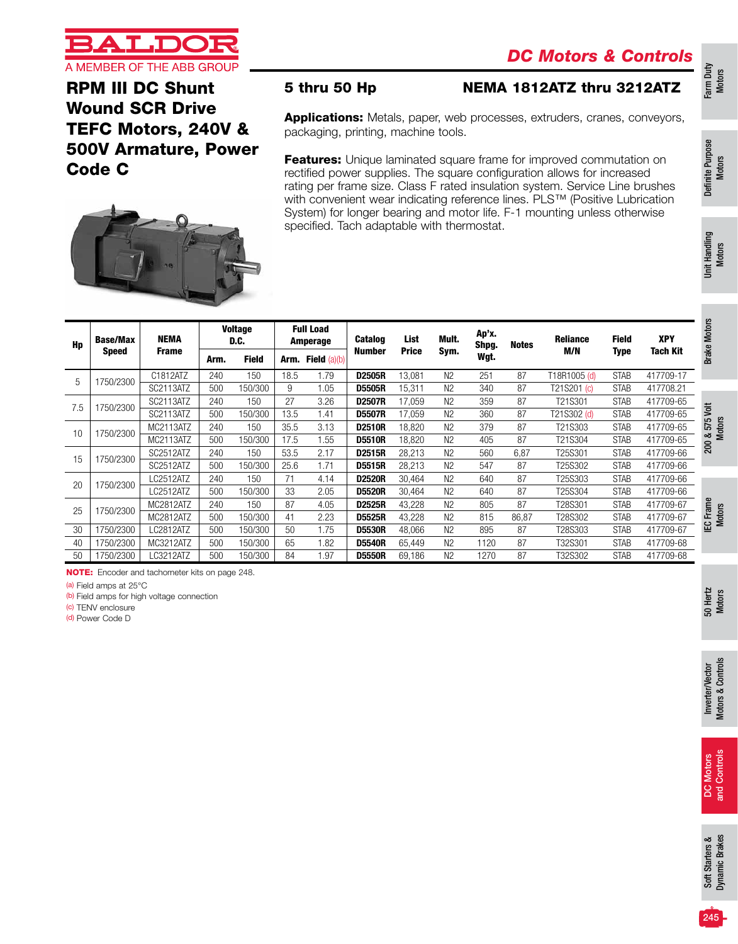

RPM III DC Shunt Wound SCR Drive TEFC Motors, 240V & 500V Armature, Power Code C



#### 5 thru 50 Hp NEMA 1812ATZ thru 3212ATZ

Applications: Metals, paper, web processes, extruders, cranes, conveyors, packaging, printing, machine tools.

**Features:** Unique laminated square frame for improved commutation on rectified power supplies. The square configuration allows for increased rating per frame size. Class F rated insulation system. Service Line brushes with convenient wear indicating reference lines. PLS™ (Positive Lubrication System) for longer bearing and motor life. F-1 mounting unless otherwise specified. Tach adaptable with thermostat.

| Hp  | <b>Base/Max</b> | NEMA             |      | <b>Voltage</b><br>D.C. |      | <b>Full Load</b><br>Amperage | <b>Catalog</b> | List         | Mult.          | Ap'x.<br>Shpg. | <b>Notes</b> | <b>Reliance</b> | Field       | <b>XPY</b> | Motor;           |
|-----|-----------------|------------------|------|------------------------|------|------------------------------|----------------|--------------|----------------|----------------|--------------|-----------------|-------------|------------|------------------|
|     | Speed           | <b>Frame</b>     | Arm. | <b>Field</b>           | Arm. | <b>Field</b> $(a)(b)$        | <b>Number</b>  | <b>Price</b> | Sym.           | Wgt.           |              | M/N             | Type        | Tach Kit   | <b>Brake</b>     |
| 5   | 1750/2300       | C1812ATZ         | 240  | 150                    | 18.5 | 1.79                         | <b>D2505R</b>  | 13,081       | N <sub>2</sub> | 251            | 87           | T18R1005 (d)    | <b>STAB</b> | 417709-17  |                  |
|     |                 | SC2113ATZ        | 500  | 150/300                | 9    | 1.05                         | <b>D5505R</b>  | 15,311       | N <sub>2</sub> | 340            | 87           | T21S201 (c)     | <b>STAB</b> | 417708.21  |                  |
| 7.5 | 1750/2300       | SC2113ATZ        | 240  | 150                    | 27   | 3.26                         | <b>D2507R</b>  | 17,059       | N <sub>2</sub> | 359            | 87           | T21S301         | <b>STAB</b> | 417709-65  |                  |
|     |                 | SC2113ATZ        | 500  | 150/300                | 13.5 | 1.41                         | <b>D5507R</b>  | 17,059       | N <sub>2</sub> | 360            | 87           | T21S302 (d)     | <b>STAB</b> | 417709-65  | jst<br>5         |
| 10  | 1750/2300       | MC2113ATZ        | 240  | 150                    | 35.5 | 3.13                         | <b>D2510R</b>  | 18.820       | N <sub>2</sub> | 379            | 87           | T21S303         | <b>STAB</b> | 417709-65  | 57               |
|     |                 | MC2113ATZ        | 500  | 150/300                | 17.5 | 1.55                         | <b>D5510R</b>  | 18,820       | N <sub>2</sub> | 405            | 87           | T21S304         | <b>STAB</b> | 417709-65  | $200 \text{ \&}$ |
| 15  | 1750/2300       | SC2512ATZ        | 240  | 150                    | 53.5 | 2.17                         | <b>D2515R</b>  | 28,213       | N <sub>2</sub> | 560            | 6,87         | T25S301         | <b>STAB</b> | 417709-66  |                  |
|     |                 | SC2512ATZ        | 500  | 150/300                | 25.6 | 1.71                         | <b>D5515R</b>  | 28.213       | N <sub>2</sub> | 547            | 87           | T25S302         | <b>STAB</b> | 417709-66  |                  |
| 20  | 1750/2300       | <b>LC2512ATZ</b> | 240  | 150                    |      | 4.14                         | <b>D2520R</b>  | 30.464       | N <sub>2</sub> | 640            | 87           | T25S303         | <b>STAB</b> | 417709-66  |                  |
|     |                 | LC2512ATZ        | 500  | 150/300                | 33   | 2.05                         | <b>D5520R</b>  | 30.464       | N <sub>2</sub> | 640            | 87           | T25S304         | <b>STAB</b> | 417709-66  |                  |
| 25  | 1750/2300       | MC2812ATZ        | 240  | 150                    | 87   | 4.05                         | <b>D2525R</b>  | 43,228       | N <sub>2</sub> | 805            | 87           | T28S301         | <b>STAB</b> | 417709-67  | Frame            |
|     |                 | MC2812ATZ        | 500  | 150/300                | 41   | 2.23                         | <b>D5525R</b>  | 43.228       | N <sub>2</sub> | 815            | 86,87        | T28S302         | <b>STAB</b> | 417709-67  | د                |
| 30  | 1750/2300       | LC2812ATZ        | 500  | 150/300                | 50   | 1.75                         | <b>D5530R</b>  | 48.066       | N <sub>2</sub> | 895            | 87           | T28S303         | <b>STAB</b> | 417709-67  | 罒                |
| 40  | 1750/2300       | MC3212ATZ        | 500  | 150/300                | 65   | 1.82                         | <b>D5540R</b>  | 65,449       | N <sub>2</sub> | 1120           | 87           | T32S301         | <b>STAB</b> | 417709-68  |                  |
| 50  | 1750/2300       | LC3212ATZ        | 500  | 150/300                | 84   | 1.97                         | <b>D5550R</b>  | 69,186       | N <sub>2</sub> | 1270           | 87           | T32S302         | <b>STAB</b> | 417709-68  |                  |

NOTE: Encoder and tachometer kits on page 248.

(a) Field amps at 25°C

(b) Field amps for high voltage connection

(c) TENV enclosure

(d) Power Code D

50 Hertz Motors

Inverter/Vector<br>Motors & Controls Motors & Controls Inverter/Vector

and Controls and Controls **Motors** DC Motors 8

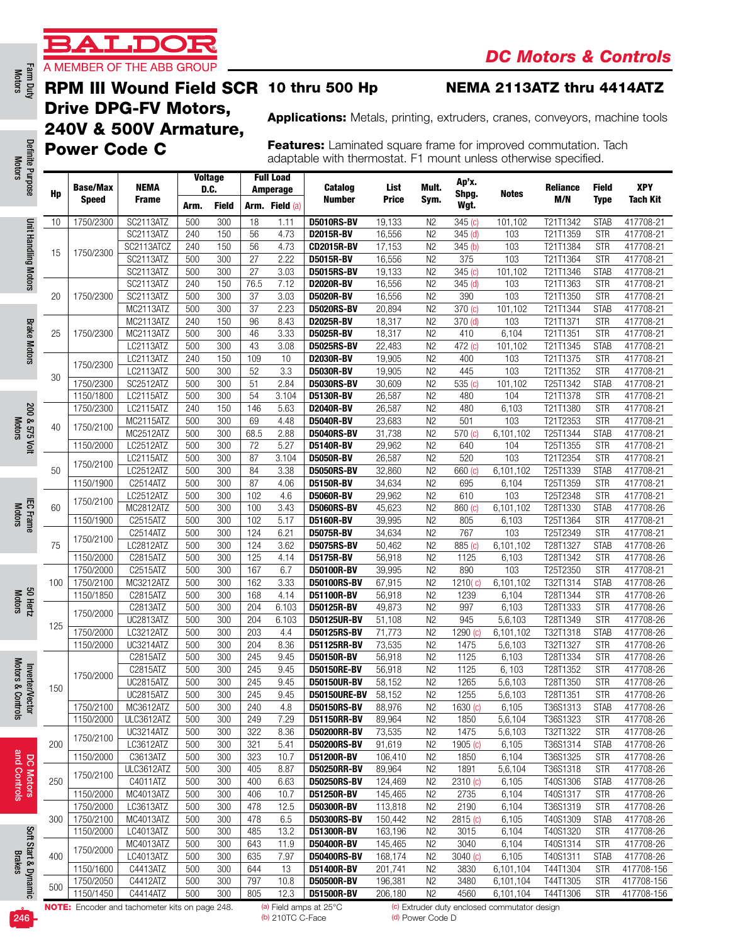

#### RPM III Wound Field SCR 10 thru 500 Hp

#### NEMA 2113ATZ thru 4414ATZ

Drive DPG-FV Motors, 240V & 500V Armature, Power Code C

Applications: Metals, printing, extruders, cranes, conveyors, machine tools

Features: Laminated square frame for improved commutation. Tach adaptable with thermostat. F1 mount unless otherwise specified.

| Hp  | <b>Base/Max</b> | <b>NEMA</b>                  |            | <b>Voltage</b><br>D.C. |                 | <b>Full Load</b><br>Amperage | Catalog                          | List             | Mult.                            | Ap'x.<br>Shpg. | <b>Notes</b>           | <b>Reliance</b>      | Field                    | <b>XPY</b>             |
|-----|-----------------|------------------------------|------------|------------------------|-----------------|------------------------------|----------------------------------|------------------|----------------------------------|----------------|------------------------|----------------------|--------------------------|------------------------|
|     | <b>Speed</b>    | <b>Frame</b>                 | Arm.       | <b>Field</b>           |                 | <b>Arm. Field (a)</b>        | <b>Number</b>                    | Price            | Sym.                             | Wgt.           |                        | M/N                  | Type                     | <b>Tach Kit</b>        |
| 10  | 1750/2300       | SC2113ATZ                    | 500        | 300                    | 18              | 1.11                         | <b>D5010RS-BV</b>                | 19,133           | N <sub>2</sub>                   | $345$ (c)      | 101,102                | T21T1342             | <b>STAB</b>              | 417708-21              |
|     |                 | SC2113ATZ                    | 240        | 150                    | 56              | 4.73                         | D2015R-BV                        | 16,556           | N <sub>2</sub>                   | $345$ (d)      | 103                    | T21T1359             | <b>STR</b>               | 417708-21              |
| 15  | 1750/2300       | SC2113ATCZ                   | 240        | 150                    | 56              | 4.73                         | <b>CD2015R-BV</b>                | 17,153           | N <sub>2</sub>                   | 345(b)         | 103                    | T21T1384             | <b>STR</b>               | 417708-21              |
|     |                 | SC2113ATZ                    | 500        | 300                    | 27              | 2.22                         | <b>D5015R-BV</b>                 | 16,556           | N <sub>2</sub>                   | 375            | 103                    | T21T1364             | <b>STR</b>               | 417708-21              |
|     |                 | SC2113ATZ                    | 500        | 300                    | $\overline{27}$ | 3.03                         | <b>D5015RS-BV</b>                | 19,133           | N <sub>2</sub>                   | 345(c)         | 101,102                | T21T1346             | <b>STAB</b>              | 417708-21              |
|     |                 | SC2113ATZ                    | 240        | 150                    | 76.5            | 7.12                         | <b>D2020R-BV</b>                 | 16,556           | N <sub>2</sub>                   | $345$ (d)      | 103                    | T21T1363             | <b>STR</b>               | 417708-21              |
| 20  | 1750/2300       | SC2113ATZ                    | 500        | 300                    | 37              | 3.03                         | <b>D5020R-BV</b>                 | 16,556           | N <sub>2</sub>                   | 390            | 103                    | T21T1350             | <b>STR</b>               | 417708-21              |
|     |                 | MC2113ATZ                    | 500        | 300                    | 37              | 2.23                         | <b>D5020RS-BV</b>                | 20,894           | N <sub>2</sub>                   | 370 (c)        | 101.102                | T21T1344             | <b>STAB</b>              | 417708-21              |
|     |                 | MC2113ATZ                    | 240        | 150                    | 96              | 8.43                         | <b>D2025R-BV</b>                 | 18,317           | N <sub>2</sub>                   | 370 (d)        | 103                    | T21T1371             | <b>STR</b>               | 417708-21              |
| 25  | 1750/2300       | MC2113ATZ                    | 500        | 300                    | 46              | 3.33                         | <b>D5025R-BV</b>                 | 18,317           | N <sub>2</sub>                   | 410            | 6,104                  | T21T1351             | <b>STR</b>               | 417708-21              |
|     |                 | LC2113ATZ                    | 500        | 300                    | 43              | 3.08                         | <b>D5025RS-BV</b>                | 22,483           | N <sub>2</sub>                   | 472 (c)        | 101,102                | T21T1345             | <b>STAB</b>              | 417708-21              |
|     | 1750/2300       | LC2113ATZ                    | 240        | 150                    | 109             | 10                           | <b>D2030R-BV</b>                 | 19,905           | N <sub>2</sub>                   | 400            | 103                    | T21T1375             | <b>STR</b>               | 417708-21              |
| 30  |                 | LC2113ATZ                    | 500        | 300                    | 52              | 3.3                          | <b>D5030R-BV</b>                 | 19,905           | N <sub>2</sub>                   | 445            | 103                    | T21T1352             | <b>STR</b>               | 417708-21              |
|     | 1750/2300       | SC2512ATZ                    | 500        | 300                    | 51              | 2.84                         | <b>D5030RS-BV</b>                | 30,609           | N <sub>2</sub>                   | 535 $(c)$      | 101,102                | T25T1342             | <b>STAB</b>              | 417708-21              |
|     | 1150/1800       | LC2115ATZ                    | 500        | 300                    | 54              | 3.104                        | D5130R-BV                        | 26,587           | N <sub>2</sub>                   | 480            | 104                    | T21T1378             | <b>STR</b>               | 417708-21              |
|     | 1750/2300       | LC2115ATZ                    | 240        | 150                    | 146             | 5.63                         | <b>D2040R-BV</b>                 | 26,587           | N <sub>2</sub>                   | 480            | 6,103                  | T21T1380             | <b>STR</b>               | 417708-21              |
| 40  | 1750/2100       | MC2115ATZ                    | 500        | 300                    | 69              | 4.48                         | <b>D5040R-BV</b>                 | 23,683           | N <sub>2</sub>                   | 501            | 103                    | T21T2353             | <b>STR</b>               | 417708-21              |
|     |                 | MC2512ATZ                    | 500        | 300                    | 68.5            | 2.88                         | <b>D5040RS-BV</b>                | 31,738           | N <sub>2</sub>                   | 570 (c)        | 6,101,102              | T25T1344             | <b>STAB</b>              | 417708-21              |
|     | 1150/2000       | LC2512ATZ                    | 500        | 300                    | 72              | 5.27                         | D5140R-BV                        | 29,962           | N <sub>2</sub>                   | 640            | 104                    | T25T1355             | <b>STR</b>               | 417708-21              |
|     | 1750/2100       | LC2115ATZ                    | 500        | 300                    | 87              | 3.104                        | <b>D5050R-BV</b>                 | 26,587           | N <sub>2</sub>                   | 520            | 103                    | T21T2354             | <b>STR</b>               | 417708-21              |
| 50  |                 | LC2512ATZ                    | 500        | 300                    | 84              | 3.38                         | <b>D5050RS-BV</b>                | 32,860           | N <sub>2</sub>                   | 660 (c)        | 6,101,102              | T25T1339             | <b>STAB</b>              | 417708-21              |
|     | 1150/1900       | C2514ATZ                     | 500        | 300                    | 87              | 4.06                         | <b>D5150R-BV</b>                 | 34,634           | N <sub>2</sub>                   | 695            | 6,104                  | T25T1359             | <b>STR</b>               | 417708-21              |
|     | 1750/2100       | LC2512ATZ                    | 500        | 300                    | 102             | 4.6                          | <b>D5060R-BV</b>                 | 29,962           | N <sub>2</sub>                   | 610            | 103                    | T25T2348             | <b>STR</b>               | 417708-21              |
| 60  |                 | MC2812ATZ                    | 500        | 300                    | 100             | 3.43                         | <b>D5060RS-BV</b>                | 45,623           | N <sub>2</sub>                   | 860 (c)        | 6,101,102              | T28T1330             | <b>STAB</b>              | 417708-26              |
|     | 1150/1900       | C2515ATZ                     | 500        | 300                    | 102             | 5.17                         | D5160R-BV                        | 39,995           | N <sub>2</sub>                   | 805            | 6,103                  | T25T1364             | <b>STR</b>               | 417708-21              |
|     | 1750/2100       | C2514ATZ                     | 500        | 300                    | 124             | 6.21                         | D5075R-BV                        | 34,634           | N <sub>2</sub>                   | 767            | 103                    | T25T2349             | <b>STR</b>               | 417708-21              |
| 75  |                 | LC2812ATZ                    | 500        | 300                    | 124             | 3.62                         | <b>D5075RS-BV</b>                | 50,462           | N <sub>2</sub>                   | 885 (c)        | 6,101,102              | T28T1327             | <b>STAB</b>              | 417708-26              |
|     | 1150/2000       | C2815ATZ                     | 500        | 300                    | 125             | 4.14                         | D5175R-BV                        | 56,918           | N <sub>2</sub>                   | 1125           | 6,103                  | T28T1342             | <b>STR</b>               | 417708-26              |
|     | 1750/2000       | C2515ATZ                     | 500        | 300                    | 167             | 6.7                          | D50100R-BV                       | 39,995           | N <sub>2</sub>                   | 890            | 103                    | T25T2350             | <b>STR</b>               | 417708-21              |
| 100 | 1750/2100       | MC3212ATZ                    | 500        | 300                    | 162             | 3.33                         | <b>D50100RS-BV</b>               | 67,915           | N <sub>2</sub>                   | 1210(c)        | 6,101,102              | T32T1314             | <b>STAB</b>              | 417708-26              |
|     | 1150/1850       | C2815ATZ                     | 500        | 300                    | 168             | 4.14                         | D51100R-BV                       | 56,918           | N <sub>2</sub>                   | 1239           | 6,104                  | T28T1344             | <b>STR</b>               | 417708-26              |
|     | 1750/2000       | C2813ATZ<br><b>UC2813ATZ</b> | 500<br>500 | 300<br>300             | 204<br>204      | 6.103                        | <b>D50125R-BV</b><br>D50125UR-BV | 49,873           | N <sub>2</sub><br>N <sub>2</sub> | 997<br>945     | 6,103                  | T28T1333<br>T28T1349 | <b>STR</b><br><b>STR</b> | 417708-26<br>417708-26 |
| 125 | 1750/2000       | LC3212ATZ                    | 500        | 300                    | 203             | 6.103<br>4.4                 | <b>D50125RS-BV</b>               | 51,108<br>71,773 |                                  | 1290 (c)       | 5,6,103<br>6,101,102   |                      | <b>STAB</b>              |                        |
|     | 1150/2000       | <b>UC3214ATZ</b>             | 500        | 300                    | 204             | 8.36                         | D51125RR-BV                      | 73,535           | N <sub>2</sub><br>N <sub>2</sub> | 1475           | 5,6,103                | T32T1318<br>T32T1327 | <b>STR</b>               | 417708-26<br>417708-26 |
|     |                 |                              | 500        | 300                    | 245             |                              |                                  |                  | N <sub>2</sub>                   | 1125           |                        |                      | <b>STR</b>               |                        |
|     |                 | C2815ATZ<br>C2815ATZ         | 500        | 300                    | 245             | 9.45<br>9.45                 | D50150R-BV<br><b>D50150RE-BV</b> | 56,918<br>56,918 | N <sub>2</sub>                   | 1125           | 6,103<br>6,103         | T28T1334<br>T28T1352 | <b>STR</b>               | 417708-26<br>417708-26 |
|     | 1750/2000       | UC2815ATZ                    | 500        | 300                    | 245             | 9.45                         | D50150UR-BV                      | 58,152           | N <sub>2</sub>                   | 1265           | 5,6,103                | T28T1350             | <b>STR</b>               | 417708-26              |
| 150 |                 | UC2815ATZ                    | 500        | 300                    | 245             | 9.45                         | <b>D50150URE-BV</b>              | 58,152           | N <sub>2</sub>                   | 1255           | 5,6,103                | T28T1351             | <b>STR</b>               | 417708-26              |
|     | 1750/2100       | MC3612ATZ                    | 500        | 300                    | 240             | 4.8                          | <b>D50150RS-BV</b>               | 88.976           | N <sub>2</sub>                   | 1630 (c)       | 6,105                  | T36S1313             | <b>STAB</b>              | 417708-26              |
|     | 1150/2000       | ULC3612ATZ                   | 500        | 300                    | 249             | 7.29                         | <b>D51150RR-BV</b>               | 89,964           | N <sub>2</sub>                   | 1850           | 5,6,104                | T36S1323             | <b>STR</b>               | 417708-26              |
|     |                 | UC3214ATZ                    | 500        | 300                    | 322             | 8.36                         | <b>D50200RR-BV</b>               | 73,535           | N2                               | 1475           | 5,6,103                | T32T1322             | <b>STR</b>               | 417708-26              |
| 200 | 1750/2100       | LC3612ATZ                    | 500        | 300                    | 321             | 5.41                         | <b>D50200RS-BV</b>               | 91,619           | N <sub>2</sub>                   | 1905 (c)       | 6,105                  | T36S1314             | <b>STAB</b>              | 417708-26              |
|     | 1150/2000       | C3613ATZ                     | 500        | 300                    | 323             | 10.7                         | D51200R-BV                       | 106,410          | N <sub>2</sub>                   | 1850           | 6,104                  | T36S1325             | <b>STR</b>               | 417708-26              |
|     |                 | ULC3612ATZ                   | 500        | 300                    | 405             | 8.87                         | <b>D50250RR-BV</b>               | 89,964           | N <sub>2</sub>                   | 1891           | $\overline{5}, 6, 104$ | T36S1318             | <b>STR</b>               | 417708-26              |
| 250 | 1750/2100       | C4011ATZ                     | 500        | 300                    | 400             | 6.63                         | <b>D50250RS-BV</b>               | 124,469          | N <sub>2</sub>                   | 2310 (c)       | 6,105                  | T40S1306             | <b>STAB</b>              | 417708-26              |
|     | 1150/2000       | MC4013ATZ                    | 500        | 300                    | 406             | 10.7                         | D51250R-BV                       | 145,465          | N <sub>2</sub>                   | 2735           | 6,104                  | T40S1317             | <b>STR</b>               | 417708-26              |
|     | 1750/2000       | LC3613ATZ                    | 500        | 300                    | 478             | 12.5                         | D50300R-BV                       | 113,818          | N <sub>2</sub>                   | 2190           | 6,104                  | T36S1319             | <b>STR</b>               | 417708-26              |
| 300 | 1750/2100       | MC4013ATZ                    | 500        | 300                    | 478             | 6.5                          | <b>D50300RS-BV</b>               | 150,442          | N <sub>2</sub>                   | 2815 (c)       | 6,105                  | T40S1309             | <b>STAB</b>              | 417708-26              |
|     | 1150/2000       | LC4013ATZ                    | 500        | 300                    | 485             | 13.2                         | D51300R-BV                       | 163,196          | N <sub>2</sub>                   | 3015           | 6,104                  | T40S1320             | <b>STR</b>               | 417708-26              |
|     |                 | MC4013ATZ                    | 500        | 300                    | 643             | 11.9                         | D50400R-BV                       | 145,465          | N2                               | 3040           | 6,104                  | T40S1314             | <b>STR</b>               | 417708-26              |
| 400 | 1750/2000       | LC4013ATZ                    | 500        | 300                    | 635             | 7.97                         | <b>D50400RS-BV</b>               | 168,174          | N <sub>2</sub>                   | 3040(c)        | 6,105                  | T40S1311             | <b>STAB</b>              | 417708-26              |
|     | 1150/1600       | C4413ATZ                     | 500        | 300                    | 644             | 13                           | D51400R-BV                       | 201,741          | N <sub>2</sub>                   | 3830           | 6,101,104              | T44T1304             | <b>STR</b>               | 417708-156             |
|     | 1750/2050       | C4412ATZ                     | 500        | 300                    | 797             | 10.8                         | D50500R-BV                       | 196,381          | N2                               | 3480           | 6,101,104              | T44T1305             | <b>STR</b>               | 417708-156             |
| 500 | 1150/1450       | C4414ATZ                     | 500        | 300                    | 805             | 12.3                         | D51500R-BV                       | 206,180          | N <sub>2</sub>                   | 4560           | 6,101,104              | T44T1306             | <b>STR</b>               | 417708-156             |

Farm Duty<br>Motors

**Brake Motors** Brake Motors

200 & 575 Volt Motors

200 & 575 Volt

IEC Frame Motors

Motors 50 Hertz

Inverter/Vector<br>Motors & Controls Motors & Controls Inverter/Vector



Soft Start & Dynamic Soft Start & Dynamic<br>Brakes



(b) 210TC C-Face (d) Power Code D

NOTE: Encoder and tachometer kits on page 248. (a) Field amps at 25°C (c) Extruder duty enclosed commutator design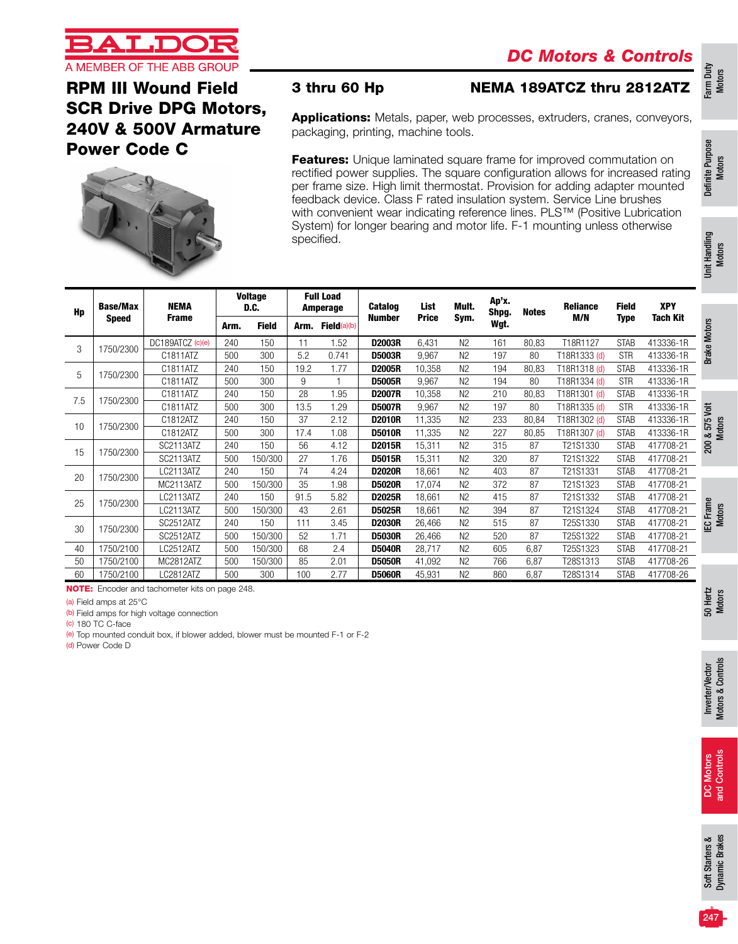Farm Duty Motors

Definite Purpose Definite Purpose<br>Motors

Unit Handling Unit Handling<br>Motors

Motors

Motors



### RPM III Wound Field SCR Drive DPG Motors, 240V & 500V Armature Power Code C



### 3 thru 60 Hp NEMA 189ATCZ thru 2812ATZ

Applications: Metals, paper, web processes, extruders, cranes, conveyors, packaging, printing, machine tools.

**Features:** Unique laminated square frame for improved commutation on rectified power supplies. The square configuration allows for increased rating per frame size. High limit thermostat. Provision for adding adapter mounted feedback device. Class F rated insulation system. Service Line brushes with convenient wear indicating reference lines. PLS™ (Positive Lubrication System) for longer bearing and motor life. F-1 mounting unless otherwise specified.

| <b>Voltage</b><br><b>Full Load</b><br>Ap'x.<br><b>NEMA</b><br>Mult.<br><b>Catalog</b><br>List<br><b>Reliance</b><br><b>Field</b><br><b>Base/Max</b><br>D.C.<br>Amperage<br>Shpg.<br>Hp<br><b>Notes</b><br>M/N<br>Sym.<br><b>Price</b><br><b>Number</b><br><b>Frame</b><br><b>Type</b><br><b>Speed</b><br>Wgt.<br><b>Field</b><br>Field(a)(b)<br>Arm.<br>Arm. | <b>XPY</b><br><b>Tach Kit</b><br>413336-1R |
|--------------------------------------------------------------------------------------------------------------------------------------------------------------------------------------------------------------------------------------------------------------------------------------------------------------------------------------------------------------|--------------------------------------------|
|                                                                                                                                                                                                                                                                                                                                                              | <b>Brake Motors</b>                        |
|                                                                                                                                                                                                                                                                                                                                                              |                                            |
| DC189ATCZ (c)(e)<br>240<br>150<br>11<br>1.52<br>D2003R<br>161<br>T18R1127<br><b>STAB</b><br>6,431<br>N <sub>2</sub><br>80,83<br>3<br>1750/2300                                                                                                                                                                                                               |                                            |
| C1811ATZ<br>500<br>300<br>5.2<br>0.741<br>197<br><b>D5003R</b><br>9.967<br>N <sub>2</sub><br>80<br>T18R1333 (d)<br><b>STR</b>                                                                                                                                                                                                                                | 413336-1R                                  |
| C1811ATZ<br>150<br>19.2<br>1.77<br>N <sub>2</sub><br>194<br>80,83<br>T18R1318 (d)<br><b>STAB</b><br>240<br><b>D2005R</b><br>10,358<br>5<br>1750/2300                                                                                                                                                                                                         | 413336-1R                                  |
| C1811ATZ<br>300<br>9<br>N <sub>2</sub><br>194<br>500<br><b>D5005R</b><br>9,967<br>80<br>T18R1334 (d)<br><b>STR</b>                                                                                                                                                                                                                                           | 413336-1R                                  |
| 28<br>C1811ATZ<br>150<br>1.95<br>240<br>N <sub>2</sub><br>210<br>80,83<br>T18R1301 (d)<br><b>STAB</b><br><b>D2007R</b><br>10.358<br>7.5<br>1750/2300                                                                                                                                                                                                         | 413336-1R                                  |
| 300<br>C1811ATZ<br>13.5<br>1.29<br>9,967<br>N <sub>2</sub><br>197<br>80<br>500<br><b>D5007R</b><br>T18R1335 (d)<br><b>STR</b>                                                                                                                                                                                                                                | 413336-1R<br>yott                          |
| 37<br>C1812ATZ<br>240<br>150<br>2.12<br>11,335<br>N <sub>2</sub><br>233<br>80,84<br><b>D2010R</b><br>T18R1302 (d)<br><b>STAB</b><br>1750/2300<br>10                                                                                                                                                                                                          | 413336-1R<br>575                           |
| C1812ATZ<br>300<br>500<br>17.4<br>1.08<br>11,335<br>N <sub>2</sub><br>227<br>T18R1307 (d)<br><b>STAB</b><br><b>D5010R</b><br>80,85                                                                                                                                                                                                                           | 413336-1R<br>∞                             |
| SC2113ATZ<br>150<br>56<br>4.12<br>N <sub>2</sub><br>315<br>240<br><b>D2015R</b><br>15,311<br>87<br>T21S1330<br><b>STAB</b><br>1750/2300<br>15                                                                                                                                                                                                                | 200<br>417708-21                           |
| SC2113ATZ<br>27<br>1.76<br>150/300<br>15,311<br>N <sub>2</sub><br>320<br>87<br>T21S1322<br>500<br><b>D5015R</b><br><b>STAB</b>                                                                                                                                                                                                                               | 417708-21                                  |
| LC2113ATZ<br>150<br>74<br>N <sub>2</sub><br>87<br>T21S1331<br>240<br>4.24<br><b>D2020R</b><br>403<br><b>STAB</b><br>18.661<br>20<br>1750/2300                                                                                                                                                                                                                | 417708-21                                  |
| 35<br>MC2113ATZ<br>150/300<br>1.98<br>N <sub>2</sub><br>372<br>87<br>500<br><b>D5020R</b><br>17,074<br>T21S1323<br><b>STAB</b>                                                                                                                                                                                                                               | 417708-21                                  |
| 150<br>LC2113ATZ<br>240<br>91.5<br>5.82<br>18,661<br>N <sub>2</sub><br>415<br>87<br>T21S1332<br><b>STAB</b><br><b>D2025R</b><br>25<br>1750/2300                                                                                                                                                                                                              | 417708-21                                  |
| 150/300<br>43<br>87<br>LC2113ATZ<br>500<br>2.61<br><b>D5025R</b><br>N <sub>2</sub><br>394<br>T21S1324<br>18.661<br><b>STAB</b>                                                                                                                                                                                                                               | Frame<br>417708-21                         |
| SC2512ATZ<br>150<br>111<br>3.45<br>26,466<br>N <sub>2</sub><br>515<br>87<br>240<br><b>D2030R</b><br>T25S1330<br><b>STAB</b><br>30<br>1750/2300                                                                                                                                                                                                               | 417708-21<br>ဌ                             |
| SC2512ATZ<br>150/300<br>N <sub>2</sub><br>87<br>500<br>52<br>1.71<br><b>D5030R</b><br>520<br>T25S1322<br><b>STAB</b><br>26,466                                                                                                                                                                                                                               | 417708-21                                  |
| 1750/2100<br>150/300<br>68<br>2.4<br>LC2512ATZ<br>500<br><b>D5040R</b><br>28,717<br>N <sub>2</sub><br>605<br>6,87<br>T25S1323<br><b>STAB</b><br>40                                                                                                                                                                                                           | 417708-21                                  |
| 1750/2100<br>MC2812ATZ<br>150/300<br>85<br>2.01<br>N <sub>2</sub><br>766<br>6,87<br>T28S1313<br><b>STAB</b><br>50<br>500<br><b>D5050R</b><br>41,092                                                                                                                                                                                                          | 417708-26                                  |
| 300<br>2.77<br>60<br>LC2812ATZ<br>500<br>100<br>N <sub>2</sub><br>860<br><b>STAB</b><br>1750/2100<br><b>D5060R</b><br>45,931<br>6,87<br>T28S1314                                                                                                                                                                                                             | 417708-26                                  |

NOTE: Encoder and tachometer kits on page 248.

(a) Field amps at 25°C

(b) Field amps for high voltage connection

(c) 180 TC C-face

(e) Top mounted conduit box, if blower added, blower must be mounted F-1 or F-2

(d) Power Code D

50 Hertz Motors

Soft Starters &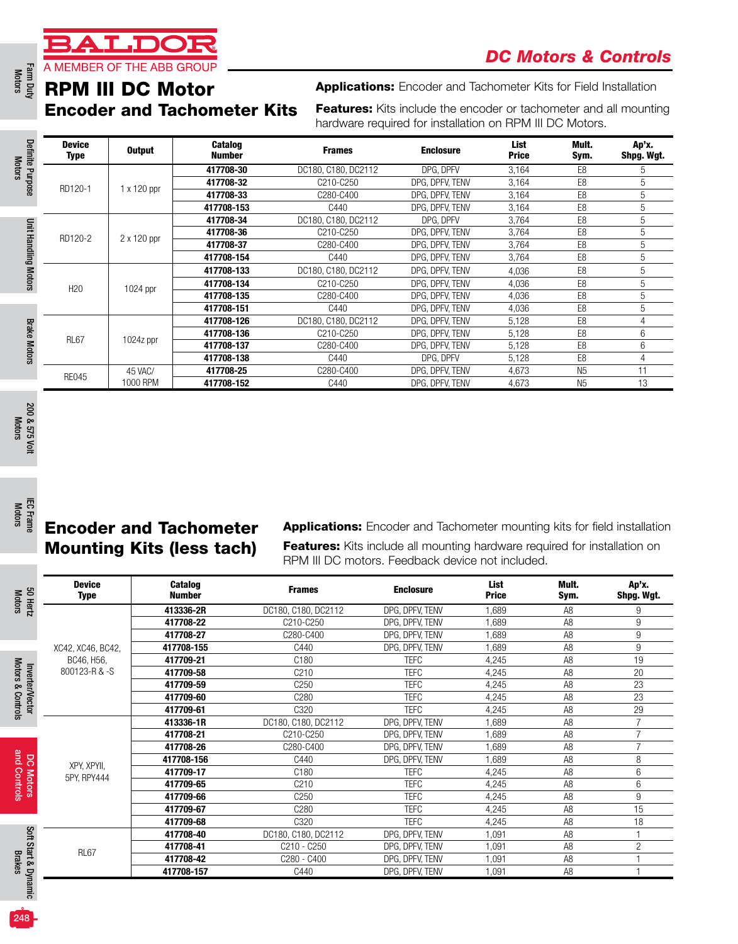### A MEMBER OF THE ABB GROUP RPM III DC Motor Encoder and Tachometer Kits

T.DC

| Definite Purpose     | <b>Device</b><br>Type | <b>Output</b> | <b>Catalog</b><br><b>Number</b> | <b>Frames</b>                      | <b>Enclosure</b> | List<br><b>Price</b> | Mult.<br>Sym.  | Ap'x.<br>Shpg. Wgt. |
|----------------------|-----------------------|---------------|---------------------------------|------------------------------------|------------------|----------------------|----------------|---------------------|
|                      |                       |               | 417708-30                       | DC180, C180, DC2112                | DPG. DPFV        | 3,164                | E <sub>8</sub> | 5                   |
|                      | RD120-1               | 1 x 120 ppr   | 417708-32                       | C210-C250                          | DPG, DPFV, TENV  | 3,164                | E <sub>8</sub> | 5                   |
|                      |                       |               | 417708-33                       | C280-C400                          | DPG. DPFV. TENV  | 3,164                | E <sub>8</sub> | 5                   |
|                      |                       |               | 417708-153                      | C440                               | DPG. DPFV. TENV  | 3,164                | E <sub>8</sub> | 5                   |
|                      |                       |               | 417708-34                       | DC180, C180, DC2112                | DPG. DPFV        | 3.764                | E <sub>8</sub> | 5                   |
|                      |                       |               | 417708-36                       | C <sub>210</sub> -C <sub>250</sub> | DPG. DPFV. TENV  | 3.764                | E <sub>8</sub> | 5                   |
|                      | RD120-2               | 2 x 120 ppr   | 417708-37                       | C280-C400                          | DPG. DPFV. TENV  | 3,764                | E <sub>8</sub> | 5                   |
|                      |                       |               | 417708-154                      | C440                               | DPG. DPFV. TENV  | 3,764                | E <sub>8</sub> | 5                   |
| Unit Handling Motors |                       |               | 417708-133                      | DC180, C180, DC2112                | DPG. DPFV. TENV  | 4,036                | E <sub>8</sub> | 5                   |
|                      | H <sub>20</sub>       | 1024 ppr      | 417708-134                      | C210-C250                          | DPG. DPFV. TENV  | 4,036                | E <sub>8</sub> | 5                   |
|                      |                       |               | 417708-135                      | C280-C400                          | DPG. DPFV. TENV  | 4,036                | E <sub>8</sub> | 5                   |
|                      |                       |               | 417708-151                      | C440                               | DPG. DPFV. TENV  | 4,036                | E <sub>8</sub> | 5                   |
|                      |                       |               | 417708-126                      | DC180, C180, DC2112                | DPG. DPFV. TENV  | 5,128                | E <sub>8</sub> | 4                   |
|                      |                       |               | 417708-136                      | C210-C250                          | DPG, DPFV, TENV  | 5.128                | E <sub>8</sub> | 6                   |
| <b>Brake Motors</b>  | <b>RL67</b>           | $1024z$ ppr   | 417708-137                      | C280-C400                          | DPG. DPFV. TENV  | 5,128                | E <sub>8</sub> | 6                   |
|                      |                       |               | 417708-138                      | C440                               | DPG. DPFV        | 5,128                | E <sub>8</sub> | 4                   |
|                      |                       | 45 VAC/       | 417708-25                       | C280-C400                          | DPG, DPFV, TENV  | 4,673                | N <sub>5</sub> | 11                  |
|                      | <b>RE045</b>          | 1000 RPM      | 417708-152                      | C440                               | DPG, DPFV, TENV  | 4,673                | N <sub>5</sub> | 13                  |

Motors

Motors

Motors & Controls

and Controls

# Encoder and Tachometer Mounting Kits (less tach)

| <b>Encoder and Tachometer Kits</b> |               |                                  |                                                                                                                                      |                                    |                      |                                  |                              |
|------------------------------------|---------------|----------------------------------|--------------------------------------------------------------------------------------------------------------------------------------|------------------------------------|----------------------|----------------------------------|------------------------------|
| <b>Device</b><br><b>Type</b>       | <b>Output</b> | Catalog<br><b>Number</b>         | <b>Frames</b>                                                                                                                        | <b>Enclosure</b>                   | List<br><b>Price</b> | Mult.<br>Sym.                    | Ap'x.<br>Shpg. Wgt.          |
|                                    |               | 417708-30                        | DC180, C180, DC2112                                                                                                                  | DPG, DPFV                          | 3,164                | E8                               | 5                            |
| RD120-1                            | 1 x 120 ppr   | 417708-32                        | C210-C250                                                                                                                            | DPG, DPFV, TENV                    | 3,164                | E8                               | 5                            |
|                                    |               | 417708-33                        | C280-C400                                                                                                                            | DPG, DPFV, TENV                    | 3,164                | E8                               | 5                            |
|                                    |               | 417708-153                       | C440                                                                                                                                 | DPG, DPFV, TENV                    | 3,164                | E <sub>8</sub>                   | 5                            |
|                                    |               | 417708-34                        | DC180, C180, DC2112                                                                                                                  | DPG, DPFV                          | 3,764                | E8                               | 5                            |
| RD120-2                            | 2 x 120 ppr   | 417708-36<br>417708-37           | C210-C250<br>C280-C400                                                                                                               | DPG, DPFV, TENV<br>DPG, DPFV, TENV | 3,764<br>3,764       | E8<br>E8                         | 5<br>5                       |
|                                    |               | 417708-154                       | C440                                                                                                                                 | DPG, DPFV, TENV                    | 3,764                | E8                               | 5                            |
|                                    |               | 417708-133                       | DC180, C180, DC2112                                                                                                                  | DPG, DPFV, TENV                    | 4,036                | E8                               | 5                            |
|                                    |               | 417708-134                       | C210-C250                                                                                                                            | DPG, DPFV, TENV                    | 4,036                | E8                               | 5                            |
| H <sub>20</sub>                    | $1024$ ppr    | 417708-135                       | C280-C400                                                                                                                            | DPG, DPFV, TENV                    | 4,036                | E <sub>8</sub>                   | 5                            |
|                                    |               | 417708-151                       | C440                                                                                                                                 | DPG, DPFV, TENV                    | 4,036                | E <sub>8</sub>                   | 5                            |
|                                    |               | 417708-126                       | DC180, C180, DC2112                                                                                                                  | DPG, DPFV, TENV                    | 5,128                | E8                               | 4                            |
|                                    |               | 417708-136                       | C210-C250                                                                                                                            | DPG, DPFV, TENV                    | 5,128                | E8                               | 6                            |
| <b>RL67</b>                        | $1024z$ ppr   | 417708-137                       | C280-C400                                                                                                                            | DPG, DPFV, TENV                    | 5,128                | E8                               | 6                            |
|                                    |               | 417708-138                       | C440                                                                                                                                 | DPG, DPFV                          | 5,128                | E8                               | $\overline{4}$               |
| <b>RE045</b>                       | 45 VAC/       | 417708-25                        | C280-C400                                                                                                                            | DPG, DPFV, TENV                    | 4,673                | N5                               | 11                           |
|                                    | 1000 RPM      | 417708-152                       | C440                                                                                                                                 | DPG, DPFV, TENV                    | 4,673                | N <sub>5</sub>                   | 13                           |
|                                    |               | <b>Encoder and Tachometer</b>    | <b>Applications:</b> Encoder and Tachometer mounting kits for field installation                                                     |                                    |                      |                                  |                              |
|                                    |               | <b>Mounting Kits (less tach)</b> | <b>Features:</b> Kits include all mounting hardware required for installation on<br>RPM III DC motors. Feedback device not included. |                                    |                      |                                  |                              |
| <b>Device</b>                      |               | Catalog<br><b>Number</b>         | <b>Frames</b>                                                                                                                        | <b>Enclosure</b>                   | List<br><b>Price</b> | Mult.                            | Ap'x.                        |
| <b>Type</b>                        |               | 413336-2R                        |                                                                                                                                      |                                    |                      | Sym.                             |                              |
|                                    |               | 417708-22                        | DC180, C180, DC2112<br>C210-C250                                                                                                     | DPG, DPFV, TENV<br>DPG, DPFV, TENV | 1,689<br>1,689       | A <sub>8</sub><br>A8             | 9<br>9                       |
|                                    |               | 417708-27                        | C280-C400                                                                                                                            | DPG, DPFV, TENV                    | 1,689                | A <sub>8</sub>                   | 9                            |
| XC42, XC46, BC42,                  |               | 417708-155                       | C440                                                                                                                                 | DPG, DPFV, TENV                    | 1,689                | A <sub>8</sub>                   | 9                            |
| BC46, H56,                         |               | 417709-21                        | C <sub>180</sub>                                                                                                                     | <b>TEFC</b>                        | 4,245                | A8                               | 19                           |
| 800123-R & -S                      |               | 417709-58                        | C210                                                                                                                                 | <b>TEFC</b>                        | 4,245                | A8                               | 20                           |
|                                    |               | 417709-59                        | C <sub>250</sub>                                                                                                                     | <b>TEFC</b>                        | 4,245                | A <sub>8</sub>                   | 23                           |
|                                    |               | 417709-60                        | C <sub>280</sub>                                                                                                                     | <b>TEFC</b>                        | 4,245                | A <sub>8</sub>                   | 23                           |
|                                    |               | 417709-61                        | C320                                                                                                                                 | <b>TEFC</b>                        | 4,245                | A <sub>8</sub>                   | 29                           |
|                                    |               | 413336-1R                        | DC180, C180, DC2112                                                                                                                  | DPG, DPFV, TENV                    | 1,689                | A <sub>8</sub>                   | $\overline{7}$               |
|                                    |               | 417708-21                        | C210-C250                                                                                                                            | DPG, DPFV, TENV                    | 1,689                | A <sub>8</sub>                   | $\overline{7}$               |
|                                    |               | 417708-26                        | C280-C400                                                                                                                            | DPG, DPFV, TENV                    | 1,689                | A <sub>8</sub>                   | 7                            |
| XPY, XPYII,                        |               | 417708-156<br>417709-17          | C440<br>C <sub>180</sub>                                                                                                             | DPG, DPFV, TENV<br><b>TEFC</b>     | 1,689<br>4,245       | A <sub>8</sub><br>A <sub>8</sub> | 8<br>6                       |
| 5PY, RPY444                        |               | 417709-65                        | C210                                                                                                                                 | <b>TEFC</b>                        | 4,245                | A8                               | 6                            |
|                                    |               | 417709-66                        | C <sub>250</sub>                                                                                                                     | <b>TEFC</b>                        | 4,245                | A <sub>8</sub>                   | 9                            |
|                                    |               | 417709-67                        | C280                                                                                                                                 | <b>TEFC</b>                        | 4,245                | A8                               | 15                           |
|                                    |               | 417709-68                        | C320                                                                                                                                 | <b>TEFC</b>                        | 4,245                | A <sub>8</sub>                   | 18                           |
|                                    |               | 417708-40                        | DC180, C180, DC2112                                                                                                                  | DPG, DPFV, TENV                    | 1,091                | A <sub>8</sub>                   | $\mathbf{1}$                 |
|                                    |               | 417708-41                        | C210 - C250                                                                                                                          | DPG, DPFV, TENV                    | 1,091                | A <sub>8</sub>                   | Shpg. Wgt.<br>$\mathbf{2}$   |
| RL67                               |               | 417708-42<br>417708-157          | C280 - C400<br>C440                                                                                                                  | DPG, DPFV, TENV<br>DPG, DPFV, TENV | 1,091<br>1,091       | A <sub>8</sub><br>A <sub>8</sub> | $\mathbf{1}$<br>$\mathbf{1}$ |

Brakes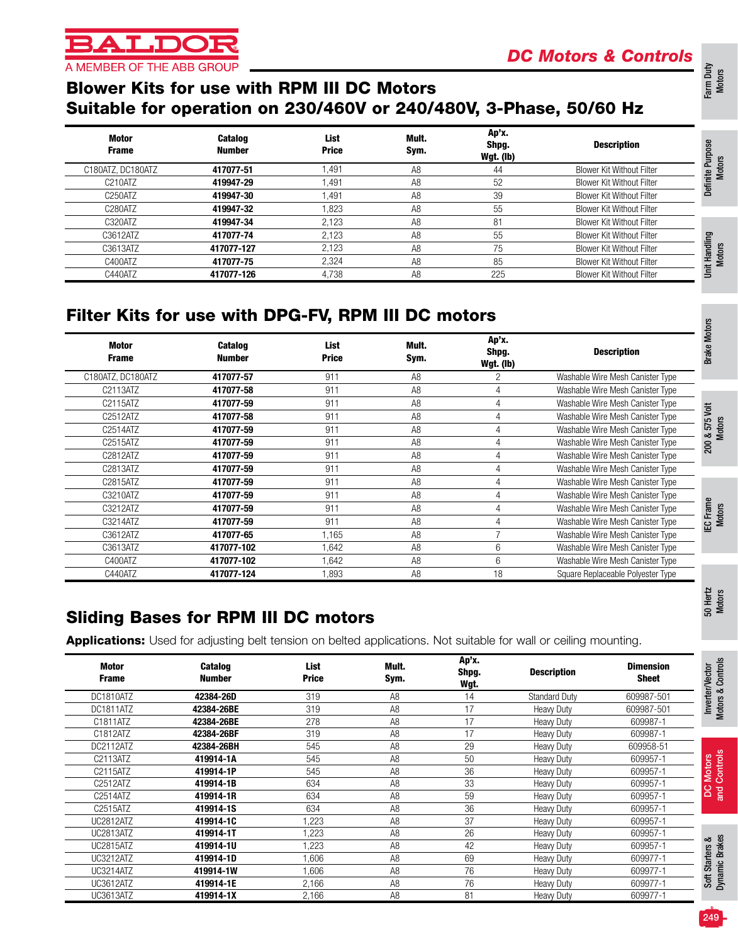# **T.DC** A MEMBER OF THE ABB GROUP

# *DC Motors & Controls*

# Farm Duty Motors

50 Hertz Motors

# Soft Starters &<br>Dynamic Brakes Soft Starters & Dynamic Brakes

249

| <b>Motor</b><br><b>Frame</b> | Catalog<br><b>Number</b> | List<br><b>Price</b> | Mult.<br>Sym.  | Ap'x.<br>Shpg.<br>Wgt. | <b>Description</b>   | <b>Dimension</b><br><b>Sheet</b> |
|------------------------------|--------------------------|----------------------|----------------|------------------------|----------------------|----------------------------------|
| DC1810ATZ                    | 42384-26D                | 319                  | A <sub>8</sub> | 14                     | <b>Standard Duty</b> | 609987-501                       |
| DC1811ATZ                    | 42384-26BE               | 319                  | A <sub>8</sub> | 17                     | <b>Heavy Duty</b>    | 609987-501                       |
| C1811ATZ                     | 42384-26BE               | 278                  | A <sub>8</sub> | 17                     | <b>Heavy Duty</b>    | 609987-1                         |
| C1812ATZ                     | 42384-26BF               | 319                  | A <sub>8</sub> | 17                     | <b>Heavy Duty</b>    | 609987-1                         |
| DC2112ATZ                    | 42384-26BH               | 545                  | A <sub>8</sub> | 29                     | <b>Heavy Duty</b>    | 609958-51                        |
| C2113ATZ                     | 419914-1A                | 545                  | A <sub>8</sub> | 50                     | <b>Heavy Duty</b>    | 609957-1                         |
| C2115ATZ                     | 419914-1P                | 545                  | A <sub>8</sub> | 36                     | <b>Heavy Duty</b>    | 609957-1                         |
| C2512ATZ                     | 419914-1B                | 634                  | A <sub>8</sub> | 33                     | <b>Heavy Duty</b>    | 609957-1                         |
| C2514ATZ                     | 419914-1R                | 634                  | A <sub>8</sub> | 59                     | <b>Heavy Duty</b>    | 609957-1                         |
| C2515ATZ                     | 419914-1S                | 634                  | A <sub>8</sub> | 36                     | <b>Heavy Duty</b>    | 609957-1                         |
| <b>UC2812ATZ</b>             | 419914-1C                | 1,223                | A <sub>8</sub> | 37                     | <b>Heavy Duty</b>    | 609957-1                         |
| UC2813ATZ                    | 419914-1T                | 1,223                | A <sub>8</sub> | 26                     | <b>Heavy Duty</b>    | 609957-1                         |
| <b>UC2815ATZ</b>             | 419914-1U                | 1,223                | A <sub>8</sub> | 42                     | <b>Heavy Duty</b>    | 609957-1                         |
| <b>UC3212ATZ</b>             | 419914-1D                | 1,606                | A <sub>8</sub> | 69                     | <b>Heavy Duty</b>    | 609977-1                         |
| UC3214ATZ                    | 419914-1W                | 1,606                | A <sub>8</sub> | 76                     | <b>Heavy Duty</b>    | 609977-1                         |
| <b>UC3612ATZ</b>             | 419914-1E                | 2,166                | A <sub>8</sub> | 76                     | <b>Heavy Duty</b>    | 609977-1                         |
| UC3613ATZ                    | 419914-1X                | 2,166                | A <sub>8</sub> | 81                     | <b>Heavy Duty</b>    | 609977-1                         |

# Blower Kits for use with RPM III DC Motors Suitable for operation on 230/460V or 240/480V, 3-Phase, 50/60 Hz

| Motor<br><b>Frame</b> | <b>Catalog</b><br><b>Number</b> | List<br><b>Price</b> | Mult.<br>Sym.  | Ap'x.<br>Shpg.<br>Wgt. (lb) | <b>Description</b>               |  |
|-----------------------|---------------------------------|----------------------|----------------|-----------------------------|----------------------------------|--|
| C180ATZ, DC180ATZ     | 417077-51                       | .491                 | A8             | 44                          | <b>Blower Kit Without Filter</b> |  |
| C210ATZ               | 419947-29                       | 1.491                | A8             | 52                          | <b>Blower Kit Without Filter</b> |  |
| C <sub>250</sub> ATZ  | 419947-30                       | 1.491                | A8             | 39                          | <b>Blower Kit Without Filter</b> |  |
| C280ATZ               | 419947-32                       | .823                 | A <sub>8</sub> | 55                          | <b>Blower Kit Without Filter</b> |  |
| C320ATZ               | 419947-34                       | 2.123                | A <sub>8</sub> | 81                          | <b>Blower Kit Without Filter</b> |  |
| C3612ATZ              | 417077-74                       | 2.123                | A <sub>8</sub> | 55                          | <b>Blower Kit Without Filter</b> |  |
| C3613ATZ              | 417077-127                      | 2.123                | A <sub>8</sub> | 75                          | <b>Blower Kit Without Filter</b> |  |
| C400ATZ               | 417077-75                       | 2.324                | A <sub>8</sub> | 85                          | <b>Blower Kit Without Filter</b> |  |
| C440ATZ               | 417077-126                      | 4,738                | A <sub>8</sub> | 225                         | <b>Blower Kit Without Filter</b> |  |

# Filter Kits for use with DPG-FV, RPM III DC motors

| Motor<br><b>Frame</b> | <b>Catalog</b><br>Number | List<br><b>Price</b> | Mult.<br>Sym.  | Ap'x.<br>Shpg.<br>Wgt. (lb) | <b>Description</b>                |
|-----------------------|--------------------------|----------------------|----------------|-----------------------------|-----------------------------------|
| C180ATZ, DC180ATZ     | 417077-57                | 911                  | A8             | 2                           | Washable Wire Mesh Canister Type  |
| C2113ATZ              | 417077-58                | 911                  | A <sub>8</sub> | 4                           | Washable Wire Mesh Canister Type  |
| C2115ATZ              | 417077-59                | 911                  | A <sub>8</sub> | 4                           | Washable Wire Mesh Canister Type  |
| C2512ATZ              | 417077-58                | 911                  | A <sub>8</sub> | 4                           | Washable Wire Mesh Canister Type  |
| C2514ATZ              | 417077-59                | 911                  | A <sub>8</sub> | 4                           | Washable Wire Mesh Canister Type  |
| C2515ATZ              | 417077-59                | 911                  | A <sub>8</sub> | 4                           | Washable Wire Mesh Canister Type  |
| C2812ATZ              | 417077-59                | 911                  | A <sub>8</sub> | 4                           | Washable Wire Mesh Canister Type  |
| C2813ATZ              | 417077-59                | 911                  | A <sub>8</sub> | 4                           | Washable Wire Mesh Canister Type  |
| C2815ATZ              | 417077-59                | 911                  | A <sub>8</sub> |                             | Washable Wire Mesh Canister Type  |
| C3210ATZ              | 417077-59                | 911                  | A <sub>8</sub> | 4                           | Washable Wire Mesh Canister Type  |
| C3212ATZ              | 417077-59                | 911                  | A8             | 4                           | Washable Wire Mesh Canister Type  |
| C3214ATZ              | 417077-59                | 911                  | A8             | 4                           | Washable Wire Mesh Canister Type  |
| C3612ATZ              | 417077-65                | 1,165                | A8             |                             | Washable Wire Mesh Canister Type  |
| C3613ATZ              | 417077-102               | .642                 | A8             | 6                           | Washable Wire Mesh Canister Type  |
| C400ATZ               | 417077-102               | 1,642                | A <sub>8</sub> | 6                           | Washable Wire Mesh Canister Type  |
| C440ATZ               | 417077-124               | .893                 | A <sub>8</sub> | 18                          | Square Replaceable Polyester Type |

# Sliding Bases for RPM III DC motors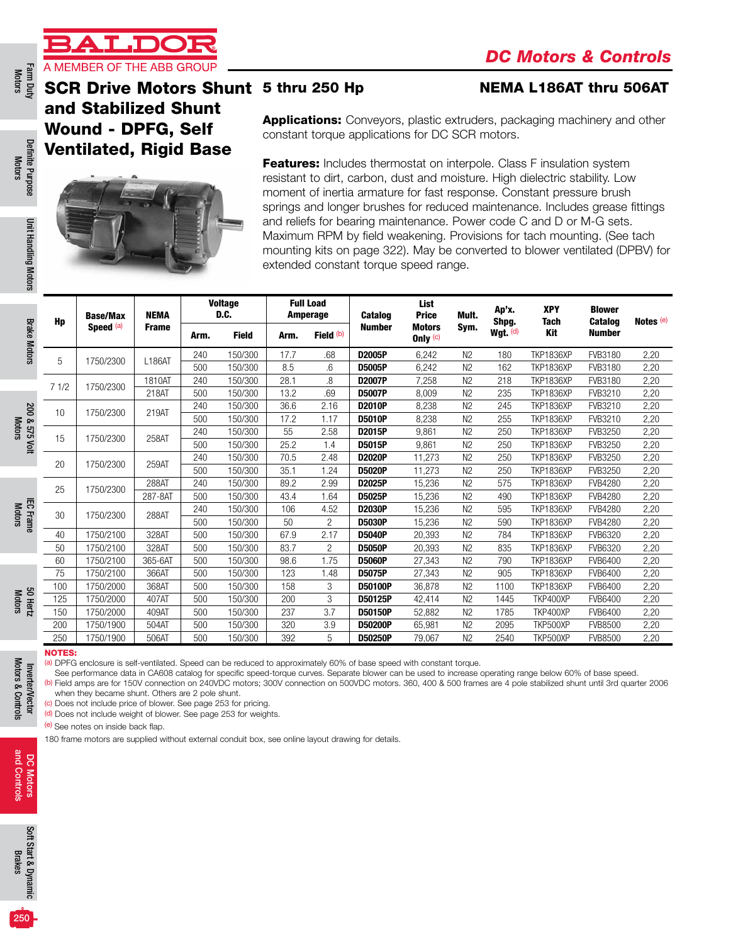

SCR Drive Motors Shunt 5 thru 250 Hp

and Stabilized Shunt Wound - DPFG, Self Ventilated, Rigid Base



#### **NEMA L186AT thru 506AT**

Applications: Conveyors, plastic extruders, packaging machinery and other constant torque applications for DC SCR motors.

Features: Includes thermostat on interpole. Class F insulation system resistant to dirt, carbon, dust and moisture. High dielectric stability. Low moment of inertia armature for fast response. Constant pressure brush springs and longer brushes for reduced maintenance. Includes grease fittings and reliefs for bearing maintenance. Power code C and D or M-G sets. Maximum RPM by field weakening. Provisions for tach mounting. (See tach mounting kits on page 322). May be converted to blower ventilated (DPBV) for extended constant torque speed range.

| Hp   | <b>Base/Max</b><br>Speed <sup>(a)</sup> | <b>NEMA</b>  |      | <b>Voltage</b><br>D.C. |      | <b>Full Load</b><br>Amperage | <b>Catalog</b> | List<br><b>Price</b>        | Mult.          | Ap'x.<br>Shpg. | <b>XPY</b><br><b>Tach</b> | <b>Blower</b><br><b>Catalog</b> | Notes (e) |
|------|-----------------------------------------|--------------|------|------------------------|------|------------------------------|----------------|-----------------------------|----------------|----------------|---------------------------|---------------------------------|-----------|
|      |                                         | <b>Frame</b> | Arm. | <b>Field</b>           | Arm. | Field (b)                    | <b>Number</b>  | <b>Motors</b><br>Only $(c)$ | Sym.           | Wgt. $(d)$     | Kit                       | <b>Number</b>                   |           |
| 5    | 1750/2300                               | L186AT       | 240  | 150/300                | 17.7 | .68                          | D2005P         | 6,242                       | N <sub>2</sub> | 180            | <b>TKP1836XP</b>          | FVB3180                         | 2,20      |
|      |                                         |              | 500  | 150/300                | 8.5  | .6                           | D5005P         | 6.242                       | N <sub>2</sub> | 162            | <b>TKP1836XP</b>          | FVB3180                         | 2,20      |
| 71/2 | 1750/2300                               | 1810AT       | 240  | 150/300                | 28.1 | 8.                           | D2007P         | 7,258                       | N <sub>2</sub> | 218            | <b>TKP1836XP</b>          | FVB3180                         | 2,20      |
|      |                                         | 218AT        | 500  | 150/300                | 13.2 | .69                          | <b>D5007P</b>  | 8.009                       | N <sub>2</sub> | 235            | <b>TKP1836XP</b>          | FVB3210                         | 2,20      |
| 10   | 1750/2300                               | 219AT        | 240  | 150/300                | 36.6 | 2.16                         | D2010P         | 8,238                       | N <sub>2</sub> | 245            | <b>TKP1836XP</b>          | FVB3210                         | 2,20      |
|      |                                         |              | 500  | 150/300                | 17.2 | 1.17                         | <b>D5010P</b>  | 8.238                       | N <sub>2</sub> | 255            | <b>TKP1836XP</b>          | FVB3210                         | 2,20      |
| 15   | 1750/2300                               | 258AT        | 240  | 150/300                | 55   | 2.58                         | D2015P         | 9,861                       | N <sub>2</sub> | 250            | <b>TKP1836XP</b>          | <b>FVB3250</b>                  | 2,20      |
|      |                                         |              | 500  | 150/300                | 25.2 | 1.4                          | D5015P         | 9.861                       | N <sub>2</sub> | 250            | <b>TKP1836XP</b>          | FVB3250                         | 2,20      |
| 20   | 1750/2300                               | 259AT        | 240  | 150/300                | 70.5 | 2.48                         | D2020P         | 11,273                      | N <sub>2</sub> | 250            | <b>TKP1836XP</b>          | <b>FVB3250</b>                  | 2,20      |
|      |                                         |              | 500  | 150/300                | 35.1 | 1.24                         | <b>D5020P</b>  | 11,273                      | N <sub>2</sub> | 250            | <b>TKP1836XP</b>          | <b>FVB3250</b>                  | 2,20      |
| 25   | 1750/2300                               | 288AT        | 240  | 150/300                | 89.2 | 2.99                         | D2025P         | 15,236                      | N <sub>2</sub> | 575            | <b>TKP1836XP</b>          | <b>FVB4280</b>                  | 2,20      |
|      |                                         | 287-8AT      | 500  | 150/300                | 43.4 | 1.64                         | D5025P         | 15,236                      | N <sub>2</sub> | 490            | <b>TKP1836XP</b>          | <b>FVB4280</b>                  | 2,20      |
| 30   | 1750/2300                               | 288AT        | 240  | 150/300                | 106  | 4.52                         | D2030P         | 15,236                      | N <sub>2</sub> | 595            | <b>TKP1836XP</b>          | FVB4280                         | 2,20      |
|      |                                         |              | 500  | 150/300                | 50   | $\overline{2}$               | <b>D5030P</b>  | 15.236                      | N <sub>2</sub> | 590            | <b>TKP1836XP</b>          | <b>FVB4280</b>                  | 2,20      |
| 40   | 1750/2100                               | 328AT        | 500  | 150/300                | 67.9 | 2.17                         | <b>D5040P</b>  | 20,393                      | N <sub>2</sub> | 784            | <b>TKP1836XP</b>          | <b>FVB6320</b>                  | 2,20      |
| 50   | 1750/2100                               | 328AT        | 500  | 150/300                | 83.7 | $\overline{c}$               | <b>D5050P</b>  | 20.393                      | N <sub>2</sub> | 835            | <b>TKP1836XP</b>          | <b>FVB6320</b>                  | 2,20      |
| 60   | 1750/2100                               | 365-6AT      | 500  | 150/300                | 98.6 | 1.75                         | <b>D5060P</b>  | 27,343                      | N <sub>2</sub> | 790            | <b>TKP1836XP</b>          | FVB6400                         | 2,20      |
| 75   | 1750/2100                               | 366AT        | 500  | 150/300                | 123  | 1.48                         | <b>D5075P</b>  | 27.343                      | N <sub>2</sub> | 905            | <b>TKP1836XP</b>          | <b>FVB6400</b>                  | 2,20      |
| 100  | 1750/2000                               | 368AT        | 500  | 150/300                | 158  | 3                            | D50100P        | 36,878                      | N <sub>2</sub> | 1100           | <b>TKP1836XP</b>          | FVB6400                         | 2,20      |
| 125  | 1750/2000                               | 407AT        | 500  | 150/300                | 200  | 3                            | D50125P        | 42.414                      | N <sub>2</sub> | 1445           | TKP400XP                  | <b>FVB6400</b>                  | 2,20      |
| 150  | 1750/2000                               | 409AT        | 500  | 150/300                | 237  | 3.7                          | D50150P        | 52,882                      | N <sub>2</sub> | 1785           | TKP400XP                  | FVB6400                         | 2,20      |
| 200  | 1750/1900                               | 504AT        | 500  | 150/300                | 320  | 3.9                          | D50200P        | 65,981                      | N <sub>2</sub> | 2095           | TKP500XP                  | <b>FVB8500</b>                  | 2,20      |
| 250  | 1750/1900                               | 506AT        | 500  | 150/300                | 392  | 5                            | D50250P        | 79,067                      | N <sub>2</sub> | 2540           | TKP500XP                  | <b>FVB8500</b>                  | 2,20      |

#### NOTES:

Inverter/Vector Motors & Controls

Motors & Controls Inverter/Vector (a) DPFG enclosure is self-ventilated. Speed can be reduced to approximately 60% of base speed with constant torque.

See performance data in CA608 catalog for specific speed-torque curves. Separate blower can be used to increase operating range below 60% of base speed.

(b) Field amps are for 150V connection on 240VDC motors; 300V connection on 500VDC motors. 360, 400 & 500 frames are 4 pole stabilized shunt until 3rd quarter 2006 when they became shunt. Others are 2 pole shunt.

(c) Does not include price of blower. See page 253 for pricing.

(d) Does not include weight of blower. See page 253 for weights.

(e) See notes on inside back flap.

180 frame motors are supplied without external conduit box, see online layout drawing for details.

250

Definite Purpose Motors

Definite Purpose

Unit Handling Motors

Unit Handling Motors

Brake Motors

**Brake Motors** 

200 & 575 Volt Motors

200 & 575 Vol

IEC Frame Motors

Motors 50 Hertz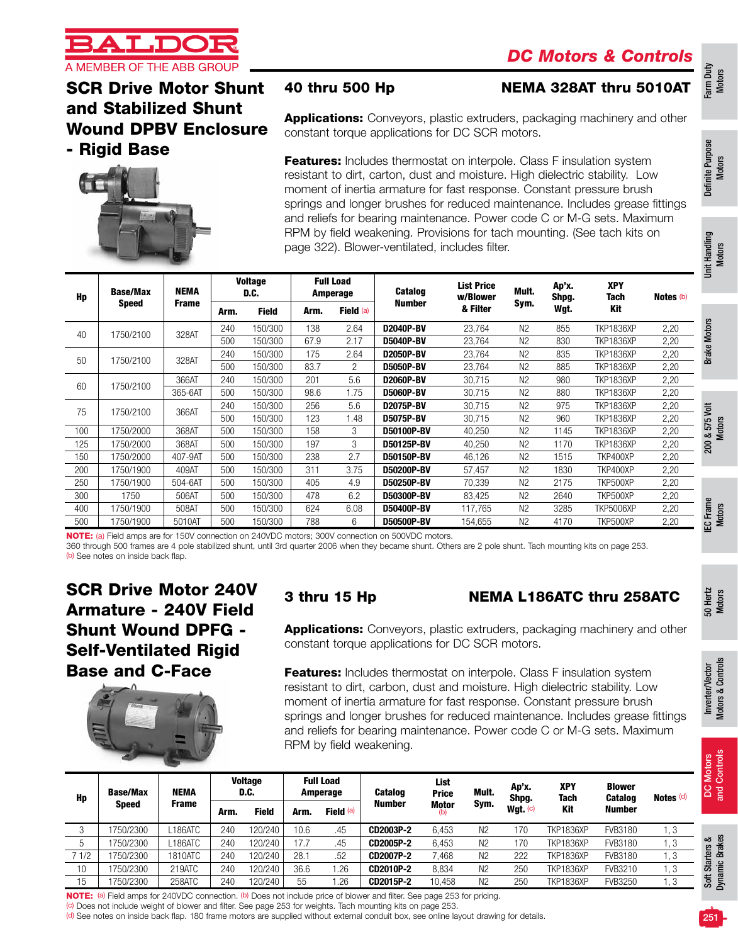

### 40 thru 500 Hp NEMA 328AT thru 5010AT

### SCR Drive Motor Shunt and Stabilized Shunt Wound DPBV Enclosure - Rigid Base



**Applications:** Conveyors, plastic extruders, packaging machinery and other constant torque applications for DC SCR motors.

**Features:** Includes thermostat on interpole. Class F insulation system resistant to dirt, carton, dust and moisture. High dielectric stability. Low moment of inertia armature for fast response. Constant pressure brush springs and longer brushes for reduced maintenance. Includes grease fittings and reliefs for bearing maintenance. Power code C or M-G sets. Maximum RPM by field weakening. Provisions for tach mounting. (See tach kits on page 322). Blower-ventilated, includes filter.

| Hp  | <b>Base/Max</b><br><b>Speed</b> | <b>NEMA</b><br><b>Frame</b> |      | Voltage<br>D.C. |      | <b>Full Load</b><br>Amperage | <b>Catalog</b>    | <b>List Price</b><br>w/Blower | Mult.          | Ap'x.<br>Shpg. | <b>XPY</b><br>Tach | Notes (b) |
|-----|---------------------------------|-----------------------------|------|-----------------|------|------------------------------|-------------------|-------------------------------|----------------|----------------|--------------------|-----------|
|     |                                 |                             | Arm. | <b>Field</b>    | Arm. | Field (a)                    | <b>Number</b>     | & Filter                      | Sym.           | Wgt.           | Kit                |           |
|     | 1750/2100                       | 328AT                       | 240  | 150/300         | 138  | 2.64                         | <b>D2040P-BV</b>  | 23,764                        | N <sub>2</sub> | 855            | <b>TKP1836XP</b>   | 2,20      |
| 40  |                                 |                             | 500  | 150/300         | 67.9 | 2.17                         | <b>D5040P-BV</b>  | 23,764                        | N <sub>2</sub> | 830            | <b>TKP1836XP</b>   | 2,20      |
| 50  | 1750/2100                       | 328AT                       | 240  | 150/300         | 175  | 2.64                         | D2050P-BV         | 23.764                        | N <sub>2</sub> | 835            | <b>TKP1836XP</b>   | 2,20      |
|     |                                 |                             | 500  | 150/300         | 83.7 | $\overline{c}$               | <b>D5050P-BV</b>  | 23,764                        | N <sub>2</sub> | 885            | <b>TKP1836XP</b>   | 2,20      |
| 60  | 1750/2100                       | 366AT                       | 240  | 150/300         | 201  | 5.6                          | D2060P-BV         | 30,715                        | N <sub>2</sub> | 980            | <b>TKP1836XP</b>   | 2,20      |
|     |                                 | 365-6AT                     | 500  | 150/300         | 98.6 | 1.75                         | <b>D5060P-BV</b>  | 30,715                        | N <sub>2</sub> | 880            | <b>TKP1836XP</b>   | 2,20      |
| 75  | 1750/2100                       | 366AT                       | 240  | 150/300         | 256  | 5.6                          | <b>D2075P-BV</b>  | 30,715                        | N <sub>2</sub> | 975            | <b>TKP1836XP</b>   | 2,20      |
|     |                                 |                             | 500  | 150/300         | 123  | 1.48                         | <b>D5075P-BV</b>  | 30,715                        | N <sub>2</sub> | 960            | <b>TKP1836XP</b>   | 2,20      |
| 100 | 1750/2000                       | 368AT                       | 500  | 150/300         | 158  | 3                            | <b>D50100P-BV</b> | 40.250                        | N <sub>2</sub> | 1145           | <b>TKP1836XP</b>   | 2,20      |
| 125 | 1750/2000                       | 368AT                       | 500  | 150/300         | 197  | 3                            | D50125P-BV        | 40,250                        | N <sub>2</sub> | 1170           | <b>TKP1836XP</b>   | 2,20      |
| 150 | 1750/2000                       | 407-9AT                     | 500  | 150/300         | 238  | 2.7                          | D50150P-BV        | 46,126                        | N <sub>2</sub> | 1515           | TKP400XP           | 2,20      |
| 200 | 1750/1900                       | 409AT                       | 500  | 150/300         | 311  | 3.75                         | D50200P-BV        | 57,457                        | N <sub>2</sub> | 1830           | TKP400XP           | 2,20      |
| 250 | 1750/1900                       | 504-6AT                     | 500  | 150/300         | 405  | 4.9                          | D50250P-BV        | 70,339                        | N <sub>2</sub> | 2175           | TKP500XP           | 2,20      |
| 300 | 1750                            | 506AT                       | 500  | 150/300         | 478  | 6.2                          | D50300P-BV        | 83,425                        | N <sub>2</sub> | 2640           | TKP500XP           | 2,20      |
| 400 | 1750/1900                       | 508AT                       | 500  | 150/300         | 624  | 6.08                         | D50400P-BV        | 117,765                       | N <sub>2</sub> | 3285           | <b>TKP5006XP</b>   | 2,20      |
| 500 | 1750/1900                       | 5010AT                      | 500  | 150/300         | 788  | 6                            | D50500P-BV        | 154,655                       | N <sub>2</sub> | 4170           | TKP500XP           | 2,20      |

NOTE: (a) Field amps are for 150V connection on 240VDC motors; 300V connection on 500VDC motors.

360 through 500 frames are 4 pole stabilized shunt, until 3rd quarter 2006 when they became shunt. Others are 2 pole shunt. Tach mounting kits on page 253. (b) See notes on inside back flap.

### SCR Drive Motor 240V Armature - 240V Field Shunt Wound DPFG - Self-Ventilated Rigid Base and C-Face



### 3 thru 15 Hp NEMA L186ATC thru 258ATC

**Applications:** Conveyors, plastic extruders, packaging machinery and other constant torque applications for DC SCR motors.

**Features:** Includes thermostat on interpole. Class F insulation system resistant to dirt, carbon, dust and moisture. High dielectric stability. Low moment of inertia armature for fast response. Constant pressure brush springs and longer brushes for reduced maintenance. Includes grease fittings and reliefs for bearing maintenance. Power code C or M-G sets. Maximum RPM by field weakening.

| Hp             | <b>Base/Max</b> | NEMA    |      | <b>Voltage</b><br>D.C. |      | <b>Full Load</b><br>Amperage | <b>Catalog</b> | List<br><b>Price</b> | Mult.          | Ap'x.<br>Shpg. | <b>XPY</b><br><b>Tach</b> | <b>Blower</b><br>Catalog | Notes $(d)$ |
|----------------|-----------------|---------|------|------------------------|------|------------------------------|----------------|----------------------|----------------|----------------|---------------------------|--------------------------|-------------|
|                | <b>Speed</b>    | Frame   | Arm. | <b>Field</b>           | Arm. | Field $(a)$                  | <b>Number</b>  | <b>Motor</b><br>(b)  | Sym.           | Wgt. $(c)$     | Kit                       | <b>Number</b>            |             |
| $\Omega$<br>-O | 750/2300        | 186ATC  | 240  | 20/240                 | 10.6 | .45                          | CD2003P-2      | 6,453                | N <sub>2</sub> | 170            | <b>TKP1836XP</b>          | FVB3180                  | 3. ا        |
| ა              | 750/2300        | 186ATC  | 240  | 120/240                | 17.7 | .45                          | CD2005P-2      | 6,453                | N <sub>2</sub> | 170            | <b>TKP1836XP</b>          | FVB3180                  | ا. 3        |
| 7 1/2          | 750/2300        | 1810ATC | 240  | 120/240                | 28.7 | .52                          | CD2007P-2      | 468.                 | N <sub>2</sub> | 222            | <b>TKP1836XP</b>          | FVB3180                  | . . 3       |
| 10             | 750/2300        | 219ATC  | 240  | 20/240                 | 36.6 | .26                          | CD2010P-2      | 8,834                | N <sub>2</sub> | 250            | <b>TKP1836XP</b>          | FVB3210                  | . . 3       |
| 15             | 750/2300        | 258ATC  | 240  | 120/240                | 55   | .26                          | CD2015P-2      | 10.458               | N <sub>2</sub> | 250            | <b>TKP1836XP</b>          | <b>FVB3250</b>           | I. 3        |

NOTE: (a) Field amps for 240VDC connection. (b) Does not include price of blower and filter. See page 253 for pricing.

(c) Does not include weight of blower and filter. See page 253 for weights. Tach mounting kits on page 253.

(d) See notes on inside back flap. 180 frame motors are supplied without external conduit box, see online layout drawing for details.

Farm Duty Motors

Definite Purpose Definite Purpose<br>Motors

50 Hertz Motors

Inverter/Vector Motors & Controls

Motors & Controls Inverter/Vector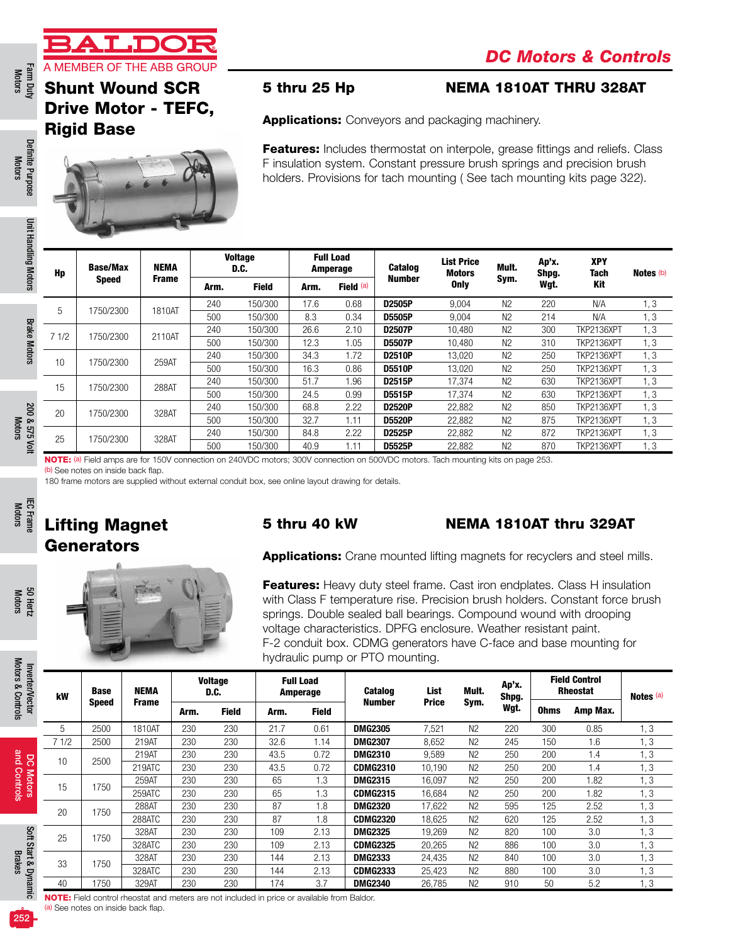Farm Duty<br>Motors

# Shunt Wound SCR Drive Motor - TEFC, Rigid Base



#### 5 thru 25 Hp NEMA 1810AT THRU 328AT

Ap'x. Shpg. Wgt.

XPY Tach Kit

Notes (b)

Applications: Conveyors and packaging machinery.

**Features:** Includes thermostat on interpole, grease fittings and reliefs. Class F insulation system. Constant pressure brush springs and precision brush holders. Provisions for tach mounting ( See tach mounting kits page 322).

> List Price Motors Only

Mult. Sym.

Definite Purpose Motors

Definite Purpose

Farm Duty Definite Punk Unit Handling Motors Brake Motors 200 & 575 Volt HEC Frame IEC Frame Sol Hertz Herm Du<br>Motors Motors Motors Manufact Prake Motors Motors Motors Motors Motors Motors Motors and Controls Brakes Refer Unit Handling Motors Unit Handling Motors Voltage Full Load NEMA Hp Base/Max Amperage Catalog D.C. Frame Number Speed Arm. Field Arm. Field  $^{(a)}$ <sup>5</sup> 1750/2300 1810AT <sup>240</sup> 150/300 17.6 0.68 D2505P 9,004 N2 <sup>220</sup> N/A 1, 3 500 150/300 8.3 0.34 D5505P 9,004 N2 214 N/A 1, 3 **Brake Motors** Brake Motors 7 1/2 1750/2300 2110AT <sup>240</sup> 150/300 26.6 2.10 D2507P 10,480 N2 <sup>300</sup> TKP2136XPT 1, 3 500 150/300 12.3 1.05 D5507P 10,480 N2 310 TKP2136XPT 1, 3 <sup>10</sup> 1750/2300 259AT <sup>240</sup> 150/300 34.3 1.72 D2510P 13,020 N2 <sup>250</sup> TKP2136XPT 1, 3 500 150/300 16.3 0.86 D5510P 13,020 N2 250 TKP2136XPT 1, 3 <sup>15</sup> 1750/2300 288AT <sup>240</sup> 150/300 51.7 1.96 D2515P 17,374 N2 <sup>630</sup> TKP2136XPT 1, 3 500 150/300 24.5 0.99 D5515P 17,374 N2 630 TKP2136XPT 1, 3 <sup>20</sup> 1750/2300 328AT <sup>240</sup> 150/300 68.8 2.22 D2520P 22,882 N2 <sup>850</sup> TKP2136XPT 1, 3

IEC Frame Motors

Motors 50 Hertz

Motors & Controls

Motors & Controls

and Controls

and Controls

Brakes

NOTE: (a) Field amps are for 150V connection on 240VDC motors; 300V connection on 500VDC motors. Tach mounting kits on page 253. (b) See notes on inside back flap.

<sup>25</sup> 1750/2300 328AT <sup>240</sup> 150/300 84.8 2.22 D2525P 22,882 N2 <sup>872</sup> TKP2136XPT 1, 3

180 frame motors are supplied without external conduit box, see online layout drawing for details.

# Lifting Magnet **Generators**

#### 5 thru 40 kW NEMA 1810AT thru 329AT

Applications: Crane mounted lifting magnets for recyclers and steel mills.

500 150/300 32.7 1.11 D5520P 22,882 N2 875 TKP2136XPT 1, 3

500 150/300 40.9 1.11 D5525P 22,882 N2 870 TKP2136XPT 1, 3

**Features:** Heavy duty steel frame. Cast iron endplates. Class H insulation with Class F temperature rise. Precision brush holders. Constant force brush springs. Double sealed ball bearings. Compound wound with drooping voltage characteristics. DPFG enclosure. Weather resistant paint. F-2 conduit box. CDMG generators have C-face and base mounting for hydraulic pump or PTO mounting.

| Inverter/Vector      | kW   | <b>Base</b>  | NEMA                                                                                               |      | <b>Voltage</b><br>D.C. |      | <b>Full Load</b><br>Amperage | <b>Catalog</b>  | List         | Mult.          | Ap'x.<br>Shpg. |             | <b>Field Control</b><br><b>Rheostat</b> | Notes (a) |
|----------------------|------|--------------|----------------------------------------------------------------------------------------------------|------|------------------------|------|------------------------------|-----------------|--------------|----------------|----------------|-------------|-----------------------------------------|-----------|
|                      |      | <b>Speed</b> | <b>Frame</b>                                                                                       | Arm. | <b>Field</b>           | Arm. | <b>Field</b>                 | <b>Number</b>   | <b>Price</b> | Sym.           | Wgt.           | <b>Ohms</b> | Amp Max.                                |           |
|                      | 5    | 2500         | 1810AT                                                                                             | 230  | 230                    | 21.7 | 0.61                         | <b>DMG2305</b>  | 7,521        | N2             | 220            | 300         | 0.85                                    | 1, 3      |
|                      | 71/2 | 2500         | 219AT                                                                                              | 230  | 230                    | 32.6 | 1.14                         | <b>DMG2307</b>  | 8,652        | N <sub>2</sub> | 245            | 150         | 1.6                                     | 1, 3      |
| 8                    | 10   | 2500         | 219AT                                                                                              | 230  | 230                    | 43.5 | 0.72                         | <b>DMG2310</b>  | 9,589        | N <sub>2</sub> | 250            | 200         | 1.4                                     | 1, 3      |
|                      |      |              | 219ATC                                                                                             | 230  | 230                    | 43.5 | 0.72                         | <b>CDMG2310</b> | 10,190       | N <sub>2</sub> | 250            | 200         | 1.4                                     | 1, 3      |
| Motors               | 15   | 1750         | 259AT                                                                                              | 230  | 230                    | 65   | 1.3                          | <b>DMG2315</b>  | 16,097       | N <sub>2</sub> | 250            | 200         | 1.82                                    | 1, 3      |
|                      |      |              | 259ATC                                                                                             | 230  | 230                    | 65   | 1.3                          | <b>CDMG2315</b> | 16,684       | N <sub>2</sub> | 250            | 200         | 1.82                                    | 1, 3      |
|                      | 20   | 1750         | 288AT                                                                                              | 230  | 230                    | 87   | 1.8                          | <b>DMG2320</b>  | 17,622       | N <sub>2</sub> | 595            | 125         | 2.52                                    | 1, 3      |
|                      |      |              | 288ATC                                                                                             | 230  | 230                    | 87   | 1.8                          | <b>CDMG2320</b> | 18,625       | N <sub>2</sub> | 620            | 125         | 2.52                                    | 1, 3      |
|                      | 25   | 1750         | 328AT                                                                                              | 230  | 230                    | 109  | 2.13                         | <b>DMG2325</b>  | 19,269       | N <sub>2</sub> | 820            | 100         | 3.0                                     | 1, 3      |
|                      |      |              | 328ATC                                                                                             | 230  | 230                    | 109  | 2.13                         | <b>CDMG2325</b> | 20,265       | N <sub>2</sub> | 886            | 100         | 3.0                                     | 1, 3      |
|                      | 33   | 1750         | 328AT                                                                                              | 230  | 230                    | 144  | 2.13                         | <b>DMG2333</b>  | 24,435       | N <sub>2</sub> | 840            | 100         | 3.0                                     | 1, 3      |
|                      |      |              | 328ATC                                                                                             | 230  | 230                    | 144  | 2.13                         | <b>CDMG2333</b> | 25,423       | N <sub>2</sub> | 880            | 100         | 3.0                                     | 1, 3      |
| Soft Start & Dynamic | 40   | 1750         | 329AT                                                                                              | 230  | 230                    | 174  | 3.7                          | <b>DMG2340</b>  | 26,785       | N <sub>2</sub> | 910            | 50          | 5.2                                     | 1, 3      |
|                      |      |              | <b>NOTE:</b> Field control rheostat and meters are not included in price or available from Baldor. |      |                        |      |                              |                 |              |                |                |             |                                         |           |

NOTE: Field control rheostat and meters are not included in price or available from Baldor. (a) See notes on inside back flap.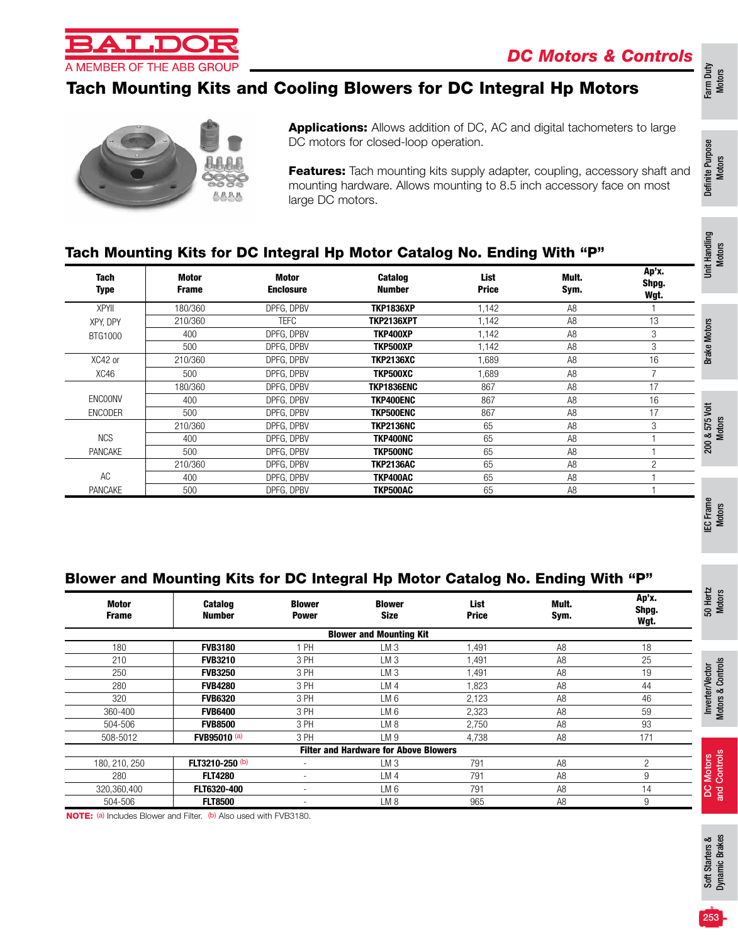

# Tach Mounting Kits and Cooling Blowers for DC Integral Hp Motors



Applications: Allows addition of DC, AC and digital tachometers to large DC motors for closed-loop operation.

Features: Tach mounting kits supply adapter, coupling, accessory shaft and mounting hardware. Allows mounting to 8.5 inch accessory face on most large DC motors.

#### Tach Mounting Kits for DC Integral Hp Motor Catalog No. Ending With "P"

| <b>Tach</b><br><b>Type</b> | Motor<br><b>Frame</b> | Motor<br><b>Enclosure</b> | <b>Catalog</b><br><b>Number</b> | List<br><b>Price</b> | Mult.<br>Sym.  | Ap'x.<br>Shpg.<br>Wgt. | 這        |
|----------------------------|-----------------------|---------------------------|---------------------------------|----------------------|----------------|------------------------|----------|
| <b>XPYII</b>               | 180/360               | DPFG. DPBV                | <b>TKP1836XP</b>                | 1,142                | A <sub>8</sub> |                        |          |
| XPY, DPY                   | 210/360               | <b>TEFC</b>               | <b>TKP2136XPT</b>               | 1,142                | A <sub>8</sub> | 13                     | otors    |
| BTG1000                    | 400                   | DPFG, DPBV                | TKP400XP                        | 1,142                | A <sub>8</sub> | 3                      |          |
|                            | 500                   | DPFG, DPBV                | TKP500XP                        | 1,142                | A <sub>8</sub> | 3                      | ይ        |
| XC42 or                    | 210/360               | DPFG. DPBV                | TKP2136XC                       | 1.689                | A <sub>8</sub> | 16                     | Brai     |
| XC46                       | 500                   | DPFG, DPBV                | TKP500XC                        | 1,689                | A <sub>8</sub> | 7                      |          |
|                            | 180/360               | DPFG. DPBV                | TKP1836ENC                      | 867                  | A <sub>8</sub> | 17                     |          |
| <b>ENCOONV</b>             | 400                   | DPFG. DPBV                | TKP400ENC                       | 867                  | A <sub>8</sub> | 16                     |          |
| <b>ENCODER</b>             | 500                   | DPFG, DPBV                | <b>TKP500ENC</b>                | 867                  | A <sub>8</sub> | 17                     | š        |
|                            | 210/360               | DPFG. DPBV                | <b>TKP2136NC</b>                | 65                   | A <sub>8</sub> | 3                      | LO<br>57 |
| <b>NCS</b>                 | 400                   | DPFG. DPBV                | TKP400NC                        | 65                   | A <sub>8</sub> |                        | ∞        |
| <b>PANCAKE</b>             | 500                   | DPFG. DPBV                | <b>TKP500NC</b>                 | 65                   | A <sub>8</sub> |                        | 200      |
|                            | 210/360               | DPFG, DPBV                | <b>TKP2136AC</b>                | 65                   | A <sub>8</sub> | $\overline{c}$         |          |
| AC                         | 400                   | DPFG. DPBV                | TKP400AC                        | 65                   | A <sub>8</sub> |                        |          |
| PANCAKE                    | 500                   | DPFG, DPBV                | TKP500AC                        | 65                   | A <sub>8</sub> |                        |          |

#### Blower and Mounting Kits for DC Integral Hp Motor Catalog No. Ending With "P"

| <b>Motor</b><br><b>Frame</b> | <b>Catalog</b><br><b>Number</b> | <b>Blower</b><br><b>Power</b> | <b>Blower</b><br><b>Size</b>                 | List<br><b>Price</b> | Mult.<br>Sym.  | Ap'x.<br>Shpg.<br>Wgt. | 50 Hertz<br>Motors                   |
|------------------------------|---------------------------------|-------------------------------|----------------------------------------------|----------------------|----------------|------------------------|--------------------------------------|
|                              |                                 |                               | <b>Blower and Mounting Kit</b>               |                      |                |                        |                                      |
| 180                          | <b>FVB3180</b>                  | 1 PH                          | LM <sub>3</sub>                              | 1,491                | A <sub>8</sub> | 18                     |                                      |
| 210                          | <b>FVB3210</b>                  | 3 PH                          | LM <sub>3</sub>                              | 1,491                | A <sub>8</sub> | 25                     |                                      |
| 250                          | <b>FVB3250</b>                  | 3 PH                          | LM <sub>3</sub>                              | 1,491                | A <sub>8</sub> | 19                     | Inverter/Vector<br>Motors & Controls |
| 280                          | <b>FVB4280</b>                  | 3 PH                          | LM 4                                         | .823                 | A <sub>8</sub> | 44                     |                                      |
| 320                          | <b>FVB6320</b>                  | 3 PH                          | LM 6                                         | 2,123                | A <sub>8</sub> | 46                     |                                      |
| 360-400                      | <b>FVB6400</b>                  | 3 PH                          | LM 6                                         | 2,323                | A <sub>8</sub> | 59                     |                                      |
| 504-506                      | <b>FVB8500</b>                  | 3 PH                          | LM 8                                         | 2,750                | A <sub>8</sub> | 93                     |                                      |
| 508-5012                     | FVB95010 (a)                    | 3 PH                          | LM <sub>9</sub>                              | 4,738                | A <sub>8</sub> | 171                    |                                      |
|                              |                                 |                               | <b>Filter and Hardware for Above Blowers</b> |                      |                |                        |                                      |
| 180, 210, 250                | FLT3210-250 (b)                 |                               | LM <sub>3</sub>                              | 791                  | A <sub>8</sub> | 2                      | Motors<br>Controls                   |
| 280                          | <b>FLT4280</b>                  |                               | LM <sub>4</sub>                              | 791                  | A <sub>8</sub> | 9                      |                                      |
| 320,360,400                  | FLT6320-400                     |                               | LM 6                                         | 791                  | A <sub>8</sub> | 14                     | S<br>and                             |
| 504-506                      | <b>FLT8500</b>                  | $\overline{\phantom{a}}$      | LM 8                                         | 965                  | A <sub>8</sub> | 9                      |                                      |

NOTE: (a) Includes Blower and Filter. (b) Also used with FVB3180.

Definite Purpose

Farm Duty Motors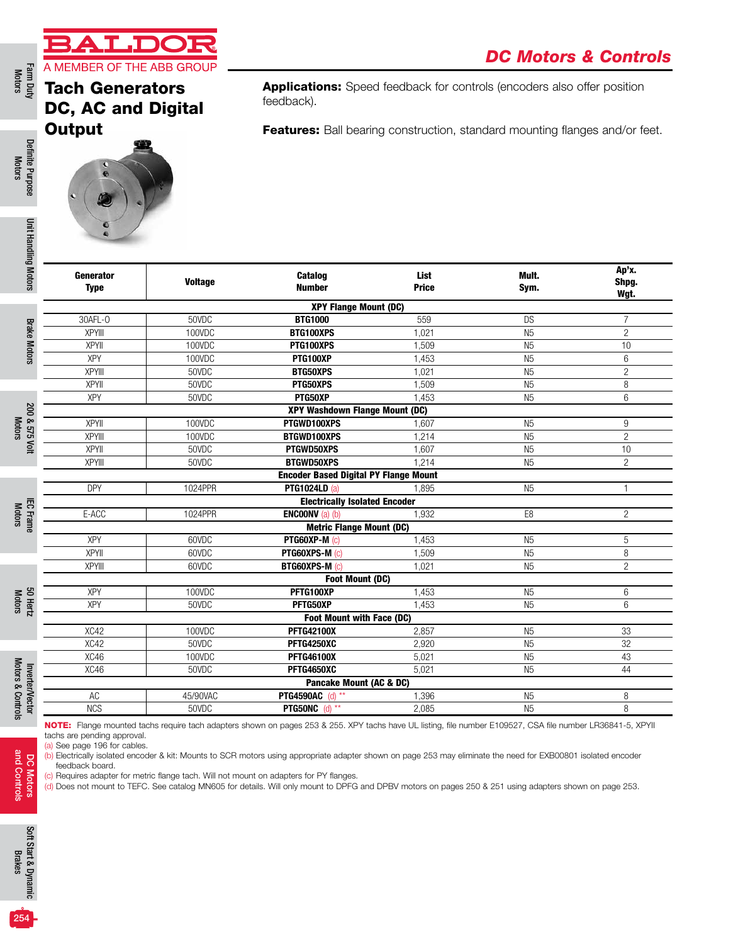### Tach Generators D<sub>C</sub> Ou

**TANK AND THE** 

Applications: Speed feedback for controls (encoders also offer position feedback).

Features: Ball bearing construction, standard mounting flanges and/or feet.

Definite Purpose Motors

Definite Purpose

Farm Duty<br>Motors

**Brake Motors** Brake Motors

200 & 575 Volt<br>Motors

200 & 575 Volt

Inverter/Vector

DC Motors<br>and Controls and Controls DC Motors

254

|       | <b>C. AC and Digital</b> |
|-------|--------------------------|
| itput |                          |
|       |                          |
|       |                          |

| Generator<br><b>Type</b> | <b>Voltage</b> | <b>Catalog</b><br><b>Number</b>              | <b>List</b><br><b>Price</b> | Mult.<br>Sym.  | Ap'x.<br>Shpg.<br>Wgt. |
|--------------------------|----------------|----------------------------------------------|-----------------------------|----------------|------------------------|
|                          |                | <b>XPY Flange Mount (DC)</b>                 |                             |                |                        |
| 30AFL-0                  | 50VDC          | <b>BTG1000</b>                               | 559                         | <b>DS</b>      | $\overline{7}$         |
| <b>XPYIII</b>            | 100VDC         | BTG100XPS                                    | 1.021                       | N <sub>5</sub> | $\overline{2}$         |
| <b>XPYII</b>             | 100VDC         | PTG100XPS                                    | 1,509                       | N <sub>5</sub> | 10                     |
| XPY                      | 100VDC         | PTG100XP                                     | 1,453                       | N <sub>5</sub> | 6                      |
| <b>XPYIII</b>            | 50VDC          | <b>BTG50XPS</b>                              | 1,021                       | N <sub>5</sub> | $\overline{c}$         |
| <b>XPYII</b>             | 50VDC          | PTG50XPS                                     | 1,509                       | N <sub>5</sub> | 8                      |
| <b>XPY</b>               | 50VDC          | PTG50XP                                      | 1,453                       | N <sub>5</sub> | 6                      |
|                          |                | <b>XPY Washdown Flange Mount (DC)</b>        |                             |                |                        |
| <b>XPYII</b>             | 100VDC         | PTGWD100XPS                                  | 1.607                       | N <sub>5</sub> | 9                      |
| <b>XPYIII</b>            | 100VDC         | BTGWD100XPS                                  | 1,214                       | N <sub>5</sub> | $\overline{2}$         |
| <b>XPYII</b>             | 50VDC          | PTGWD50XPS                                   | 1,607                       | N <sub>5</sub> | 10                     |
| XPYIII                   | 50VDC          | <b>BTGWD50XPS</b>                            | 1,214                       | N <sub>5</sub> | $\overline{2}$         |
|                          |                | <b>Encoder Based Digital PY Flange Mount</b> |                             |                |                        |
| <b>DPY</b>               | 1024PPR        | <b>PTG1024LD (a)</b>                         | 1,895                       | N <sub>5</sub> | $\mathbf{1}$           |
|                          |                | <b>Electrically Isolated Encoder</b>         |                             |                |                        |
| E-ACC                    | 1024PPR        | <b>ENCOONV</b> (a) (b)                       | 1,932                       | E8             | $\overline{2}$         |
|                          |                | <b>Metric Flange Mount (DC)</b>              |                             |                |                        |
| <b>XPY</b>               | 60VDC          | <b>PTG60XP-M (c)</b>                         | 1,453                       | N <sub>5</sub> | 5                      |
| XPYII                    | 60VDC          | PTG60XPS-M (c)                               | 1,509                       | N <sub>5</sub> | 8                      |
| <b>XPYIII</b>            | 60VDC          | <b>BTG60XPS-M (c)</b>                        | 1,021                       | N <sub>5</sub> | $\overline{c}$         |
|                          |                | <b>Foot Mount (DC)</b>                       |                             |                |                        |
| <b>XPY</b>               | 100VDC         | PFTG100XP                                    | 1,453                       | N <sub>5</sub> | $6\overline{6}$        |
| <b>XPY</b>               | 50VDC          | PFTG50XP                                     | 1.453                       | N <sub>5</sub> | 6                      |
|                          |                | Foot Mount with Face (DC)                    |                             |                |                        |
| XC42                     | 100VDC         | <b>PFTG42100X</b>                            | 2,857                       | N <sub>5</sub> | 33                     |
| XC42                     | 50VDC          | PFTG4250XC                                   | 2.920                       | N <sub>5</sub> | 32                     |
| XC46                     | 100VDC         | <b>PFTG46100X</b>                            | 5,021                       | N <sub>5</sub> | 43                     |
| XC46                     | 50VDC          | PFTG4650XC                                   | 5,021                       | N <sub>5</sub> | 44                     |
|                          |                | Pancake Mount (AC & DC)                      |                             |                |                        |
| AC                       | 45/90VAC       | <b>PTG4590AC</b> (d) **                      | 1,396                       | N <sub>5</sub> | 8                      |
| <b>NCS</b>               | 50VDC          | <b>PTG50NC</b> (d) **                        | 2,085                       | N <sub>5</sub> | 8                      |

(c) Requires adapter for metric flange tach. Will not mount on adapters for PY flanges.

(d) Does not mount to TEFC. See catalog MN605 for details. Will only mount to DPFG and DPBV motors on pages 250 & 251 using adapters shown on page 253.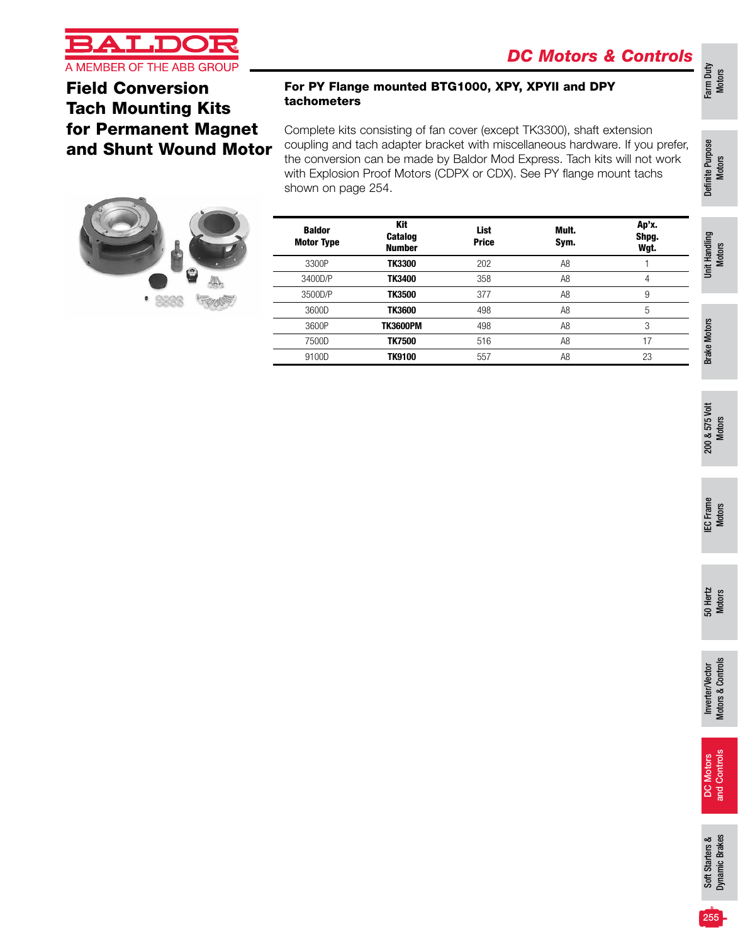

Field Conversion Tach Mounting Kits for Permanent Magnet and Shunt Wound Motor



#### For PY Flange mounted BTG1000, XPY, XPYII and DPY tachometers

Complete kits consisting of fan cover (except TK3300), shaft extension coupling and tach adapter bracket with miscellaneous hardware. If you prefer, the conversion can be made by Baldor Mod Express. Tach kits will not work with Explosion Proof Motors (CDPX or CDX). See PY flange mount tachs shown on page 254.

| <b>Baldor</b><br><b>Motor Type</b> | <b>Kit</b><br><b>Catalog</b><br><b>Number</b> | <b>List</b><br><b>Price</b> | Mult.<br>Sym.  | Ap'x.<br>Shpg.<br>Wgt. | Handling      |
|------------------------------------|-----------------------------------------------|-----------------------------|----------------|------------------------|---------------|
| 3300P                              | <b>TK3300</b>                                 | 202                         | A <sub>8</sub> |                        | <b>İ</b>      |
| 3400D/P                            | <b>TK3400</b>                                 | 358                         | A8             | 4                      |               |
| 3500D/P                            | <b>TK3500</b>                                 | 377                         | A <sub>8</sub> | 9                      |               |
| 3600D                              | <b>TK3600</b>                                 | 498                         | A <sub>8</sub> | 5                      |               |
| 3600P                              | <b>TK3600PM</b>                               | 498                         | A <sub>8</sub> | 3                      | <b>Motors</b> |
| 7500D                              | <b>TK7500</b>                                 | 516                         | A <sub>8</sub> | 17                     |               |
| 9100D                              | <b>TK9100</b>                                 | 557                         | A8             | 23                     | Brake         |
|                                    |                                               |                             |                |                        |               |

200 & 575 Volt 200 & 575 Volt<br>Motors

Farm Duty Motors

Definite Purpose Definite Purpose<br>Motors

Motors

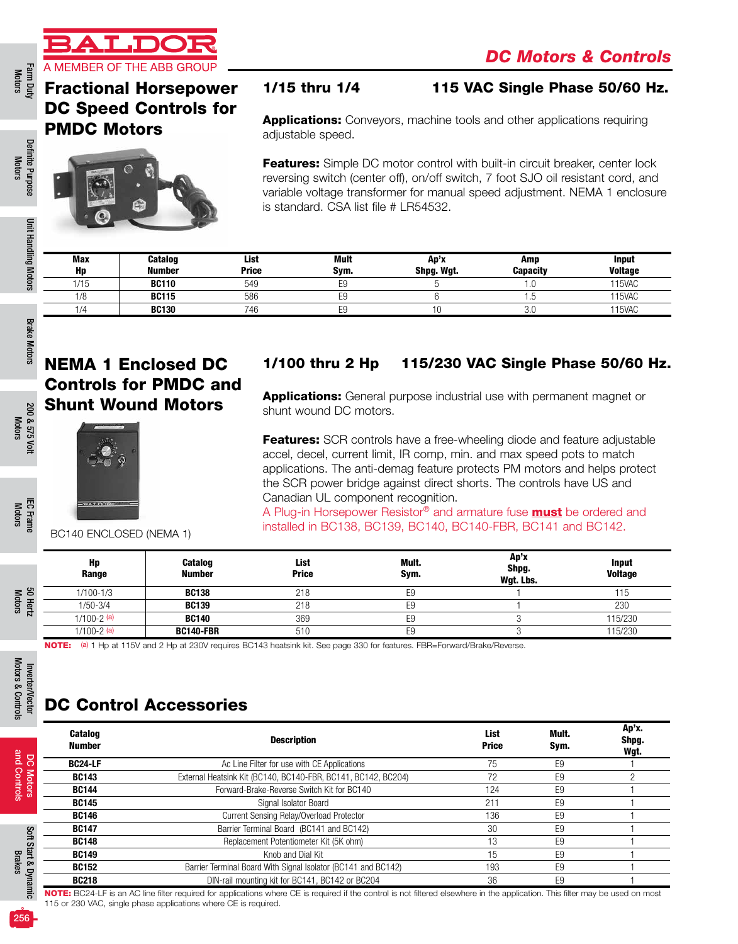

Definite Purpose Motors

Definite Purpose

Unit Handling Motors

Unit Handling Motors

# Fractional Horsepower DC Speed Controls for PMDC Motors



#### 1/15 thru 1/4 115 VAC Single Phase 50/60 Hz.

Applications: Conveyors, machine tools and other applications requiring adjustable speed.

Features: Simple DC motor control with built-in circuit breaker, center lock reversing switch (center off), on/off switch, 7 foot SJO oil resistant cord, and variable voltage transformer for manual speed adjustment. NEMA 1 enclosure is standard. CSA list file # LR54532.

| Max  | <b>Catalog</b> | List         | Mult | Ap'x       | Amp             | <b>Input</b>   |
|------|----------------|--------------|------|------------|-----------------|----------------|
| Hp   | <b>Number</b>  | <b>Price</b> | Svm. | Shpg. Wgt. | <b>Capacity</b> | <b>Voltage</b> |
| 1/15 | <b>BC110</b>   | 549          | E9   |            | . . U           | 115VAC         |
| 1/8  | <b>BC115</b>   | 586          | E9   |            |                 | 115VAC         |
| 1/4  | <b>BC130</b>   | 746          | E9   |            | 3.C             | 115VAC         |

200 & 575 Volt Motors

200 & 575 Volt

IEC Frame Motors

Inverter/Vector Motors & Controls

Inverter/Vector<br>Motors & Controls

DC Motors and Controls

and Controls

Soft Start & Dynamic Soft Start & Dynami<br>Brakes

# NEMA 1 Enclosed DC Controls for PMDC and Shunt Wound Motors



### 1/100 thru 2 Hp 115/230 VAC Single Phase 50/60 Hz.

**Applications:** General purpose industrial use with permanent magnet or shunt wound DC motors.

**Features:** SCR controls have a free-wheeling diode and feature adjustable accel, decel, current limit, IR comp, min. and max speed pots to match applications. The anti-demag feature protects PM motors and helps protect the SCR power bridge against direct shorts. The controls have US and Canadian UL component recognition.

A Plug-in Horsepower Resistor<sup>®</sup> and armature fuse **must** be ordered and installed in BC138, BC139, BC140, BC140-FBR, BC141 and BC142.

BC140 ENCLOSED (NEMA 1)

|      | Hp<br>Range     | Catalog<br><b>Number</b> | List<br><b>Price</b> | Mult.<br>Sym. | Ap'x<br>Shpg.<br>Wgt. Lbs. | <b>Input</b><br><b>Voltage</b> |
|------|-----------------|--------------------------|----------------------|---------------|----------------------------|--------------------------------|
| ౾ కి | $1/100 - 1/3$   | <b>BC138</b>             | 218                  |               |                            |                                |
| æ    | 1/50-3/4        | <b>BC139</b>             | 218                  |               |                            | 230                            |
| ನ    | $1/100 - 2$ (a) | <b>BC140</b>             | 369                  | ◡             |                            | 115/230                        |
|      | $1/100 - 2$ (a) | <b>BC140-FBR</b>         | 510                  |               |                            | 115/230                        |

NOTE: (a) 1 Hp at 115V and 2 Hp at 230V requires BC143 heatsink kit. See page 330 for features. FBR=Forward/Brake/Reverse.

# DC Control Accessories

| <b>Catalog</b><br><b>Number</b> | <b>Description</b>                                            | <b>List</b><br><b>Price</b> | Mult.<br>Sym.  | Ap'x.<br>Shpg.<br>Wgt. |
|---------------------------------|---------------------------------------------------------------|-----------------------------|----------------|------------------------|
| <b>BC24-LF</b>                  | Ac Line Filter for use with CE Applications                   | 75                          | E9             |                        |
| <b>BC143</b>                    | External Heatsink Kit (BC140, BC140-FBR, BC141, BC142, BC204) | 72                          | E <sub>9</sub> |                        |
| <b>BC144</b>                    | Forward-Brake-Reverse Switch Kit for BC140                    | 124                         | E <sub>9</sub> |                        |
| <b>BC145</b>                    | Signal Isolator Board                                         | 211                         | E <sub>9</sub> |                        |
| <b>BC146</b>                    | Current Sensing Relay/Overload Protector                      | 136                         | E <sub>9</sub> |                        |
| <b>BC147</b>                    | Barrier Terminal Board (BC141 and BC142)                      | 30                          | E <sub>9</sub> |                        |
| <b>BC148</b>                    | Replacement Potentiometer Kit (5K ohm)                        | 13                          | E <sub>9</sub> |                        |
| <b>BC149</b>                    | Knob and Dial Kit                                             | 15                          | E <sub>9</sub> |                        |
| <b>BC152</b>                    | Barrier Terminal Board With Signal Isolator (BC141 and BC142) | 193                         | E <sub>9</sub> |                        |
| <b>BC218</b>                    | DIN-rail mounting kit for BC141, BC142 or BC204               | 36                          | E <sub>9</sub> |                        |

NOTE: BC24-LF is an AC line filter required for applications where CE is required if the control is not filtered elsewhere in the application. This filter may be used on most 115 or 230 VAC, single phase applications where CE is required.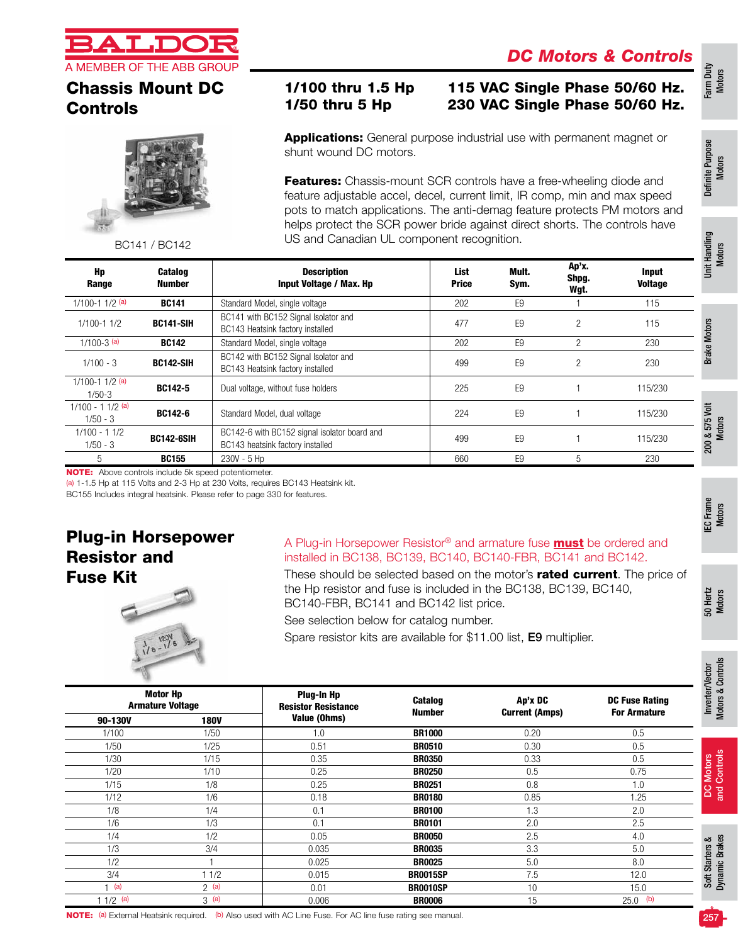

# Chassis Mount DC Controls



BC141 / BC142

### 1/100 thru 1.5 Hp 115 VAC Single Phase 50/60 Hz. 1/50 thru 5 Hp 230 VAC Single Phase 50/60 Hz.

**Applications:** General purpose industrial use with permanent magnet or shunt wound DC motors.

Features: Chassis-mount SCR controls have a free-wheeling diode and feature adjustable accel, decel, current limit, IR comp, min and max speed pots to match applications. The anti-demag feature protects PM motors and helps protect the SCR power bride against direct shorts. The controls have US and Canadian UL component recognition.

| Hp<br>Range                      | <b>Catalog</b><br><b>Number</b> | <b>Description</b><br>Input Voltage / Max. Hp                                    | List<br><b>Price</b> | Mult.<br>Sym.  | Ap'x.<br>Shpg.<br>Wgt. | <b>Input</b><br><b>Voltage</b> |
|----------------------------------|---------------------------------|----------------------------------------------------------------------------------|----------------------|----------------|------------------------|--------------------------------|
| $1/100 - 11/2$ (a)               | <b>BC141</b>                    | Standard Model, single voltage                                                   | 202                  | E <sub>9</sub> |                        | 115                            |
| $1/100 - 11/2$                   | BC141-SIH                       | BC141 with BC152 Signal Isolator and<br>BC143 Heatsink factory installed         | 477                  | E <sub>9</sub> | 2                      | 115                            |
| $1/100-3$ (a)                    | <b>BC142</b>                    | Standard Model, single voltage                                                   | 202                  | F <sub>9</sub> | 2                      | 230                            |
| $1/100 - 3$                      | <b>BC142-SIH</b>                | BC142 with BC152 Signal Isolator and<br>BC143 Heatsink factory installed         | 499                  | F <sub>9</sub> | 2                      | 230                            |
| $1/100 - 11/2$ (a)<br>$1/50-3$   | BC142-5                         | Dual voltage, without fuse holders                                               | 225                  | F <sub>9</sub> |                        | 115/230                        |
| $1/100 - 11/2$ (a)<br>$1/50 - 3$ | BC142-6                         | Standard Model, dual voltage                                                     | 224                  | E <sub>9</sub> |                        | 115/230                        |
| $1/100 - 11/2$<br>$1/50 - 3$     | <b>BC142-6SIH</b>               | BC142-6 with BC152 signal isolator board and<br>BC143 heatsink factory installed | 499                  | F <sub>9</sub> |                        | 115/230                        |
| 5                                | <b>BC155</b>                    | $230V - 5$ Hp                                                                    | 660                  | E <sub>9</sub> | 5                      | 230                            |

NOTE: Above controls include 5k speed potentiometer.

(a) 1-1.5 Hp at 115 Volts and 2-3 Hp at 230 Volts, requires BC143 Heatsink kit.

BC155 Includes integral heatsink. Please refer to page 330 for features.

### Plug-in Horsepower Resistor and Fuse Kit



#### A Plug-in Horsepower Resistor® and armature fuse **must** be ordered and installed in BC138, BC139, BC140, BC140-FBR, BC141 and BC142.

These should be selected based on the motor's rated current. The price of the Hp resistor and fuse is included in the BC138, BC139, BC140, BC140-FBR, BC141 and BC142 list price.

See selection below for catalog number.

Spare resistor kits are available for \$11.00 list, E9 multiplier.

| <b>Motor Hp</b><br><b>Armature Voltage</b> |             |              |                 | Plug-In Hp<br><b>Resistor Resistance</b> | Catalog<br><b>Number</b> | Ap'x DC<br><b>Current (Amps)</b> | <b>DC Fuse Rating</b><br><b>For Armature</b> |
|--------------------------------------------|-------------|--------------|-----------------|------------------------------------------|--------------------------|----------------------------------|----------------------------------------------|
| 90-130V                                    | <b>180V</b> | Value (Ohms) |                 |                                          |                          |                                  |                                              |
| 1/100                                      | 1/50        | 1.0          | <b>BR1000</b>   | 0.20                                     | 0.5                      |                                  |                                              |
| 1/50                                       | 1/25        | 0.51         | <b>BR0510</b>   | 0.30                                     | 0.5                      |                                  |                                              |
| 1/30                                       | 1/15        | 0.35         | <b>BR0350</b>   | 0.33                                     | 0.5                      |                                  |                                              |
| 1/20                                       | 1/10        | 0.25         | <b>BR0250</b>   | 0.5                                      | 0.75                     |                                  |                                              |
| 1/15                                       | 1/8         | 0.25         | <b>BR0251</b>   | 0.8                                      | 1.0                      |                                  |                                              |
| 1/12                                       | 1/6         | 0.18         | <b>BR0180</b>   | 0.85                                     | 1.25                     |                                  |                                              |
| 1/8                                        | 1/4         | 0.1          | <b>BR0100</b>   | 1.3                                      | 2.0                      |                                  |                                              |
| 1/6                                        | 1/3         | 0.1          | <b>BR0101</b>   | 2.0                                      | 2.5                      |                                  |                                              |
| 1/4                                        | 1/2         | 0.05         | <b>BR0050</b>   | 2.5                                      | 4.0                      |                                  |                                              |
| 1/3                                        | 3/4         | 0.035        | <b>BR0035</b>   | 3.3                                      | 5.0                      |                                  |                                              |
| 1/2                                        |             | 0.025        | <b>BR0025</b>   | 5.0                                      | 8.0                      |                                  |                                              |
| 3/4                                        | 11/2        | 0.015        | <b>BR0015SP</b> | 7.5                                      | 12.0                     |                                  |                                              |
| (a)                                        | 2(a)        | 0.01         | <b>BR0010SP</b> | 10                                       | 15.0                     |                                  |                                              |
| $11/2$ (a)                                 | 3(a)        | 0.006        | <b>BR0006</b>   | 15                                       | $25.0$ (b)               |                                  |                                              |

Motors & Controls

Motors & Controls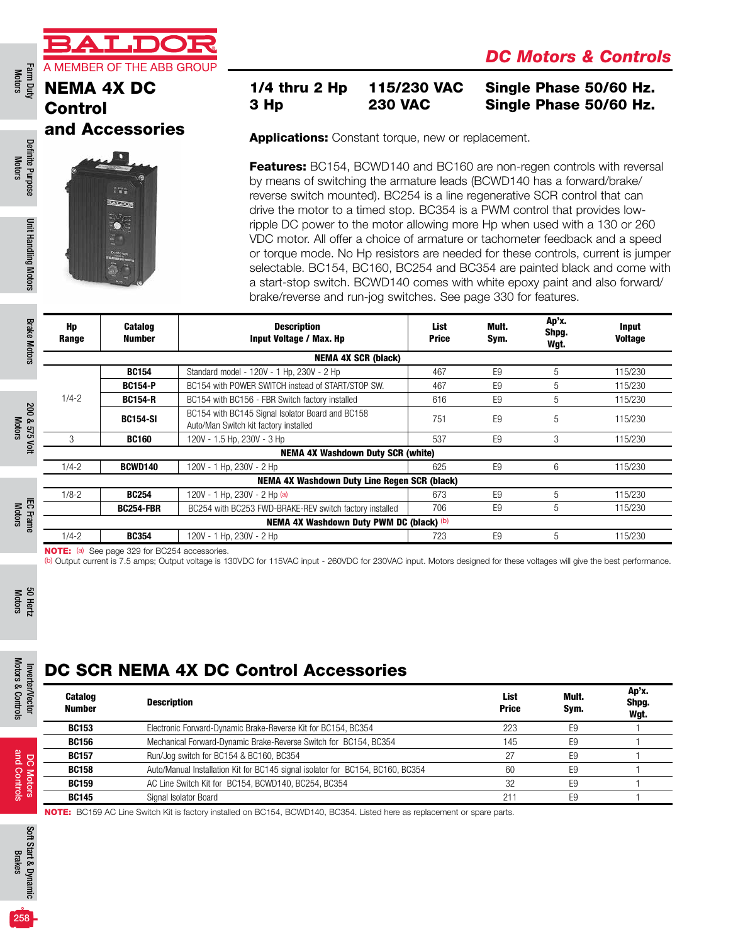a p

#### Control and Accessories



### 1/4 thru 2 Hp 115/230 VAC Single Phase 50/60 Hz. 3 Hp 230 VAC Single Phase 50/60 Hz.

Applications: Constant torque, new or replacement.

**Features:** BC154, BCWD140 and BC160 are non-regen controls with reversal by means of switching the armature leads (BCWD140 has a forward/brake/ reverse switch mounted). BC254 is a line regenerative SCR control that can drive the motor to a timed stop. BC354 is a PWM control that provides lowripple DC power to the motor allowing more Hp when used with a 130 or 260 VDC motor. All offer a choice of armature or tachometer feedback and a speed or torque mode. No Hp resistors are needed for these controls, current is jumper selectable. BC154, BC160, BC254 and BC354 are painted black and come with a start-stop switch. BCWD140 comes with white epoxy paint and also forward/ brake/reverse and run-jog switches. See page 330 for features.

| <b>Brake Motors</b>     | Hp<br>Range | <b>Catalog</b><br>Number | <b>Description</b><br>Input Voltage / Max. Hp                                             | List<br><b>Price</b> | Mult.<br>Sym.  | Ap'x.<br>Shpg.<br>Wgt. | <b>Input</b><br><b>Voltage</b> |
|-------------------------|-------------|--------------------------|-------------------------------------------------------------------------------------------|----------------------|----------------|------------------------|--------------------------------|
|                         |             |                          | <b>NEMA 4X SCR (black)</b>                                                                |                      |                |                        |                                |
|                         |             | <b>BC154</b>             | Standard model - 120V - 1 Hp, 230V - 2 Hp                                                 | 467                  | E <sub>9</sub> | 5                      | 115/230                        |
|                         |             | <b>BC154-P</b>           | BC154 with POWER SWITCH instead of START/STOP SW.                                         | 467                  | E <sub>9</sub> | 5                      | 115/230                        |
|                         | $1/4 - 2$   | <b>BC154-R</b>           | BC154 with BC156 - FBR Switch factory installed                                           | 616                  | E <sub>9</sub> | 5                      | 115/230                        |
| <b>200 &amp;</b>        |             | <b>BC154-SI</b>          | BC154 with BC145 Signal Isolator Board and BC158<br>Auto/Man Switch kit factory installed | 751                  | E <sub>9</sub> | 5                      | 115/230                        |
| 575 Volt                | 3           | <b>BC160</b>             | 120V - 1.5 Hp, 230V - 3 Hp                                                                | 537                  | E <sub>9</sub> | 3                      | 115/230                        |
|                         |             |                          | <b>NEMA 4X Washdown Duty SCR (white)</b>                                                  |                      |                |                        |                                |
|                         | $1/4 - 2$   | <b>BCWD140</b>           | 120V - 1 Hp, 230V - 2 Hp                                                                  | 625                  | E <sub>9</sub> | 6                      | 115/230                        |
|                         |             |                          | NEMA 4X Washdown Duty Line Regen SCR (black)                                              |                      |                |                        |                                |
|                         | $1/8 - 2$   | <b>BC254</b>             | 120V - 1 Hp, 230V - 2 Hp (a)                                                              | 673                  | E <sub>9</sub> | 5                      | 115/230                        |
| $\overline{\mathrm{g}}$ |             | <b>BC254-FBR</b>         | BC254 with BC253 FWD-BRAKE-REV switch factory installed                                   | 706                  | E <sub>9</sub> | 5                      | 115/230                        |
| <b>Frame</b>            |             |                          | NEMA 4X Washdown Duty PWM DC (black) (b)                                                  |                      |                |                        |                                |
|                         | $1/4 - 2$   | <b>BC354</b>             | 120V - 1 Hp. 230V - 2 Hp                                                                  | 723                  | F <sub>9</sub> | 5                      | 115/230                        |

NOTE: (a) See page 329 for BC254 accessories.

(b) Output current is 7.5 amps; Output voltage is 130VDC for 115VAC input - 260VDC for 230VAC input. Motors designed for these voltages will give the best performance.

Motors 50 Hertz

Motors & Controls

Motors & Controls

and Controls

and Controls

# DC SCR NEMA 4X DC Control Accessories

| DC SCR NEMA 4X DC Control Accessories |                                                                                |                             |               |                        |  |  |  |  |
|---------------------------------------|--------------------------------------------------------------------------------|-----------------------------|---------------|------------------------|--|--|--|--|
| <b>Catalog</b><br>Number              | <b>Description</b>                                                             | <b>List</b><br><b>Price</b> | Mult.<br>Sym. | Ap'x.<br>Shpg.<br>Wgt. |  |  |  |  |
| <b>BC153</b>                          | Electronic Forward-Dynamic Brake-Reverse Kit for BC154, BC354                  | 223                         | E9            |                        |  |  |  |  |
| <b>BC156</b>                          | Mechanical Forward-Dynamic Brake-Reverse Switch for BC154, BC354               | 145                         | E9            |                        |  |  |  |  |
| <b>BC157</b>                          | Run/Jog switch for BC154 & BC160, BC354                                        | 27                          | E9            |                        |  |  |  |  |
| <b>BC158</b>                          | Auto/Manual Installation Kit for BC145 signal isolator for BC154, BC160, BC354 | 60                          | E9            |                        |  |  |  |  |
| <b>BC159</b>                          | AC Line Switch Kit for BC154, BCWD140, BC254, BC354                            | 32                          | F9            |                        |  |  |  |  |
| <b>BC145</b>                          | Signal Isolator Board                                                          | 211                         | F9            |                        |  |  |  |  |

NOTE: BC159 AC Line Switch Kit is factory installed on BC154, BCWD140, BC354. Listed here as replacement or spare parts.

Definite Purpose Motors

Definite Purpose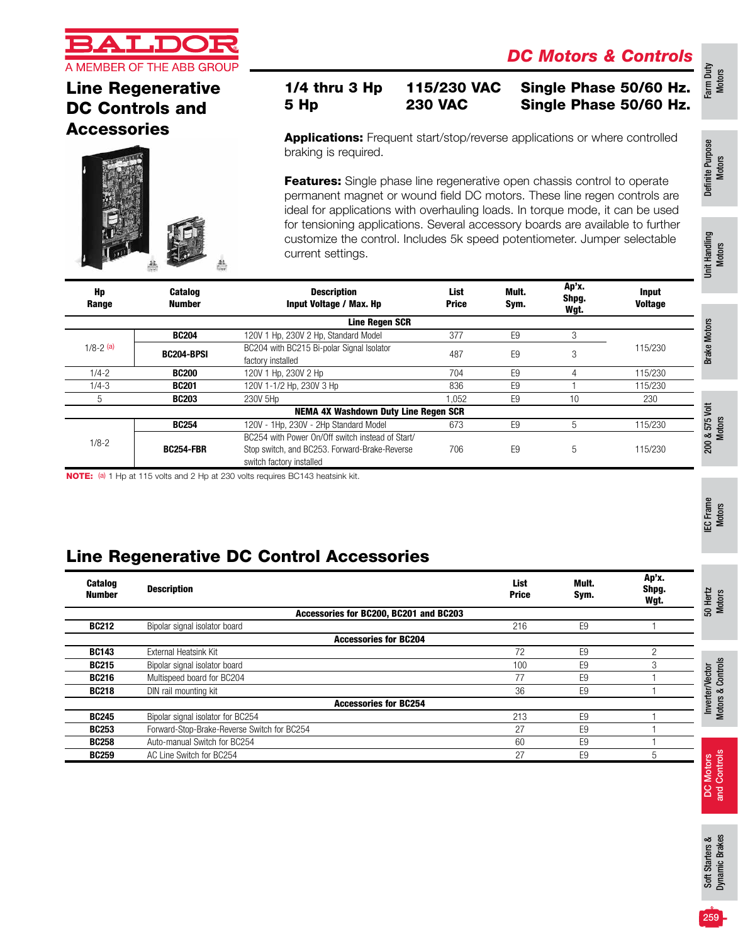

# Line Regenerative DC Controls and **Accessories**



#### 1/4 thru 3 Hp 115/230 VAC Single Phase 50/60 Hz. 5 Hp 230 VAC Single Phase 50/60 Hz.

Applications: Frequent start/stop/reverse applications or where controlled braking is required.

Features: Single phase line regenerative open chassis control to operate permanent magnet or wound field DC motors. These line regen controls are ideal for applications with overhauling loads. In torque mode, it can be used for tensioning applications. Several accessory boards are available to further customize the control. Includes 5k speed potentiometer. Jumper selectable current settings.

| Hp<br>Range                                 | <b>Catalog</b><br>Number | <b>Description</b><br><b>Input Voltage / Max. Hp</b>                                                                          | List<br><b>Price</b> | Mult.<br>Sym.  | Ap'x.<br>Shpg.<br>Wgt. | <b>Input</b><br><b>Voltage</b> |          |  |  |
|---------------------------------------------|--------------------------|-------------------------------------------------------------------------------------------------------------------------------|----------------------|----------------|------------------------|--------------------------------|----------|--|--|
| <b>Line Regen SCR</b>                       |                          |                                                                                                                               |                      |                |                        |                                |          |  |  |
|                                             | <b>BC204</b>             | 120V 1 Hp. 230V 2 Hp. Standard Model                                                                                          | 377                  | E <sub>9</sub> |                        |                                | $\circ$  |  |  |
| $1/8 - 2$ (a)                               | <b>BC204-BPSI</b>        | BC204 with BC215 Bi-polar Signal Isolator<br>factory installed                                                                | 487                  | E <sub>9</sub> | 3                      | 115/230                        | ন্ত      |  |  |
| $1/4 - 2$                                   | <b>BC200</b>             | 120V 1 Hp, 230V 2 Hp                                                                                                          | 704                  | E <sub>9</sub> |                        | 115/230                        |          |  |  |
| $1/4 - 3$                                   | <b>BC201</b>             | 120V 1-1/2 Hp, 230V 3 Hp                                                                                                      | 836                  | E <sub>9</sub> |                        | 115/230                        |          |  |  |
| 5                                           | <b>BC203</b>             | 230V 5Hp                                                                                                                      | .052                 | E <sub>9</sub> | 10                     | 230                            |          |  |  |
| <b>NEMA 4X Washdown Duty Line Regen SCR</b> |                          |                                                                                                                               |                      |                |                        |                                |          |  |  |
|                                             | <b>BC254</b>             | 120V - 1Hp, 230V - 2Hp Standard Model                                                                                         | 673                  | E <sub>9</sub> | 5                      | 115/230                        | 5G       |  |  |
| $1/8 - 2$                                   | <b>BC254-FBR</b>         | BC254 with Power On/Off switch instead of Start/<br>Stop switch, and BC253. Forward-Brake-Reverse<br>switch factory installed | 706                  | E <sub>9</sub> | 5                      | 115/230                        | ∞<br>200 |  |  |

NOTE: (a) 1 Hp at 115 volts and 2 Hp at 230 volts requires BC143 heatsink kit.

# Line Regenerative DC Control Accessories

| <b>Catalog</b><br><b>Number</b> | <b>Description</b>                          | <b>List</b><br><b>Price</b> | Mult.<br>Sym.  | Ap'x.<br>Shpg.<br>Wgt. | 50 Hertz<br>Motors          |
|---------------------------------|---------------------------------------------|-----------------------------|----------------|------------------------|-----------------------------|
|                                 | Accessories for BC200, BC201 and BC203      |                             |                |                        |                             |
| <b>BC212</b>                    | Bipolar signal isolator board               | 216                         | E <sub>9</sub> |                        |                             |
|                                 | <b>Accessories for BC204</b>                |                             |                |                        |                             |
| <b>BC143</b>                    | External Heatsink Kit                       | 72                          | E <sub>9</sub> | っ                      |                             |
| <b>BC215</b>                    | Bipolar signal isolator board               | 100                         | E <sub>9</sub> |                        | Controls                    |
| <b>BC216</b>                    | Multispeed board for BC204                  | 77                          | E <sub>9</sub> |                        |                             |
| <b>BC218</b>                    | DIN rail mounting kit                       | 36                          | E <sub>9</sub> |                        |                             |
|                                 | <b>Accessories for BC254</b>                |                             |                |                        | Inverter/Vector<br>Motors & |
| <b>BC245</b>                    | Bipolar signal isolator for BC254           | 213                         | E <sub>9</sub> |                        |                             |
| <b>BC253</b>                    | Forward-Stop-Brake-Reverse Switch for BC254 | 27                          | E <sub>9</sub> |                        |                             |
| <b>BC258</b>                    | Auto-manual Switch for BC254                | 60                          | E <sub>9</sub> |                        |                             |
| <b>BC259</b>                    | AC Line Switch for BC254                    | 27                          | E <sub>9</sub> | 5                      | sput                        |
|                                 |                                             |                             |                |                        |                             |

Definite Purpose Definite Purpose<br>Motors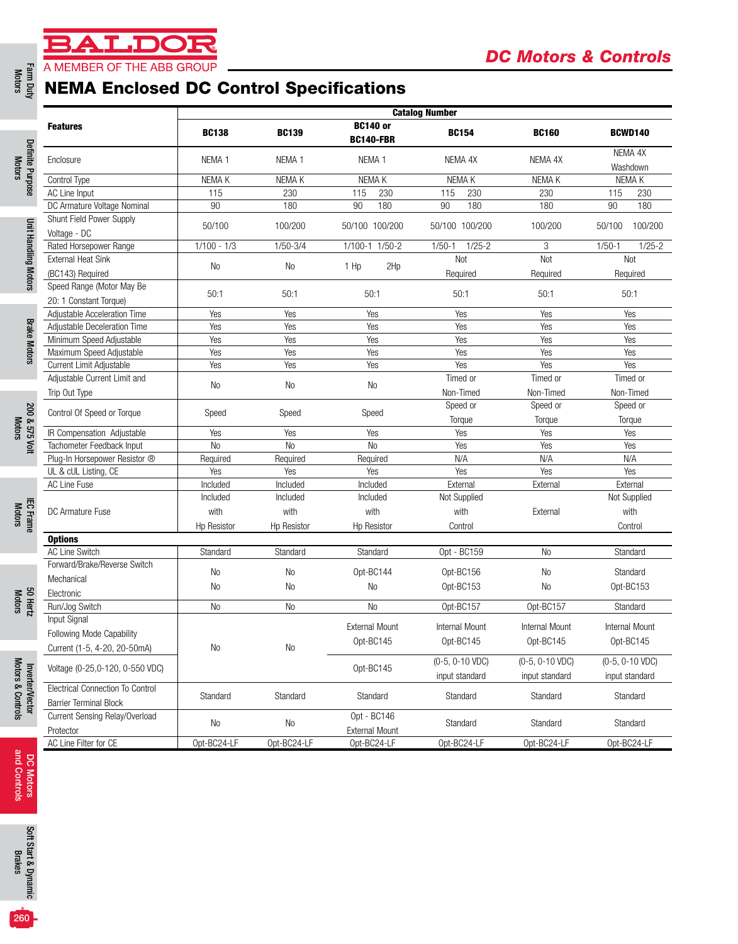# **LDOI**

# Farm Duty<br>Motors **A MEMBER OF THE ABB GROUP**<br> **NEMA Enclosed DC Control Specifications**

| <b>Features</b>                                                          |                   |                    |                                      | <b>Catalog Number</b>             |                                   |                                   |  |  |  |  |
|--------------------------------------------------------------------------|-------------------|--------------------|--------------------------------------|-----------------------------------|-----------------------------------|-----------------------------------|--|--|--|--|
|                                                                          | <b>BC138</b>      | <b>BC139</b>       | <b>BC140 or</b><br><b>BC140-FBR</b>  | <b>BC154</b>                      | <b>BC160</b>                      | <b>BCWD140</b>                    |  |  |  |  |
| Enclosure                                                                | NEMA <sub>1</sub> | NEMA <sub>1</sub>  | NEMA <sub>1</sub>                    | NEMA 4X                           | NEMA 4X                           | NEMA 4X<br>Washdown               |  |  |  |  |
| Control Type                                                             | NEMA K            | NEMA K             | NEMA K                               | NEMA K                            | NEMA K                            | NEMA K                            |  |  |  |  |
| AC Line Input                                                            | 115               | 230                | 230<br>115                           | 115<br>230                        | 230                               | 115<br>230                        |  |  |  |  |
| DC Armature Voltage Nominal                                              | 90                | 180                | 180<br>90                            | 90<br>180                         | 180                               | 90<br>180                         |  |  |  |  |
| Shunt Field Power Supply<br>Voltage - DC                                 | 50/100            | 100/200            | 50/100 100/200                       | 50/100 100/200                    | 100/200                           | 50/100<br>100/200                 |  |  |  |  |
| Rated Horsepower Range                                                   | $1/100 - 1/3$     | $1/50 - 3/4$       | 1/100-1 1/50-2                       | $1/25-2$<br>$1/50-1$              | 3                                 | $1/50-1$<br>$1/25 - 2$            |  |  |  |  |
| <b>External Heat Sink</b><br>(BC143) Required                            | No                | No                 | 1 Hp<br>2Hp                          | Not<br>Required                   | <b>Not</b><br>Required            | Not<br>Required                   |  |  |  |  |
| Speed Range (Motor May Be                                                | 50:1              | 50:1               | 50:1                                 | 50:1                              | 50:1                              | 50:1                              |  |  |  |  |
| 20: 1 Constant Torque)                                                   |                   |                    |                                      |                                   |                                   |                                   |  |  |  |  |
| Adjustable Acceleration Time<br>Adjustable Deceleration Time             | Yes<br>Yes        | Yes<br>Yes         | Yes<br>Yes                           | Yes<br>Yes                        | Yes<br>Yes                        | Yes<br>Yes                        |  |  |  |  |
| Minimum Speed Adjustable                                                 | Yes               | Yes                | Yes                                  | Yes                               | Yes                               | Yes                               |  |  |  |  |
| Maximum Speed Adjustable                                                 | Yes               | Yes                | Yes                                  | Yes                               | Yes                               | Yes                               |  |  |  |  |
| Current Limit Adjustable                                                 | Yes               | Yes                | Yes                                  | Yes                               | Yes                               | Yes                               |  |  |  |  |
| Adjustable Current Limit and                                             |                   |                    |                                      | Timed or                          | Timed or                          | Timed or                          |  |  |  |  |
|                                                                          | No                | No                 | No                                   |                                   |                                   |                                   |  |  |  |  |
| Trip Out Type                                                            |                   |                    |                                      | Non-Timed                         | Non-Timed                         | Non-Timed                         |  |  |  |  |
| Control Of Speed or Torque                                               | Speed             | Speed              | Speed                                | Speed or                          | Speed or                          | Speed or                          |  |  |  |  |
|                                                                          |                   |                    |                                      | Torque                            | Torque                            | Torque                            |  |  |  |  |
| IR Compensation Adjustable                                               | Yes               | Yes                | Yes                                  | Yes                               | Yes                               | Yes                               |  |  |  |  |
| Tachometer Feedback Input                                                | N <sub>0</sub>    | No                 | N <sub>0</sub>                       | Yes                               | Yes                               | Yes                               |  |  |  |  |
| Plug-In Horsepower Resistor ®                                            | Required          | Required           | Required                             | N/A                               | N/A                               | N/A                               |  |  |  |  |
| UL & cUL Listing, CE                                                     | Yes               | Yes                | Yes                                  | Yes                               | Yes                               | Yes                               |  |  |  |  |
| AC Line Fuse                                                             | Included          | Included           | Included                             | External                          | External                          | External                          |  |  |  |  |
|                                                                          | Included          | Included           | Included                             | Not Supplied                      |                                   | Not Supplied                      |  |  |  |  |
| DC Armature Fuse                                                         | with              | with               | with                                 | with                              | External                          | with                              |  |  |  |  |
|                                                                          | Hp Resistor       | <b>Hp Resistor</b> | <b>Hp Resistor</b>                   | Control                           |                                   | Control                           |  |  |  |  |
| <b>Options</b>                                                           |                   |                    |                                      |                                   |                                   |                                   |  |  |  |  |
| <b>AC Line Switch</b>                                                    | Standard          | Standard           | Standard                             | Opt - BC159                       | <b>No</b>                         | Standard                          |  |  |  |  |
| Forward/Brake/Reverse Switch                                             | No                | No                 | Opt-BC144                            | Opt-BC156                         | No                                | Standard                          |  |  |  |  |
| Mechanical                                                               | No                | No                 | N <sub>0</sub>                       | Opt-BC153                         | No                                | Opt-BC153                         |  |  |  |  |
| Electronic                                                               |                   |                    |                                      |                                   |                                   |                                   |  |  |  |  |
| Run/Jog Switch                                                           | No                | $\rm No$           | <b>No</b>                            | Opt-BC157                         | Opt-BC157                         | Standard                          |  |  |  |  |
| Input Signal                                                             |                   |                    |                                      |                                   |                                   |                                   |  |  |  |  |
| Following Mode Capability                                                |                   |                    | <b>External Mount</b>                | Internal Mount                    | Internal Mount                    | Internal Mount                    |  |  |  |  |
| Current (1-5, 4-20, 20-50mA)                                             | No                | No                 | Opt-BC145                            | Opt-BC145                         | Opt-BC145                         | Opt-BC145                         |  |  |  |  |
| Voltage (0-25,0-120, 0-550 VDC)                                          |                   |                    | Opt-BC145                            | (0-5, 0-10 VDC)<br>input standard | (0-5, 0-10 VDC)<br>input standard | (0-5, 0-10 VDC)<br>input standard |  |  |  |  |
| <b>Electrical Connection To Control</b><br><b>Barrier Terminal Block</b> | Standard          | Standard           | Standard                             | Standard                          | Standard                          | Standard                          |  |  |  |  |
| Current Sensing Relay/Overload<br>Protector                              | No                | No                 | Opt - BC146<br><b>External Mount</b> | Standard                          | Standard                          | Standard                          |  |  |  |  |
| AC Line Filter for CE                                                    | Opt-BC24-LF       | Opt-BC24-LF        | Opt-BC24-LF                          | Opt-BC24-LF                       | Opt-BC24-LF                       | Opt-BC24-LF                       |  |  |  |  |
|                                                                          |                   |                    |                                      |                                   |                                   |                                   |  |  |  |  |

Motors

Motors

Motors

Motors & Controls Motors & Controls

Motors

DC Motors<br>and Controls and Controls DC Motors



 $260 -$